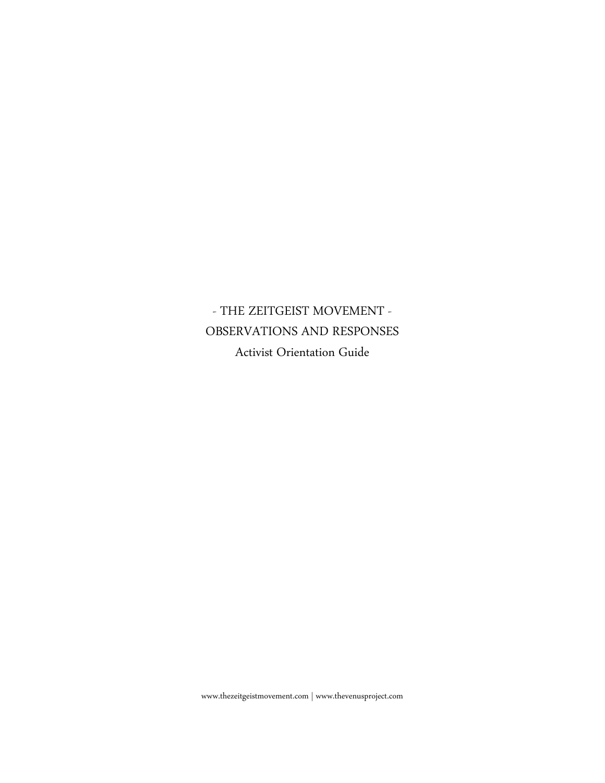- THE ZEITGEIST MOVEMENT - OBSERVATIONS AND RESPONSES Activist Orientation Guide

www.thezeitgeistmovement.com | www.thevenusproject.com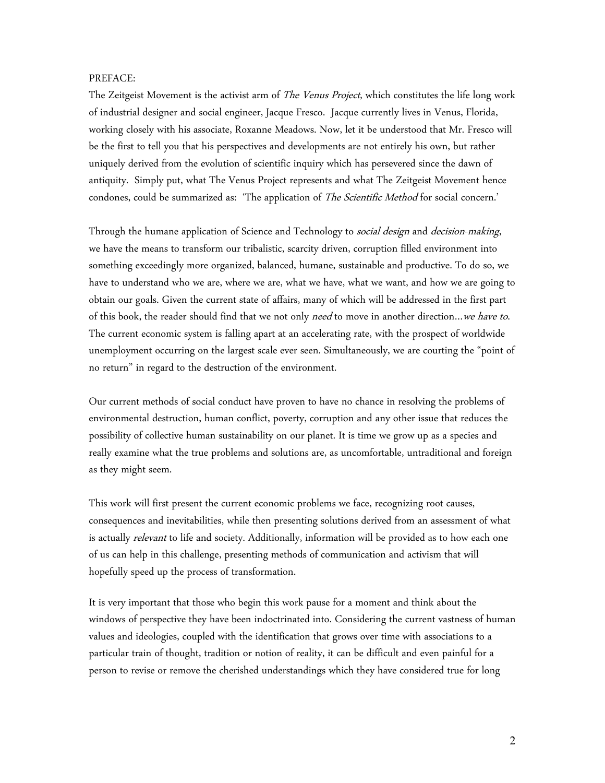#### PREFACE:

The Zeitgeist Movement is the activist arm of The Venus Project, which constitutes the life long work of industrial designer and social engineer, Jacque Fresco. Jacque currently lives in Venus, Florida, working closely with his associate, Roxanne Meadows. Now, let it be understood that Mr. Fresco will be the first to tell you that his perspectives and developments are not entirely his own, but rather uniquely derived from the evolution of scientific inquiry which has persevered since the dawn of antiquity. Simply put, what The Venus Project represents and what The Zeitgeist Movement hence condones, could be summarized as: 'The application of The Scientific Method for social concern.'

Through the humane application of Science and Technology to social design and decision-making, we have the means to transform our tribalistic, scarcity driven, corruption filled environment into something exceedingly more organized, balanced, humane, sustainable and productive. To do so, we have to understand who we are, where we are, what we have, what we want, and how we are going to obtain our goals. Given the current state of affairs, many of which will be addressed in the first part of this book, the reader should find that we not only need to move in another direction...we have to. The current economic system is falling apart at an accelerating rate, with the prospect of worldwide unemployment occurring on the largest scale ever seen. Simultaneously, we are courting the "point of no return" in regard to the destruction of the environment.

Our current methods of social conduct have proven to have no chance in resolving the problems of environmental destruction, human conflict, poverty, corruption and any other issue that reduces the possibility of collective human sustainability on our planet. It is time we grow up as a species and really examine what the true problems and solutions are, as uncomfortable, untraditional and foreign as they might seem.

This work will first present the current economic problems we face, recognizing root causes, consequences and inevitabilities, while then presenting solutions derived from an assessment of what is actually relevant to life and society. Additionally, information will be provided as to how each one of us can help in this challenge, presenting methods of communication and activism that will hopefully speed up the process of transformation.

It is very important that those who begin this work pause for a moment and think about the windows of perspective they have been indoctrinated into. Considering the current vastness of human values and ideologies, coupled with the identification that grows over time with associations to a particular train of thought, tradition or notion of reality, it can be difficult and even painful for a person to revise or remove the cherished understandings which they have considered true for long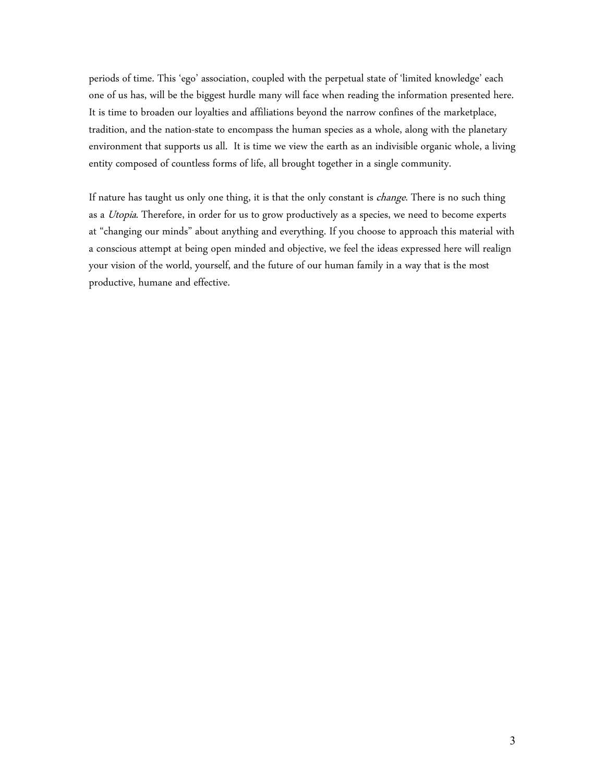periods of time. This 'ego' association, coupled with the perpetual state of 'limited knowledge' each one of us has, will be the biggest hurdle many will face when reading the information presented here. It is time to broaden our loyalties and affiliations beyond the narrow confines of the marketplace, tradition, and the nation-state to encompass the human species as a whole, along with the planetary environment that supports us all. It is time we view the earth as an indivisible organic whole, a living entity composed of countless forms of life, all brought together in a single community.

If nature has taught us only one thing, it is that the only constant is *change*. There is no such thing as a *Utopia*. Therefore, in order for us to grow productively as a species, we need to become experts at "changing our minds" about anything and everything. If you choose to approach this material with a conscious attempt at being open minded and objective, we feel the ideas expressed here will realign your vision of the world, yourself, and the future of our human family in a way that is the most productive, humane and effective.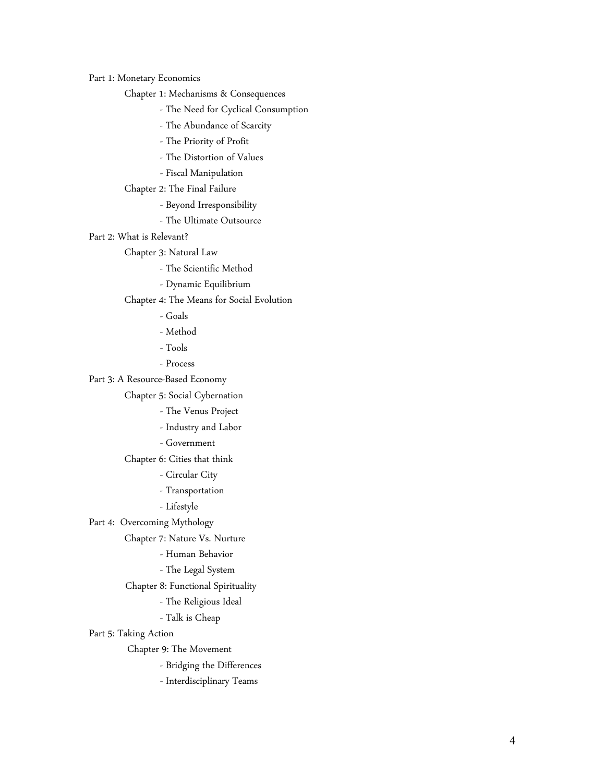Chapter 1: Mechanisms & Consequences - The Need for Cyclical Consumption - The Abundance of Scarcity - The Priority of Profit - The Distortion of Values - Fiscal Manipulation Chapter 2: The Final Failure - Beyond Irresponsibility - The Ultimate Outsource Part 2: What is Relevant? Chapter 3: Natural Law - The Scientific Method - Dynamic Equilibrium Chapter 4: The Means for Social Evolution - Goals - Method - Tools - Process Part 3: A Resource-Based Economy Chapter 5: Social Cybernation - The Venus Project - Industry and Labor - Government Chapter 6: Cities that think - Circular City - Transportation - Lifestyle Part 4: Overcoming Mythology Chapter 7: Nature Vs. Nurture - Human Behavior - The Legal System Chapter 8: Functional Spirituality - The Religious Ideal - Talk is Cheap Part 5: Taking Action Chapter 9: The Movement - Bridging the Differences

Part 1: Monetary Economics

- Interdisciplinary Teams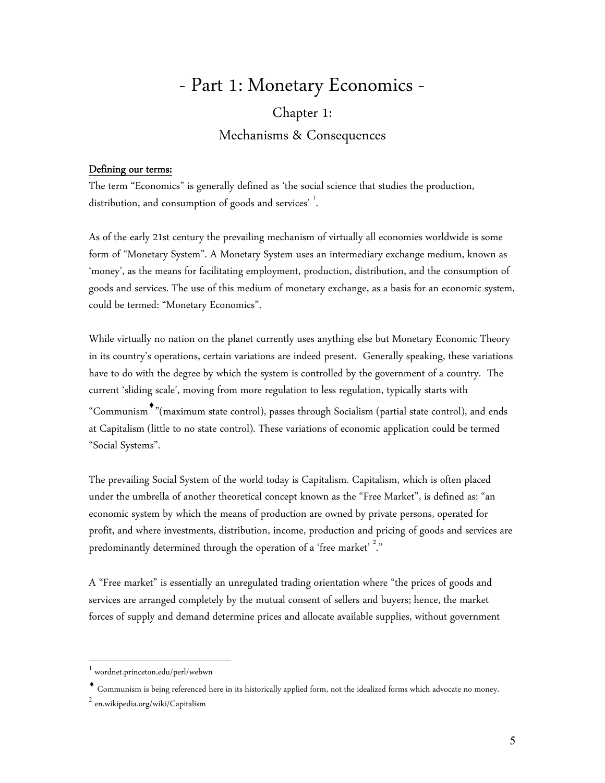# - Part 1: Monetary Economics - Chapter 1: Mechanisms & Consequences

#### Defining our terms:

The term "Economics" is generally defined as 'the social science that studies the production, distribution, and consumption of goods and services'<sup>1</sup>. .

As of the early 21st century the prevailing mechanism of virtually all economies worldwide is some form of "Monetary System". A Monetary System uses an intermediary exchange medium, known as 'money', as the means for facilitating employment, production, distribution, and the consumption of goods and services. The use of this medium of monetary exchange, as a basis for an economic system, could be termed: "Monetary Economics".

While virtually no nation on the planet currently uses anything else but Monetary Economic Theory in its country's operations, certain variations are indeed present. Generally speaking, these variations have to do with the degree by which the system is controlled by the government of a country. The current 'sliding scale', moving from more regulation to less regulation, typically starts with

"Communism"(maximum state control), passes through Socialism (partial state control), and ends at Capitalism (little to no state control). These variations of economic application could be termed "Social Systems".

The prevailing Social System of the world today is Capitalism. Capitalism, which is often placed under the umbrella of another theoretical concept known as the "Free Market", is defined as: "an economic system by which the means of production are owned by private persons, operated for profit, and where investments, distribution, income, production and pricing of goods and services are predominantly determined through the operation of a 'free market'  $^{2}$ ."

A "Free market" is essentially an unregulated trading orientation where "the prices of goods and services are arranged completely by the mutual consent of sellers and buyers; hence, the market forces of supply and demand determine prices and allocate available supplies, without government

<sup>1</sup> wordnet.princeton.edu/perl/webwn

Communism is being referenced here in its historically applied form, not the idealized forms which advocate no money.

<sup>2</sup> en.wikipedia.org/wiki/Capitalism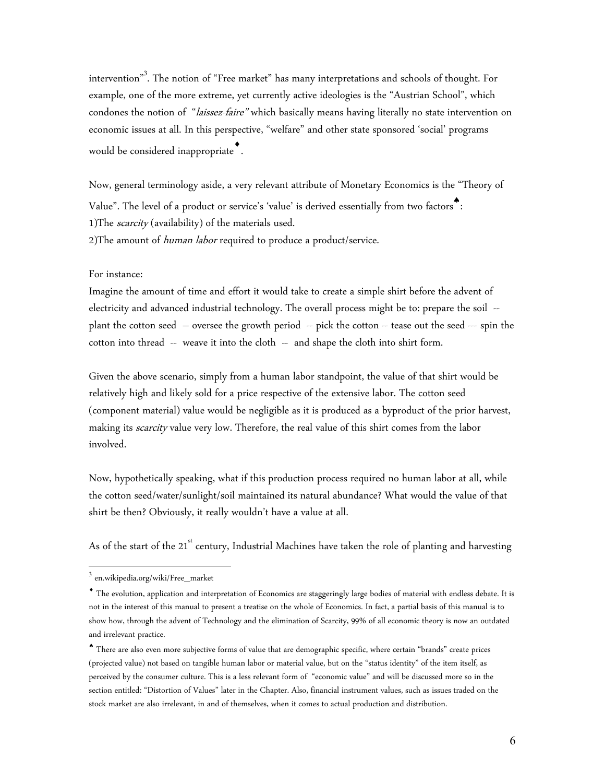intervention"<sup>3</sup>. The notion of "Free market" has many interpretations and schools of thought. For example, one of the more extreme, yet currently active ideologies is the "Austrian School", which condones the notion of "laissez-faire" which basically means having literally no state intervention on economic issues at all. In this perspective, "welfare" and other state sponsored 'social' programs would be considered inappropriate.

Now, general terminology aside, a very relevant attribute of Monetary Economics is the "Theory of Value". The level of a product or service's 'value' is derived essentially from two factors": : 1)The *scarcity* (availability) of the materials used. 2)The amount of human labor required to produce a product/service.

#### For instance:

Imagine the amount of time and effort it would take to create a simple shirt before the advent of electricity and advanced industrial technology. The overall process might be to: prepare the soil - plant the cotton seed – oversee the growth period -- pick the cotton -- tease out the seed --- spin the cotton into thread -- weave it into the cloth -- and shape the cloth into shirt form.

Given the above scenario, simply from a human labor standpoint, the value of that shirt would be relatively high and likely sold for a price respective of the extensive labor. The cotton seed (component material) value would be negligible as it is produced as a byproduct of the prior harvest, making its scarcity value very low. Therefore, the real value of this shirt comes from the labor involved.

Now, hypothetically speaking, what if this production process required no human labor at all, while the cotton seed/water/sunlight/soil maintained its natural abundance? What would the value of that shirt be then? Obviously, it really wouldn't have a value at all.

As of the start of the 21<sup>st</sup> century, Industrial Machines have taken the role of planting and harvesting

 $^3$ en.wikipedia.org/wiki/Free\_market

The evolution, application and interpretation of Economics are staggeringly large bodies of material with endless debate. It is not in the interest of this manual to present a treatise on the whole of Economics. In fact, a partial basis of this manual is to show how, through the advent of Technology and the elimination of Scarcity, 99% of all economic theory is now an outdated and irrelevant practice.

There are also even more subjective forms of value that are demographic specific, where certain "brands" create prices (projected value) not based on tangible human labor or material value, but on the "status identity" of the item itself, as perceived by the consumer culture. This is a less relevant form of "economic value" and will be discussed more so in the section entitled: "Distortion of Values" later in the Chapter. Also, financial instrument values, such as issues traded on the stock market are also irrelevant, in and of themselves, when it comes to actual production and distribution.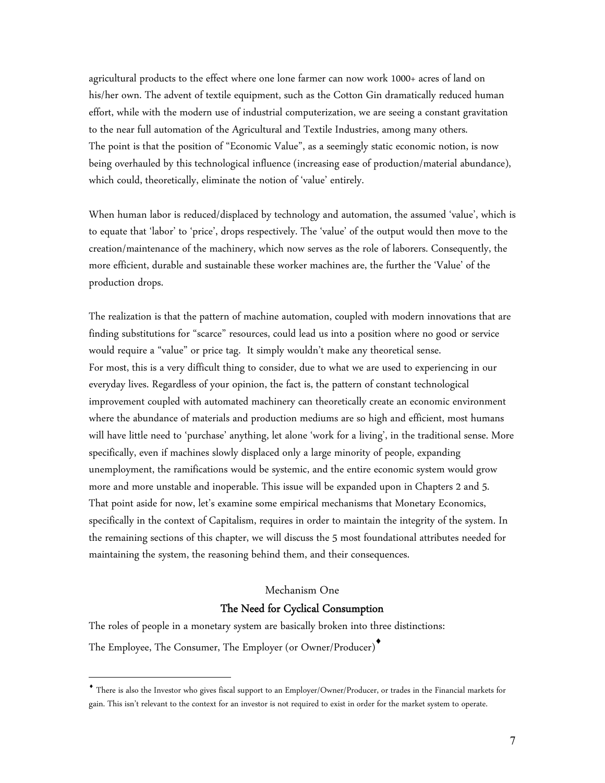agricultural products to the effect where one lone farmer can now work 1000+ acres of land on his/her own. The advent of textile equipment, such as the Cotton Gin dramatically reduced human effort, while with the modern use of industrial computerization, we are seeing a constant gravitation to the near full automation of the Agricultural and Textile Industries, among many others. The point is that the position of "Economic Value", as a seemingly static economic notion, is now being overhauled by this technological influence (increasing ease of production/material abundance), which could, theoretically, eliminate the notion of 'value' entirely.

When human labor is reduced/displaced by technology and automation, the assumed 'value', which is to equate that 'labor' to 'price', drops respectively. The 'value' of the output would then move to the creation/maintenance of the machinery, which now serves as the role of laborers. Consequently, the more efficient, durable and sustainable these worker machines are, the further the 'Value' of the production drops.

The realization is that the pattern of machine automation, coupled with modern innovations that are finding substitutions for "scarce" resources, could lead us into a position where no good or service would require a "value" or price tag. It simply wouldn't make any theoretical sense. For most, this is a very difficult thing to consider, due to what we are used to experiencing in our everyday lives. Regardless of your opinion, the fact is, the pattern of constant technological improvement coupled with automated machinery can theoretically create an economic environment where the abundance of materials and production mediums are so high and efficient, most humans will have little need to 'purchase' anything, let alone 'work for a living', in the traditional sense. More specifically, even if machines slowly displaced only a large minority of people, expanding unemployment, the ramifications would be systemic, and the entire economic system would grow more and more unstable and inoperable. This issue will be expanded upon in Chapters 2 and 5. That point aside for now, let's examine some empirical mechanisms that Monetary Economics, specifically in the context of Capitalism, requires in order to maintain the integrity of the system. In the remaining sections of this chapter, we will discuss the 5 most foundational attributes needed for maintaining the system, the reasoning behind them, and their consequences.

## Mechanism One The Need for Cyclical Consumption

The roles of people in a monetary system are basically broken into three distinctions:

The Employee, The Consumer, The Employer (or Owner/Producer)

There is also the Investor who gives fiscal support to an Employer/Owner/Producer, or trades in the Financial markets for gain. This isn't relevant to the context for an investor is not required to exist in order for the market system to operate.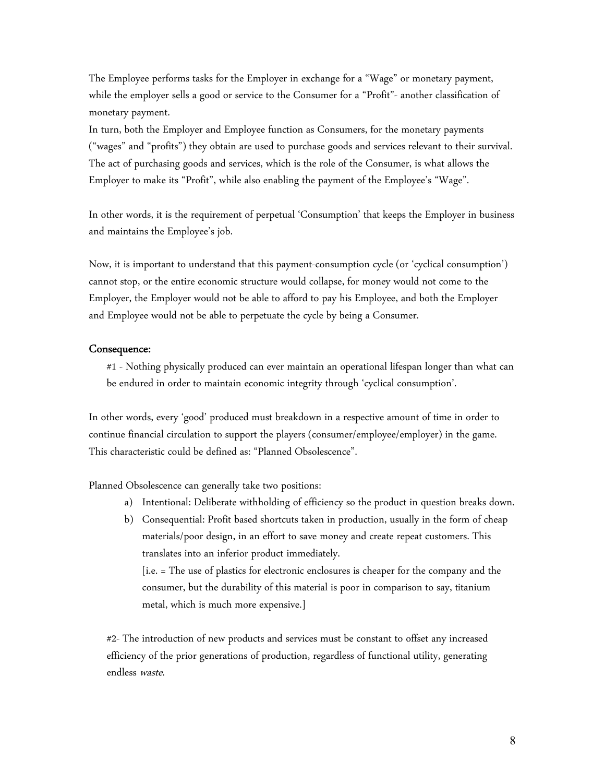The Employee performs tasks for the Employer in exchange for a "Wage" or monetary payment, while the employer sells a good or service to the Consumer for a "Profit"- another classification of monetary payment.

In turn, both the Employer and Employee function as Consumers, for the monetary payments ("wages" and "profits") they obtain are used to purchase goods and services relevant to their survival. The act of purchasing goods and services, which is the role of the Consumer, is what allows the Employer to make its "Profit", while also enabling the payment of the Employee's "Wage".

In other words, it is the requirement of perpetual 'Consumption' that keeps the Employer in business and maintains the Employee's job.

Now, it is important to understand that this payment-consumption cycle (or 'cyclical consumption') cannot stop, or the entire economic structure would collapse, for money would not come to the Employer, the Employer would not be able to afford to pay his Employee, and both the Employer and Employee would not be able to perpetuate the cycle by being a Consumer.

#### Consequence:

#1 - Nothing physically produced can ever maintain an operational lifespan longer than what can be endured in order to maintain economic integrity through 'cyclical consumption'.

In other words, every 'good' produced must breakdown in a respective amount of time in order to continue financial circulation to support the players (consumer/employee/employer) in the game. This characteristic could be defined as: "Planned Obsolescence".

Planned Obsolescence can generally take two positions:

- a) Intentional: Deliberate withholding of efficiency so the product in question breaks down.
- b) Consequential: Profit based shortcuts taken in production, usually in the form of cheap materials/poor design, in an effort to save money and create repeat customers. This translates into an inferior product immediately. [i.e. = The use of plastics for electronic enclosures is cheaper for the company and the consumer, but the durability of this material is poor in comparison to say, titanium

metal, which is much more expensive.]

#2- The introduction of new products and services must be constant to offset any increased efficiency of the prior generations of production, regardless of functional utility, generating endless waste.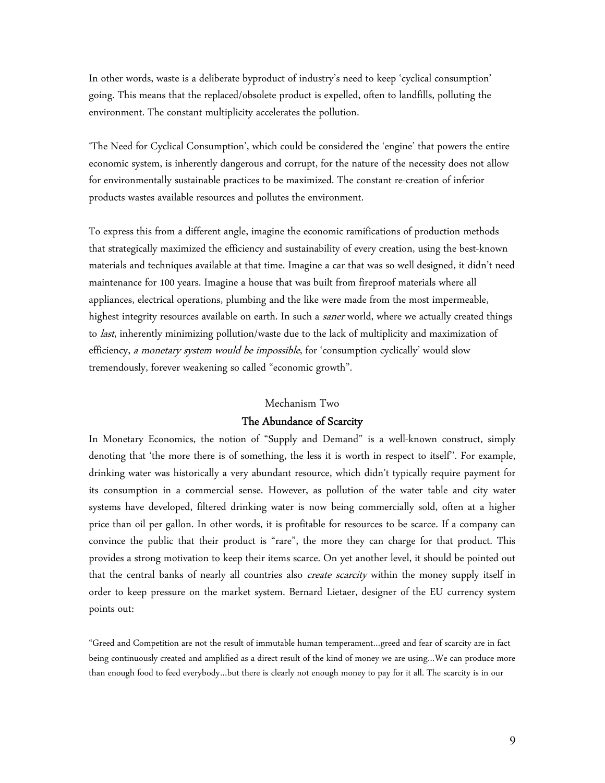In other words, waste is a deliberate byproduct of industry's need to keep 'cyclical consumption' going. This means that the replaced/obsolete product is expelled, often to landfills, polluting the environment. The constant multiplicity accelerates the pollution.

'The Need for Cyclical Consumption', which could be considered the 'engine' that powers the entire economic system, is inherently dangerous and corrupt, for the nature of the necessity does not allow for environmentally sustainable practices to be maximized. The constant re-creation of inferior products wastes available resources and pollutes the environment.

To express this from a different angle, imagine the economic ramifications of production methods that strategically maximized the efficiency and sustainability of every creation, using the best-known materials and techniques available at that time. Imagine a car that was so well designed, it didn't need maintenance for 100 years. Imagine a house that was built from fireproof materials where all appliances, electrical operations, plumbing and the like were made from the most impermeable, highest integrity resources available on earth. In such a *saner* world, where we actually created things to *last*, inherently minimizing pollution/waste due to the lack of multiplicity and maximization of efficiency, a monetary system would be impossible, for 'consumption cyclically' would slow tremendously, forever weakening so called "economic growth".

#### Mechanism Two

#### The Abundance of Scarcity

In Monetary Economics, the notion of "Supply and Demand" is a well-known construct, simply denoting that 'the more there is of something, the less it is worth in respect to itself''. For example, drinking water was historically a very abundant resource, which didn't typically require payment for its consumption in a commercial sense. However, as pollution of the water table and city water systems have developed, filtered drinking water is now being commercially sold, often at a higher price than oil per gallon. In other words, it is profitable for resources to be scarce. If a company can convince the public that their product is "rare", the more they can charge for that product. This provides a strong motivation to keep their items scarce. On yet another level, it should be pointed out that the central banks of nearly all countries also *create scarcity* within the money supply itself in order to keep pressure on the market system. Bernard Lietaer, designer of the EU currency system points out:

"Greed and Competition are not the result of immutable human temperament…greed and fear of scarcity are in fact being continuously created and amplified as a direct result of the kind of money we are using…We can produce more than enough food to feed everybody…but there is clearly not enough money to pay for it all. The scarcity is in our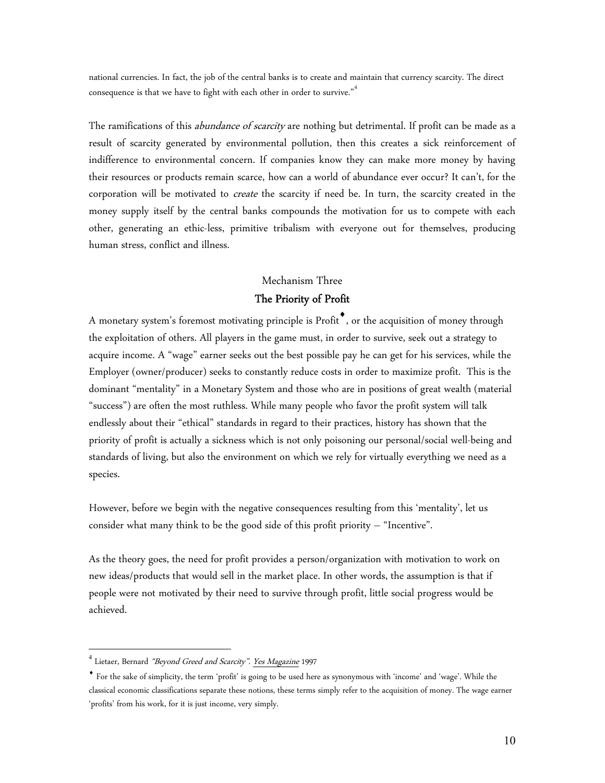national currencies. In fact, the job of the central banks is to create and maintain that currency scarcity. The direct consequence is that we have to fight with each other in order to survive."<sup>4</sup>

The ramifications of this *abundance of scarcity* are nothing but detrimental. If profit can be made as a result of scarcity generated by environmental pollution, then this creates a sick reinforcement of indifference to environmental concern. If companies know they can make more money by having their resources or products remain scarce, how can a world of abundance ever occur? It can't, for the corporation will be motivated to *create* the scarcity if need be. In turn, the scarcity created in the money supply itself by the central banks compounds the motivation for us to compete with each other, generating an ethic-less, primitive tribalism with everyone out for themselves, producing human stress, conflict and illness.

#### Mechanism Three

#### The Priority of Profit

A monetary system's foremost motivating principle is Profit<sup>,</sup> or the acquisition of money through the exploitation of others. All players in the game must, in order to survive, seek out a strategy to acquire income. A "wage" earner seeks out the best possible pay he can get for his services, while the Employer (owner/producer) seeks to constantly reduce costs in order to maximize profit. This is the dominant "mentality" in a Monetary System and those who are in positions of great wealth (material "success") are often the most ruthless. While many people who favor the profit system will talk endlessly about their "ethical" standards in regard to their practices, history has shown that the priority of profit is actually a sickness which is not only poisoning our personal/social well-being and standards of living, but also the environment on which we rely for virtually everything we need as a species.

However, before we begin with the negative consequences resulting from this 'mentality', let us consider what many think to be the good side of this profit priority – "Incentive".

As the theory goes, the need for profit provides a person/organization with motivation to work on new ideas/products that would sell in the market place. In other words, the assumption is that if people were not motivated by their need to survive through profit, little social progress would be achieved.

<sup>&</sup>lt;sup>4</sup> Lietaer, Bernard "Beyond Greed and Scarcity". Yes Magazine 1997

For the sake of simplicity, the term 'profit' is going to be used here as synonymous with 'income' and 'wage'. While the classical economic classifications separate these notions, these terms simply refer to the acquisition of money. The wage earner 'profits' from his work, for it is just income, very simply.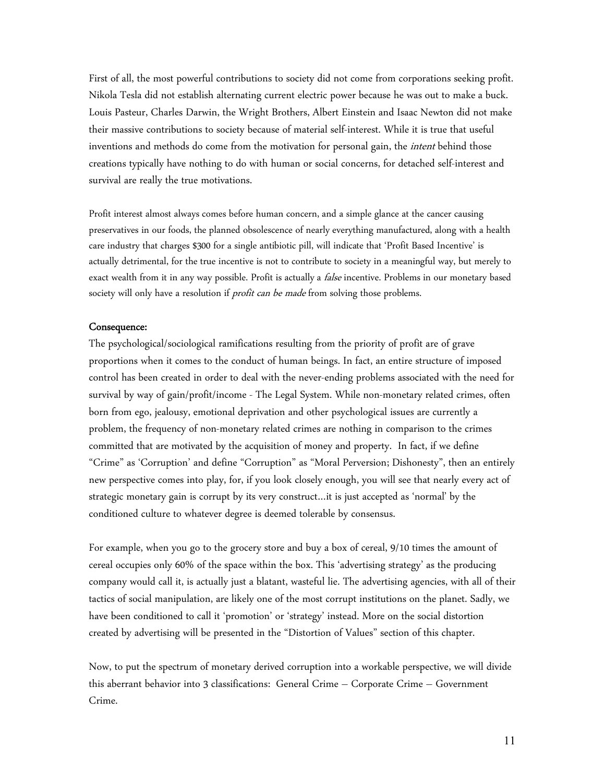First of all, the most powerful contributions to society did not come from corporations seeking profit. Nikola Tesla did not establish alternating current electric power because he was out to make a buck. Louis Pasteur, Charles Darwin, the Wright Brothers, Albert Einstein and Isaac Newton did not make their massive contributions to society because of material self-interest. While it is true that useful inventions and methods do come from the motivation for personal gain, the *intent* behind those creations typically have nothing to do with human or social concerns, for detached self-interest and survival are really the true motivations.

Profit interest almost always comes before human concern, and a simple glance at the cancer causing preservatives in our foods, the planned obsolescence of nearly everything manufactured, along with a health care industry that charges \$300 for a single antibiotic pill, will indicate that 'Profit Based Incentive' is actually detrimental, for the true incentive is not to contribute to society in a meaningful way, but merely to exact wealth from it in any way possible. Profit is actually a *false* incentive. Problems in our monetary based society will only have a resolution if *profit can be made* from solving those problems.

#### Consequence:

The psychological/sociological ramifications resulting from the priority of profit are of grave proportions when it comes to the conduct of human beings. In fact, an entire structure of imposed control has been created in order to deal with the never-ending problems associated with the need for survival by way of gain/profit/income - The Legal System. While non-monetary related crimes, often born from ego, jealousy, emotional deprivation and other psychological issues are currently a problem, the frequency of non-monetary related crimes are nothing in comparison to the crimes committed that are motivated by the acquisition of money and property. In fact, if we define "Crime" as 'Corruption' and define "Corruption" as "Moral Perversion; Dishonesty", then an entirely new perspective comes into play, for, if you look closely enough, you will see that nearly every act of strategic monetary gain is corrupt by its very construct…it is just accepted as 'normal' by the conditioned culture to whatever degree is deemed tolerable by consensus.

For example, when you go to the grocery store and buy a box of cereal, 9/10 times the amount of cereal occupies only 60% of the space within the box. This 'advertising strategy' as the producing company would call it, is actually just a blatant, wasteful lie. The advertising agencies, with all of their tactics of social manipulation, are likely one of the most corrupt institutions on the planet. Sadly, we have been conditioned to call it 'promotion' or 'strategy' instead. More on the social distortion created by advertising will be presented in the "Distortion of Values" section of this chapter.

Now, to put the spectrum of monetary derived corruption into a workable perspective, we will divide this aberrant behavior into 3 classifications: General Crime – Corporate Crime – Government Crime.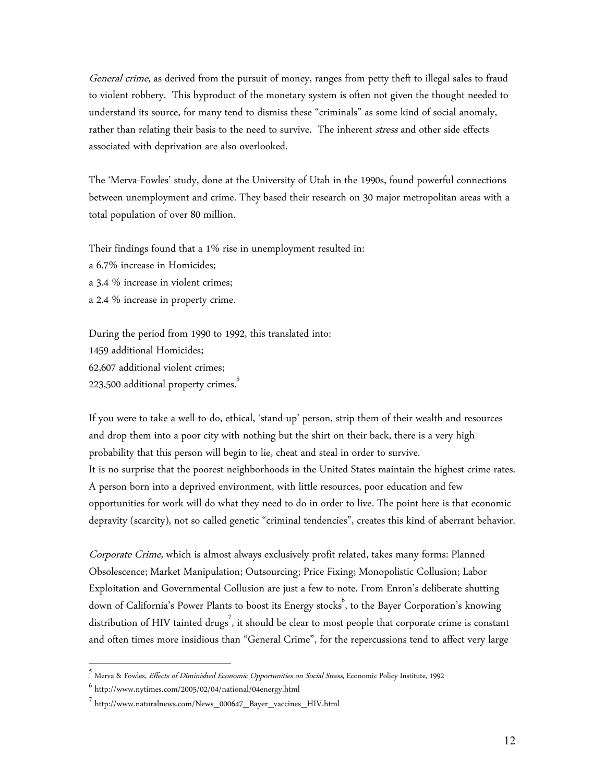General crime, as derived from the pursuit of money, ranges from petty theft to illegal sales to fraud to violent robbery. This byproduct of the monetary system is often not given the thought needed to understand its source, for many tend to dismiss these "criminals" as some kind of social anomaly, rather than relating their basis to the need to survive. The inherent stress and other side effects associated with deprivation are also overlooked.

The 'Merva-Fowles' study, done at the University of Utah in the 1990s, found powerful connections between unemployment and crime. They based their research on 30 major metropolitan areas with a total population of over 80 million.

Their findings found that a 1% rise in unemployment resulted in:

a 6.7% increase in Homicides;

a 3.4 % increase in violent crimes;

a 2.4 % increase in property crime.

During the period from 1990 to 1992, this translated into: 1459 additional Homicides; 62,607 additional violent crimes; 223,500 additional property crimes.<sup>5</sup>

If you were to take a well-to-do, ethical, 'stand-up' person, strip them of their wealth and resources and drop them into a poor city with nothing but the shirt on their back, there is a very high probability that this person will begin to lie, cheat and steal in order to survive. It is no surprise that the poorest neighborhoods in the United States maintain the highest crime rates. A person born into a deprived environment, with little resources, poor education and few opportunities for work will do what they need to do in order to live. The point here is that economic depravity (scarcity), not so called genetic "criminal tendencies", creates this kind of aberrant behavior.

Corporate Crime, which is almost always exclusively profit related, takes many forms: Planned Obsolescence; Market Manipulation; Outsourcing; Price Fixing; Monopolistic Collusion; Labor Exploitation and Governmental Collusion are just a few to note. From Enron's deliberate shutting down of California's Power Plants to boost its Energy stocks<sup>6</sup>, to the Bayer Corporation's knowing distribution of HIV tainted drugs<sup>7</sup>, it should be clear to most people that corporate crime is constant and often times more insidious than "General Crime", for the repercussions tend to affect very large

<sup>5</sup> Merva & Fowles, Effects of Diminished Economic Opportunities on Social Stress, Economic Policy Institute, 1992

<sup>6</sup> http://www.nytimes.com/2005/02/04/national/04energy.html

 $^{7}$  http://www.naturalnews.com/News\_000647\_Bayer\_vaccines\_HIV.html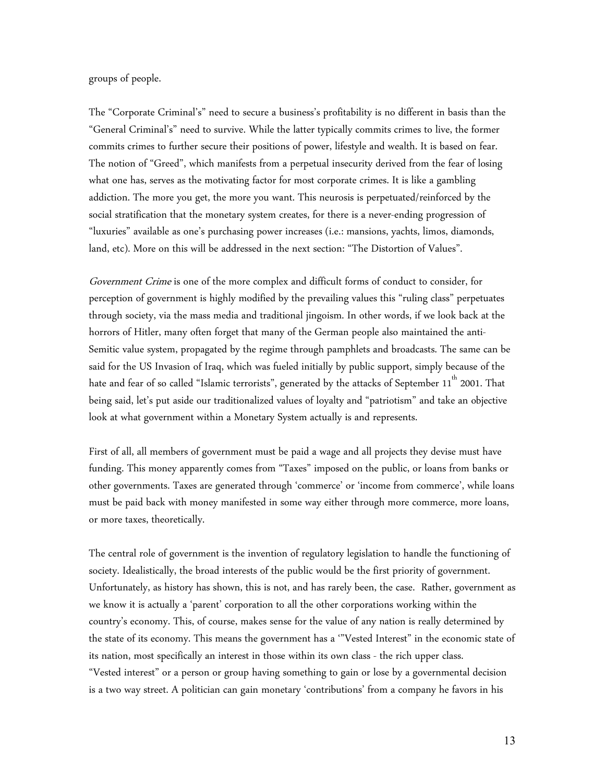groups of people.

The "Corporate Criminal's" need to secure a business's profitability is no different in basis than the "General Criminal's" need to survive. While the latter typically commits crimes to live, the former commits crimes to further secure their positions of power, lifestyle and wealth. It is based on fear. The notion of "Greed", which manifests from a perpetual insecurity derived from the fear of losing what one has, serves as the motivating factor for most corporate crimes. It is like a gambling addiction. The more you get, the more you want. This neurosis is perpetuated/reinforced by the social stratification that the monetary system creates, for there is a never-ending progression of "luxuries" available as one's purchasing power increases (i.e.: mansions, yachts, limos, diamonds, land, etc). More on this will be addressed in the next section: "The Distortion of Values".

Government Crime is one of the more complex and difficult forms of conduct to consider, for perception of government is highly modified by the prevailing values this "ruling class" perpetuates through society, via the mass media and traditional jingoism. In other words, if we look back at the horrors of Hitler, many often forget that many of the German people also maintained the anti-Semitic value system, propagated by the regime through pamphlets and broadcasts. The same can be said for the US Invasion of Iraq, which was fueled initially by public support, simply because of the hate and fear of so called "Islamic terrorists", generated by the attacks of September 11<sup>th</sup> 2001. That being said, let's put aside our traditionalized values of loyalty and "patriotism" and take an objective look at what government within a Monetary System actually is and represents.

First of all, all members of government must be paid a wage and all projects they devise must have funding. This money apparently comes from "Taxes" imposed on the public, or loans from banks or other governments. Taxes are generated through 'commerce' or 'income from commerce', while loans must be paid back with money manifested in some way either through more commerce, more loans, or more taxes, theoretically.

The central role of government is the invention of regulatory legislation to handle the functioning of society. Idealistically, the broad interests of the public would be the first priority of government. Unfortunately, as history has shown, this is not, and has rarely been, the case. Rather, government as we know it is actually a 'parent' corporation to all the other corporations working within the country's economy. This, of course, makes sense for the value of any nation is really determined by the state of its economy. This means the government has a '"Vested Interest" in the economic state of its nation, most specifically an interest in those within its own class - the rich upper class. "Vested interest" or a person or group having something to gain or lose by a governmental decision is a two way street. A politician can gain monetary 'contributions' from a company he favors in his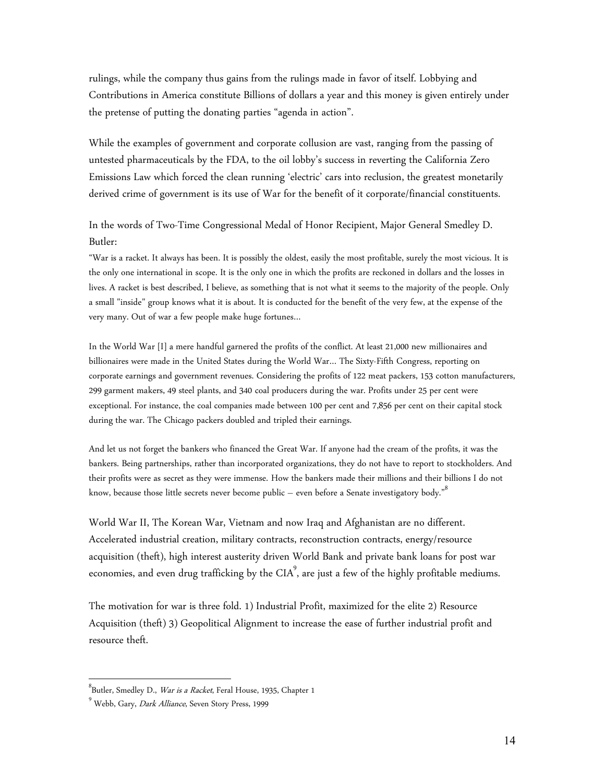rulings, while the company thus gains from the rulings made in favor of itself. Lobbying and Contributions in America constitute Billions of dollars a year and this money is given entirely under the pretense of putting the donating parties "agenda in action".

While the examples of government and corporate collusion are vast, ranging from the passing of untested pharmaceuticals by the FDA, to the oil lobby's success in reverting the California Zero Emissions Law which forced the clean running 'electric' cars into reclusion, the greatest monetarily derived crime of government is its use of War for the benefit of it corporate/financial constituents.

In the words of Two-Time Congressional Medal of Honor Recipient, Major General Smedley D. Butler:

"War is a racket. It always has been. It is possibly the oldest, easily the most profitable, surely the most vicious. It is the only one international in scope. It is the only one in which the profits are reckoned in dollars and the losses in lives. A racket is best described, I believe, as something that is not what it seems to the majority of the people. Only a small "inside" group knows what it is about. It is conducted for the benefit of the very few, at the expense of the very many. Out of war a few people make huge fortunes…

In the World War [I] a mere handful garnered the profits of the conflict. At least 21,000 new millionaires and billionaires were made in the United States during the World War… The Sixty-Fifth Congress, reporting on corporate earnings and government revenues. Considering the profits of 122 meat packers, 153 cotton manufacturers, 299 garment makers, 49 steel plants, and 340 coal producers during the war. Profits under 25 per cent were exceptional. For instance, the coal companies made between 100 per cent and 7,856 per cent on their capital stock during the war. The Chicago packers doubled and tripled their earnings.

And let us not forget the bankers who financed the Great War. If anyone had the cream of the profits, it was the bankers. Being partnerships, rather than incorporated organizations, they do not have to report to stockholders. And their profits were as secret as they were immense. How the bankers made their millions and their billions I do not know, because those little secrets never become public – even before a Senate investigatory body." $^{\circ}$ 

World War II, The Korean War, Vietnam and now Iraq and Afghanistan are no different. Accelerated industrial creation, military contracts, reconstruction contracts, energy/resource acquisition (theft), high interest austerity driven World Bank and private bank loans for post war economies, and even drug trafficking by the CIA $^\circ$ , are just a few of the highly profitable mediums.

The motivation for war is three fold. 1) Industrial Profit, maximized for the elite 2) Resource Acquisition (theft) 3) Geopolitical Alignment to increase the ease of further industrial profit and resource theft.

 $^8$ Butler, Smedley D., *War is a Racket*, Feral House, 1935, Chapter 1<br><sup>9</sup> Wobb, *Cary, Dark Allianes*, Savon Stary Bress, 1999

<sup>&</sup>lt;sup>9</sup> Webb, Gary, *Dark Alliance*, Seven Story Press, 1999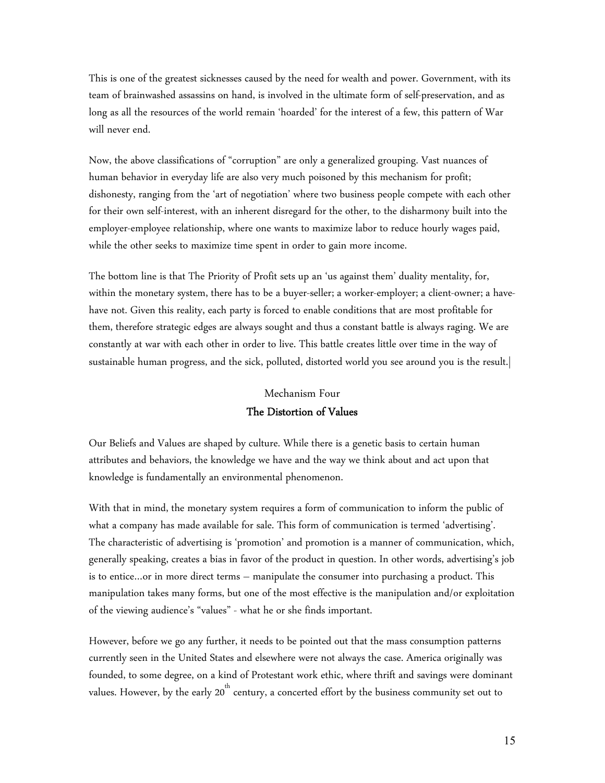This is one of the greatest sicknesses caused by the need for wealth and power. Government, with its team of brainwashed assassins on hand, is involved in the ultimate form of self-preservation, and as long as all the resources of the world remain 'hoarded' for the interest of a few, this pattern of War will never end.

Now, the above classifications of "corruption" are only a generalized grouping. Vast nuances of human behavior in everyday life are also very much poisoned by this mechanism for profit; dishonesty, ranging from the 'art of negotiation' where two business people compete with each other for their own self-interest, with an inherent disregard for the other, to the disharmony built into the employer-employee relationship, where one wants to maximize labor to reduce hourly wages paid, while the other seeks to maximize time spent in order to gain more income.

The bottom line is that The Priority of Profit sets up an 'us against them' duality mentality, for, within the monetary system, there has to be a buyer-seller; a worker-employer; a client-owner; a havehave not. Given this reality, each party is forced to enable conditions that are most profitable for them, therefore strategic edges are always sought and thus a constant battle is always raging. We are constantly at war with each other in order to live. This battle creates little over time in the way of sustainable human progress, and the sick, polluted, distorted world you see around you is the result.|

## Mechanism Four The Distortion of Values

Our Beliefs and Values are shaped by culture. While there is a genetic basis to certain human attributes and behaviors, the knowledge we have and the way we think about and act upon that knowledge is fundamentally an environmental phenomenon.

With that in mind, the monetary system requires a form of communication to inform the public of what a company has made available for sale. This form of communication is termed 'advertising'. The characteristic of advertising is 'promotion' and promotion is a manner of communication, which, generally speaking, creates a bias in favor of the product in question. In other words, advertising's job is to entice…or in more direct terms – manipulate the consumer into purchasing a product. This manipulation takes many forms, but one of the most effective is the manipulation and/or exploitation of the viewing audience's "values" - what he or she finds important.

However, before we go any further, it needs to be pointed out that the mass consumption patterns currently seen in the United States and elsewhere were not always the case. America originally was founded, to some degree, on a kind of Protestant work ethic, where thrift and savings were dominant values. However, by the early 20 $^{\rm th}$  century, a concerted effort by the business community set out to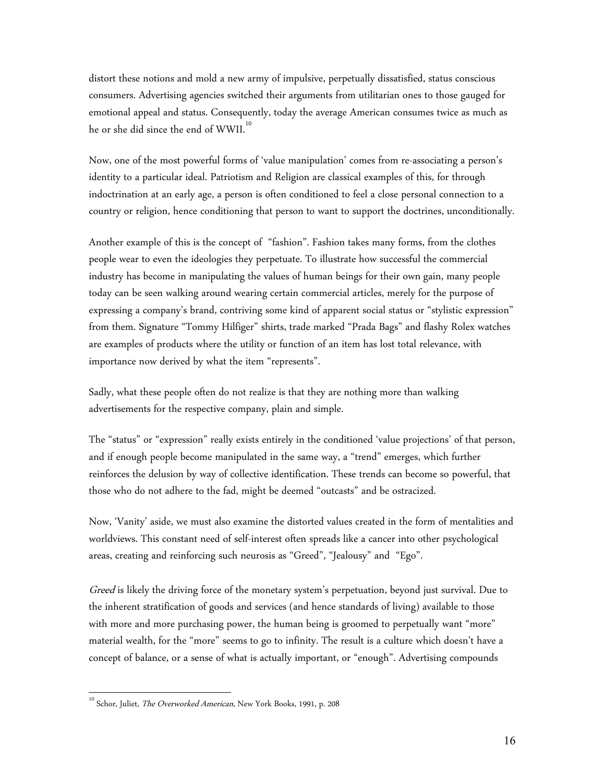distort these notions and mold a new army of impulsive, perpetually dissatisfied, status conscious consumers. Advertising agencies switched their arguments from utilitarian ones to those gauged for emotional appeal and status. Consequently, today the average American consumes twice as much as he or she did since the end of WWII.<sup>10</sup>

Now, one of the most powerful forms of 'value manipulation' comes from re-associating a person's identity to a particular ideal. Patriotism and Religion are classical examples of this, for through indoctrination at an early age, a person is often conditioned to feel a close personal connection to a country or religion, hence conditioning that person to want to support the doctrines, unconditionally.

Another example of this is the concept of "fashion". Fashion takes many forms, from the clothes people wear to even the ideologies they perpetuate. To illustrate how successful the commercial industry has become in manipulating the values of human beings for their own gain, many people today can be seen walking around wearing certain commercial articles, merely for the purpose of expressing a company's brand, contriving some kind of apparent social status or "stylistic expression" from them. Signature "Tommy Hilfiger" shirts, trade marked "Prada Bags" and flashy Rolex watches are examples of products where the utility or function of an item has lost total relevance, with importance now derived by what the item "represents".

Sadly, what these people often do not realize is that they are nothing more than walking advertisements for the respective company, plain and simple.

The "status" or "expression" really exists entirely in the conditioned 'value projections' of that person, and if enough people become manipulated in the same way, a "trend" emerges, which further reinforces the delusion by way of collective identification. These trends can become so powerful, that those who do not adhere to the fad, might be deemed "outcasts" and be ostracized.

Now, 'Vanity' aside, we must also examine the distorted values created in the form of mentalities and worldviews. This constant need of self-interest often spreads like a cancer into other psychological areas, creating and reinforcing such neurosis as "Greed", "Jealousy" and "Ego".

Greed is likely the driving force of the monetary system's perpetuation, beyond just survival. Due to the inherent stratification of goods and services (and hence standards of living) available to those with more and more purchasing power, the human being is groomed to perpetually want "more" material wealth, for the "more" seems to go to infinity. The result is a culture which doesn't have a concept of balance, or a sense of what is actually important, or "enough". Advertising compounds

 $^{10}$  Schor, Juliet, *The Overworked American*, New York Books, 1991, p. 208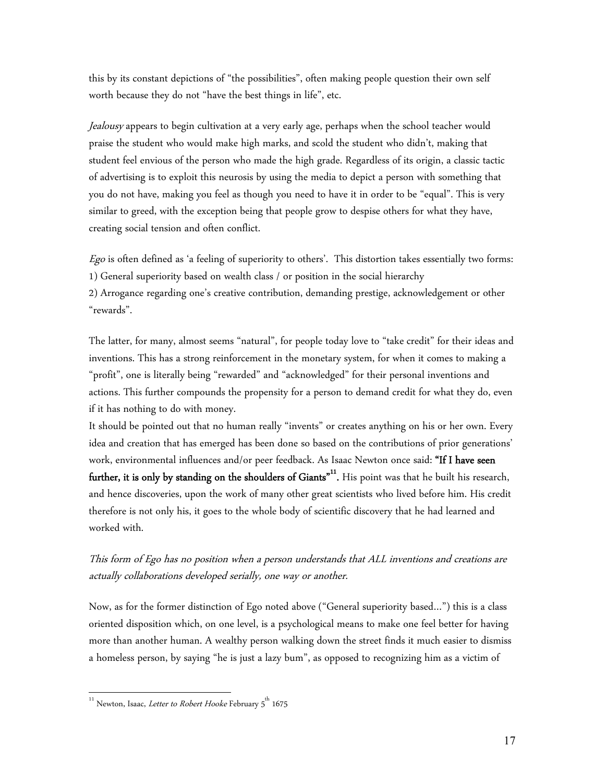this by its constant depictions of "the possibilities", often making people question their own self worth because they do not "have the best things in life", etc.

Jealousy appears to begin cultivation at a very early age, perhaps when the school teacher would praise the student who would make high marks, and scold the student who didn't, making that student feel envious of the person who made the high grade. Regardless of its origin, a classic tactic of advertising is to exploit this neurosis by using the media to depict a person with something that you do not have, making you feel as though you need to have it in order to be "equal". This is very similar to greed, with the exception being that people grow to despise others for what they have, creating social tension and often conflict.

Ego is often defined as 'a feeling of superiority to others'. This distortion takes essentially two forms:

1) General superiority based on wealth class / or position in the social hierarchy

2) Arrogance regarding one's creative contribution, demanding prestige, acknowledgement or other "rewards".

The latter, for many, almost seems "natural", for people today love to "take credit" for their ideas and inventions. This has a strong reinforcement in the monetary system, for when it comes to making a "profit", one is literally being "rewarded" and "acknowledged" for their personal inventions and actions. This further compounds the propensity for a person to demand credit for what they do, even if it has nothing to do with money.

It should be pointed out that no human really "invents" or creates anything on his or her own. Every idea and creation that has emerged has been done so based on the contributions of prior generations' work, environmental influences and/or peer feedback. As Isaac Newton once said: "If I have seen further, it is only by standing on the shoulders of Giants $^{\tt^{nl}}$ . His point was that he built his research, and hence discoveries, upon the work of many other great scientists who lived before him. His credit therefore is not only his, it goes to the whole body of scientific discovery that he had learned and worked with.

## This form of Ego has no position when a person understands that ALL inventions and creations are actually collaborations developed serially, one way or another.

Now, as for the former distinction of Ego noted above ("General superiority based…") this is a class oriented disposition which, on one level, is a psychological means to make one feel better for having more than another human. A wealthy person walking down the street finds it much easier to dismiss a homeless person, by saying "he is just a lazy bum", as opposed to recognizing him as a victim of

 $\overline{a}$  $^{\text{\tiny{11}}}$  Newton, Isaac, *Letter to Robert Hooke* February 5 $^{\text{\tiny{th}}}$  1675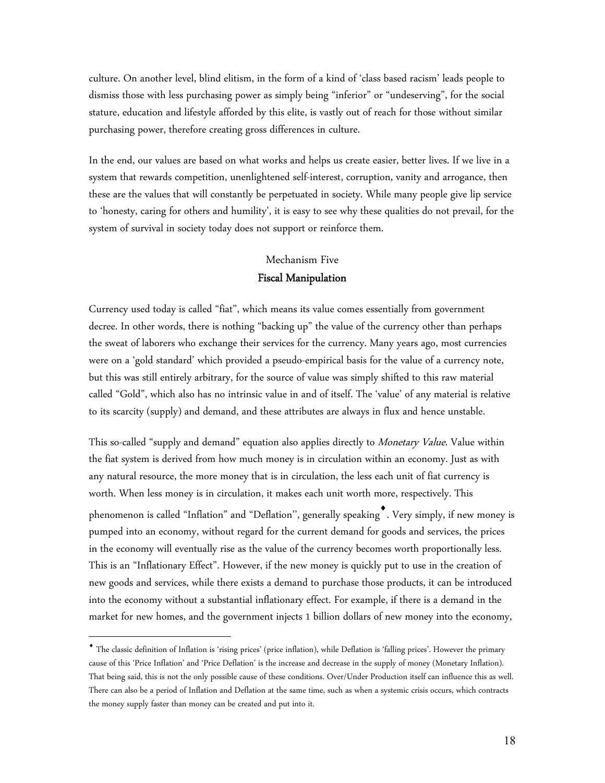culture. On another level, blind elitism, in the form of a kind of 'class based racism' leads people to dismiss those with less purchasing power as simply being "inferior" or "undeserving", for the social stature, education and lifestyle afforded by this elite, is vastly out of reach for those without similar purchasing power, therefore creating gross differences in culture.

In the end, our values are based on what works and helps us create easier, better lives. If we live in a system that rewards competition, unenlightened self-interest, corruption, vanity and arrogance, then these are the values that will constantly be perpetuated in society. While many people give lip service to 'honesty, caring for others and humility', it is easy to see why these qualities do not prevail, for the system of survival in society today does not support or reinforce them.

### Mechanism Five Fiscal Manipulation

Currency used today is called "fiat", which means its value comes essentially from government decree. In other words, there is nothing "backing up" the value of the currency other than perhaps the sweat of laborers who exchange their services for the currency. Many years ago, most currencies were on a 'gold standard' which provided a pseudo-empirical basis for the value of a currency note, but this was still entirely arbitrary, for the source of value was simply shifted to this raw material called "Gold", which also has no intrinsic value in and of itself. The 'value' of any material is relative to its scarcity (supply) and demand, and these attributes are always in flux and hence unstable.

This so-called "supply and demand" equation also applies directly to Monetary Value. Value within the fiat system is derived from how much money is in circulation within an economy. Just as with any natural resource, the more money that is in circulation, the less each unit of fiat currency is worth. When less money is in circulation, it makes each unit worth more, respectively. This phenomenon is called "Inflation" and "Deflation", generally speaking. Very simply, if new money is pumped into an economy, without regard for the current demand for goods and services, the prices in the economy will eventually rise as the value of the currency becomes worth proportionally less. This is an "Inflationary Effect". However, if the new money is quickly put to use in the creation of new goods and services, while there exists a demand to purchase those products, it can be introduced into the economy without a substantial inflationary effect. For example, if there is a demand in the market for new homes, and the government injects 1 billion dollars of new money into the economy,

The classic definition of Inflation is 'rising prices' (price inflation), while Deflation is 'falling prices'. However the primary cause of this 'Price Inflation' and 'Price Deflation' is the increase and decrease in the supply of money (Monetary Inflation). That being said, this is not the only possible cause of these conditions. Over/Under Production itself can influence this as well. There can also be a period of Inflation and Deflation at the same time, such as when a systemic crisis occurs, which contracts the money supply faster than money can be created and put into it.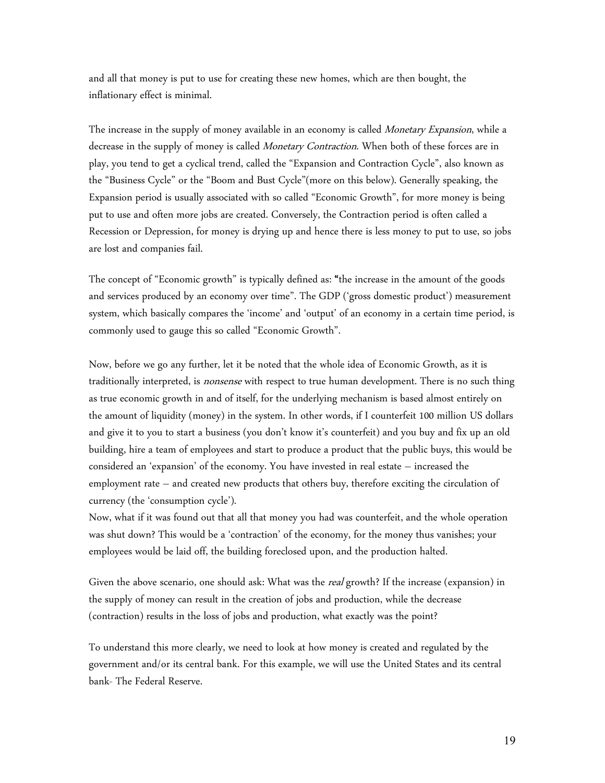and all that money is put to use for creating these new homes, which are then bought, the inflationary effect is minimal.

The increase in the supply of money available in an economy is called Monetary Expansion, while a decrease in the supply of money is called Monetary Contraction. When both of these forces are in play, you tend to get a cyclical trend, called the "Expansion and Contraction Cycle", also known as the "Business Cycle" or the "Boom and Bust Cycle"(more on this below). Generally speaking, the Expansion period is usually associated with so called "Economic Growth", for more money is being put to use and often more jobs are created. Conversely, the Contraction period is often called a Recession or Depression, for money is drying up and hence there is less money to put to use, so jobs are lost and companies fail.

The concept of "Economic growth" is typically defined as: "the increase in the amount of the goods and services produced by an economy over time". The GDP ('gross domestic product') measurement system, which basically compares the 'income' and 'output' of an economy in a certain time period, is commonly used to gauge this so called "Economic Growth".

Now, before we go any further, let it be noted that the whole idea of Economic Growth, as it is traditionally interpreted, is *nonsense* with respect to true human development. There is no such thing as true economic growth in and of itself, for the underlying mechanism is based almost entirely on the amount of liquidity (money) in the system. In other words, if I counterfeit 100 million US dollars and give it to you to start a business (you don't know it's counterfeit) and you buy and fix up an old building, hire a team of employees and start to produce a product that the public buys, this would be considered an 'expansion' of the economy. You have invested in real estate – increased the employment rate – and created new products that others buy, therefore exciting the circulation of currency (the 'consumption cycle').

Now, what if it was found out that all that money you had was counterfeit, and the whole operation was shut down? This would be a 'contraction' of the economy, for the money thus vanishes; your employees would be laid off, the building foreclosed upon, and the production halted.

Given the above scenario, one should ask: What was the real growth? If the increase (expansion) in the supply of money can result in the creation of jobs and production, while the decrease (contraction) results in the loss of jobs and production, what exactly was the point?

To understand this more clearly, we need to look at how money is created and regulated by the government and/or its central bank. For this example, we will use the United States and its central bank- The Federal Reserve.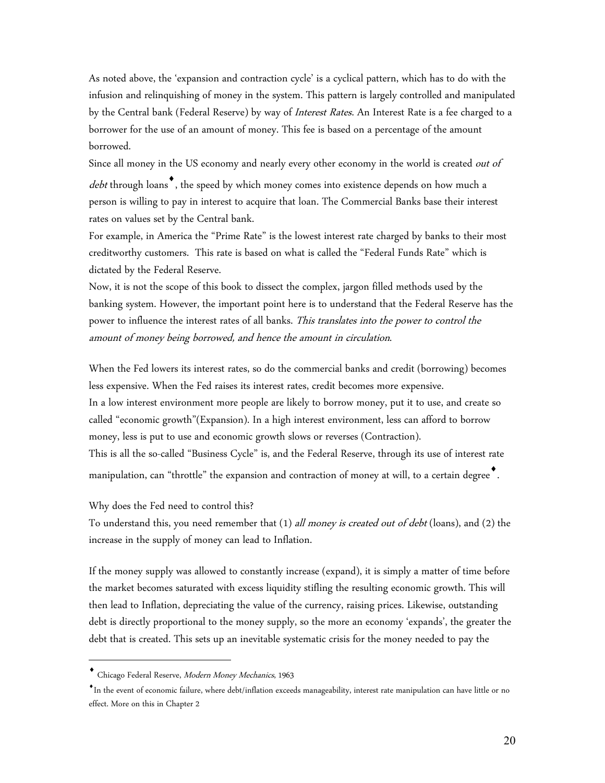As noted above, the 'expansion and contraction cycle' is a cyclical pattern, which has to do with the infusion and relinquishing of money in the system. This pattern is largely controlled and manipulated by the Central bank (Federal Reserve) by way of *Interest Rates*. An Interest Rate is a fee charged to a borrower for the use of an amount of money. This fee is based on a percentage of the amount borrowed.

Since all money in the US economy and nearly every other economy in the world is created out of  $debt$  through loans<sup>,</sup> the speed by which money comes into existence depends on how much a person is willing to pay in interest to acquire that loan. The Commercial Banks base their interest rates on values set by the Central bank.

For example, in America the "Prime Rate" is the lowest interest rate charged by banks to their most creditworthy customers. This rate is based on what is called the "Federal Funds Rate" which is dictated by the Federal Reserve.

Now, it is not the scope of this book to dissect the complex, jargon filled methods used by the banking system. However, the important point here is to understand that the Federal Reserve has the power to influence the interest rates of all banks. This translates into the power to control the amount of money being borrowed, and hence the amount in circulation.

When the Fed lowers its interest rates, so do the commercial banks and credit (borrowing) becomes less expensive. When the Fed raises its interest rates, credit becomes more expensive. In a low interest environment more people are likely to borrow money, put it to use, and create so called "economic growth"(Expansion). In a high interest environment, less can afford to borrow money, less is put to use and economic growth slows or reverses (Contraction). This is all the so-called "Business Cycle" is, and the Federal Reserve, through its use of interest rate manipulation, can "throttle" the expansion and contraction of money at will, to a certain degree.

Why does the Fed need to control this?

To understand this, you need remember that (1) all money is created out of debt (loans), and (2) the increase in the supply of money can lead to Inflation.

If the money supply was allowed to constantly increase (expand), it is simply a matter of time before the market becomes saturated with excess liquidity stifling the resulting economic growth. This will then lead to Inflation, depreciating the value of the currency, raising prices. Likewise, outstanding debt is directly proportional to the money supply, so the more an economy 'expands', the greater the debt that is created. This sets up an inevitable systematic crisis for the money needed to pay the

Chicago Federal Reserve, Modern Money Mechanics, 1963

In the event of economic failure, where debt/inflation exceeds manageability, interest rate manipulation can have little or no effect. More on this in Chapter 2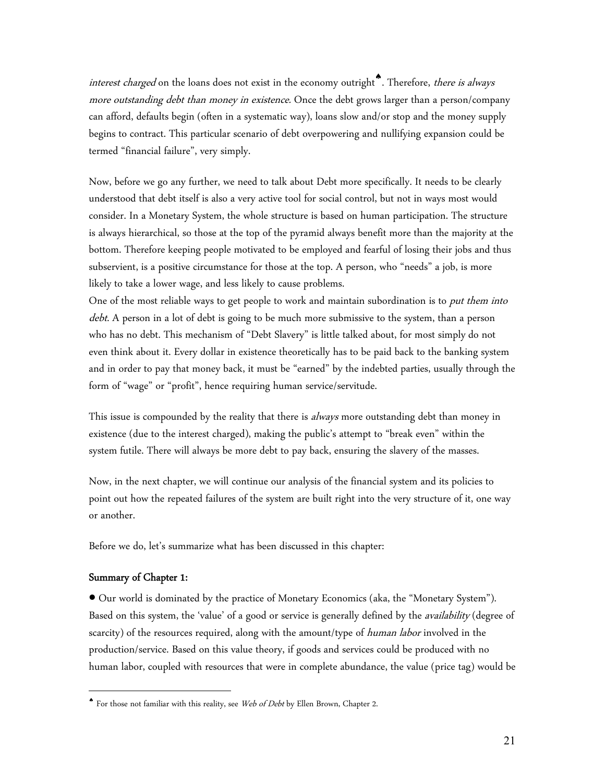interest charged on the loans does not exist in the economy outright . Therefore, there is always more outstanding debt than money in existence. Once the debt grows larger than a person/company can afford, defaults begin (often in a systematic way), loans slow and/or stop and the money supply begins to contract. This particular scenario of debt overpowering and nullifying expansion could be termed "financial failure", very simply.

Now, before we go any further, we need to talk about Debt more specifically. It needs to be clearly understood that debt itself is also a very active tool for social control, but not in ways most would consider. In a Monetary System, the whole structure is based on human participation. The structure is always hierarchical, so those at the top of the pyramid always benefit more than the majority at the bottom. Therefore keeping people motivated to be employed and fearful of losing their jobs and thus subservient, is a positive circumstance for those at the top. A person, who "needs" a job, is more likely to take a lower wage, and less likely to cause problems.

One of the most reliable ways to get people to work and maintain subordination is to put them into debt. A person in a lot of debt is going to be much more submissive to the system, than a person who has no debt. This mechanism of "Debt Slavery" is little talked about, for most simply do not even think about it. Every dollar in existence theoretically has to be paid back to the banking system and in order to pay that money back, it must be "earned" by the indebted parties, usually through the form of "wage" or "profit", hence requiring human service/servitude.

This issue is compounded by the reality that there is *always* more outstanding debt than money in existence (due to the interest charged), making the public's attempt to "break even" within the system futile. There will always be more debt to pay back, ensuring the slavery of the masses.

Now, in the next chapter, we will continue our analysis of the financial system and its policies to point out how the repeated failures of the system are built right into the very structure of it, one way or another.

Before we do, let's summarize what has been discussed in this chapter:

#### Summary of Chapter 1:

 $\overline{a}$ 

 Our world is dominated by the practice of Monetary Economics (aka, the "Monetary System"). Based on this system, the 'value' of a good or service is generally defined by the *availability* (degree of scarcity) of the resources required, along with the amount/type of *human labor* involved in the production/service. Based on this value theory, if goods and services could be produced with no human labor, coupled with resources that were in complete abundance, the value (price tag) would be

<sup>\*</sup> For those not familiar with this reality, see Web of Debt by Ellen Brown, Chapter 2.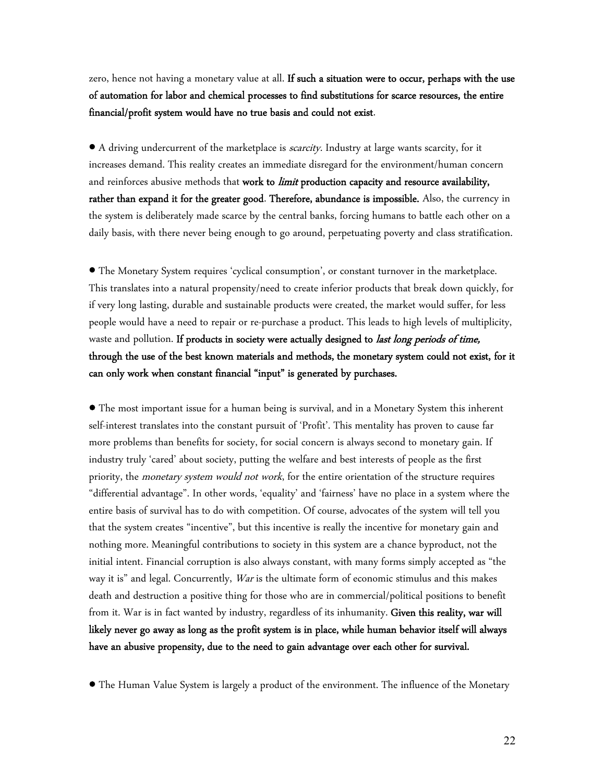zero, hence not having a monetary value at all. If such a situation were to occur, perhaps with the use of automation for labor and chemical processes to find substitutions for scarce resources, the entire financial/profit system would have no true basis and could not exist.

• A driving undercurrent of the marketplace is *scarcity*. Industry at large wants scarcity, for it increases demand. This reality creates an immediate disregard for the environment/human concern and reinforces abusive methods that work to *limit* production capacity and resource availability, rather than expand it for the greater good. Therefore, abundance is impossible. Also, the currency in the system is deliberately made scarce by the central banks, forcing humans to battle each other on a daily basis, with there never being enough to go around, perpetuating poverty and class stratification.

 The Monetary System requires 'cyclical consumption', or constant turnover in the marketplace. This translates into a natural propensity/need to create inferior products that break down quickly, for if very long lasting, durable and sustainable products were created, the market would suffer, for less people would have a need to repair or re-purchase a product. This leads to high levels of multiplicity, waste and pollution. If products in society were actually designed to *last long periods of time*, through the use of the best known materials and methods, the monetary system could not exist, for it can only work when constant financial "input" is generated by purchases.

 The most important issue for a human being is survival, and in a Monetary System this inherent self-interest translates into the constant pursuit of 'Profit'. This mentality has proven to cause far more problems than benefits for society, for social concern is always second to monetary gain. If industry truly 'cared' about society, putting the welfare and best interests of people as the first priority, the monetary system would not work, for the entire orientation of the structure requires "differential advantage". In other words, 'equality' and 'fairness' have no place in a system where the entire basis of survival has to do with competition. Of course, advocates of the system will tell you that the system creates "incentive", but this incentive is really the incentive for monetary gain and nothing more. Meaningful contributions to society in this system are a chance byproduct, not the initial intent. Financial corruption is also always constant, with many forms simply accepted as "the way it is" and legal. Concurrently, War is the ultimate form of economic stimulus and this makes death and destruction a positive thing for those who are in commercial/political positions to benefit from it. War is in fact wanted by industry, regardless of its inhumanity. **Given this reality, war will** likely never go away as long as the profit system is in place, while human behavior itself will always have an abusive propensity, due to the need to gain advantage over each other for survival.

The Human Value System is largely a product of the environment. The influence of the Monetary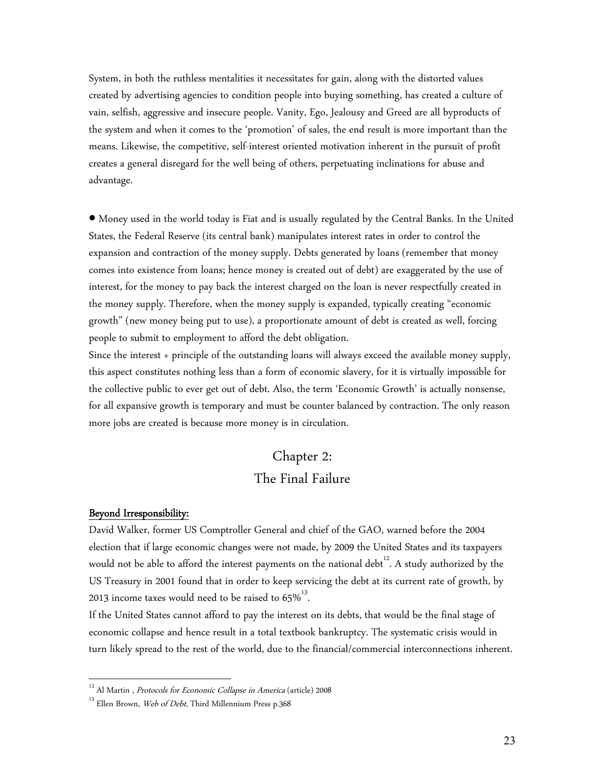System, in both the ruthless mentalities it necessitates for gain, along with the distorted values created by advertising agencies to condition people into buying something, has created a culture of vain, selfish, aggressive and insecure people. Vanity, Ego, Jealousy and Greed are all byproducts of the system and when it comes to the 'promotion' of sales, the end result is more important than the means. Likewise, the competitive, self-interest oriented motivation inherent in the pursuit of profit creates a general disregard for the well being of others, perpetuating inclinations for abuse and advantage.

 Money used in the world today is Fiat and is usually regulated by the Central Banks. In the United States, the Federal Reserve (its central bank) manipulates interest rates in order to control the expansion and contraction of the money supply. Debts generated by loans (remember that money comes into existence from loans; hence money is created out of debt) are exaggerated by the use of interest, for the money to pay back the interest charged on the loan is never respectfully created in the money supply. Therefore, when the money supply is expanded, typically creating "economic growth" (new money being put to use), a proportionate amount of debt is created as well, forcing people to submit to employment to afford the debt obligation.

Since the interest + principle of the outstanding loans will always exceed the available money supply, this aspect constitutes nothing less than a form of economic slavery, for it is virtually impossible for the collective public to ever get out of debt. Also, the term 'Economic Growth' is actually nonsense, for all expansive growth is temporary and must be counter balanced by contraction. The only reason more jobs are created is because more money is in circulation.

## Chapter 2: The Final Failure

#### Beyond Irresponsibility:

 $\overline{a}$ 

David Walker, former US Comptroller General and chief of the GAO, warned before the 2004 election that if large economic changes were not made, by 2009 the United States and its taxpayers would not be able to afford the interest payments on the national  $debt<sup>12</sup>$ . A study authorized by the US Treasury in 2001 found that in order to keep servicing the debt at its current rate of growth, by 2013 income taxes would need to be raised to  $65\%^{^{13}}$ .

If the United States cannot afford to pay the interest on its debts, that would be the final stage of economic collapse and hence result in a total textbook bankruptcy. The systematic crisis would in turn likely spread to the rest of the world, due to the financial/commercial interconnections inherent.

<sup>&</sup>lt;sup>12</sup> Al Martin , *Protocols for Economic Collapse in America* (article) 2008<br><sup>13</sup> Ellen Brown, *Web of Debt*, Third Millennium Press p.368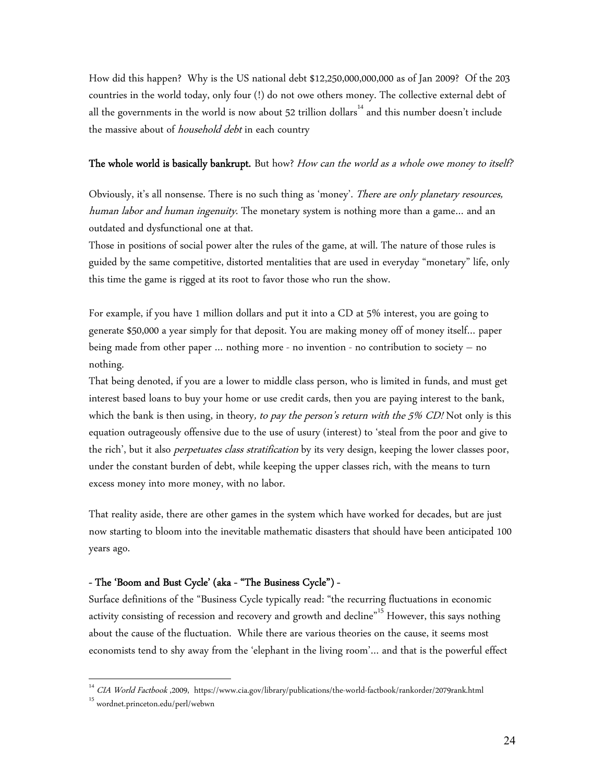How did this happen? Why is the US national debt \$12,250,000,000,000 as of Jan 2009? Of the 203 countries in the world today, only four (!) do not owe others money. The collective external debt of all the governments in the world is now about  $52$  trillion dollars<sup>14</sup> and this number doesn't include the massive about of *household debt* in each country

#### The whole world is basically bankrupt. But how? How can the world as a whole owe money to itself?

Obviously, it's all nonsense. There is no such thing as 'money'. There are only planetary resources, human labor and human ingenuity. The monetary system is nothing more than a game... and an outdated and dysfunctional one at that.

Those in positions of social power alter the rules of the game, at will. The nature of those rules is guided by the same competitive, distorted mentalities that are used in everyday "monetary" life, only this time the game is rigged at its root to favor those who run the show.

For example, if you have 1 million dollars and put it into a CD at 5% interest, you are going to generate \$50,000 a year simply for that deposit. You are making money off of money itself… paper being made from other paper … nothing more - no invention - no contribution to society – no nothing.

That being denoted, if you are a lower to middle class person, who is limited in funds, and must get interest based loans to buy your home or use credit cards, then you are paying interest to the bank, which the bank is then using, in theory, to pay the person's return with the 5% CD! Not only is this equation outrageously offensive due to the use of usury (interest) to 'steal from the poor and give to the rich', but it also *perpetuates class stratification* by its very design, keeping the lower classes poor, under the constant burden of debt, while keeping the upper classes rich, with the means to turn excess money into more money, with no labor.

That reality aside, there are other games in the system which have worked for decades, but are just now starting to bloom into the inevitable mathematic disasters that should have been anticipated 100 years ago.

#### - The 'Boom and Bust Cycle' (aka - "The Business Cycle") -

Surface definitions of the "Business Cycle typically read: "the recurring fluctuations in economic activity consisting of recession and recovery and growth and decline"<sup>15</sup> However, this says nothing about the cause of the fluctuation. While there are various theories on the cause, it seems most economists tend to shy away from the 'elephant in the living room'… and that is the powerful effect

<sup>&</sup>lt;sup>14</sup> *CIA World Factbook* ,2009, https://www.cia.gov/library/publications/the-world-factbook/rankorder/2079rank.html<br><sup>15</sup> wordnet.princeton.edu/perl/webwn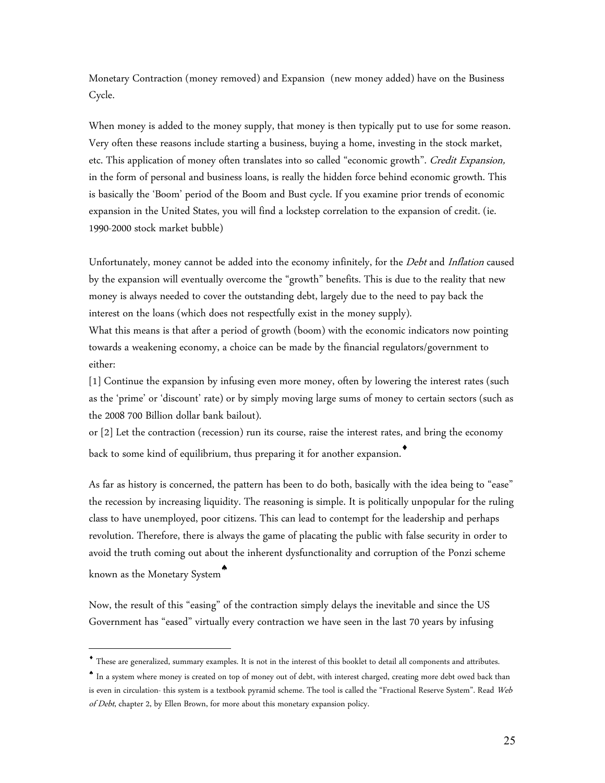Monetary Contraction (money removed) and Expansion (new money added) have on the Business Cycle.

When money is added to the money supply, that money is then typically put to use for some reason. Very often these reasons include starting a business, buying a home, investing in the stock market, etc. This application of money often translates into so called "economic growth". Credit Expansion, in the form of personal and business loans, is really the hidden force behind economic growth. This is basically the 'Boom' period of the Boom and Bust cycle. If you examine prior trends of economic expansion in the United States, you will find a lockstep correlation to the expansion of credit. (ie. 1990-2000 stock market bubble)

Unfortunately, money cannot be added into the economy infinitely, for the *Debt* and *Inflation* caused by the expansion will eventually overcome the "growth" benefits. This is due to the reality that new money is always needed to cover the outstanding debt, largely due to the need to pay back the interest on the loans (which does not respectfully exist in the money supply).

What this means is that after a period of growth (boom) with the economic indicators now pointing towards a weakening economy, a choice can be made by the financial regulators/government to either:

[1] Continue the expansion by infusing even more money, often by lowering the interest rates (such as the 'prime' or 'discount' rate) or by simply moving large sums of money to certain sectors (such as the 2008 700 Billion dollar bank bailout).

or [2] Let the contraction (recession) run its course, raise the interest rates, and bring the economy back to some kind of equilibrium, thus preparing it for another expansion.

As far as history is concerned, the pattern has been to do both, basically with the idea being to "ease" the recession by increasing liquidity. The reasoning is simple. It is politically unpopular for the ruling class to have unemployed, poor citizens. This can lead to contempt for the leadership and perhaps revolution. Therefore, there is always the game of placating the public with false security in order to avoid the truth coming out about the inherent dysfunctionality and corruption of the Ponzi scheme known as the Monetary System

Now, the result of this "easing" of the contraction simply delays the inevitable and since the US Government has "eased" virtually every contraction we have seen in the last 70 years by infusing

These are generalized, summary examples. It is not in the interest of this booklet to detail all components and attributes.

In a system where money is created on top of money out of debt, with interest charged, creating more debt owed back than is even in circulation- this system is a textbook pyramid scheme. The tool is called the "Fractional Reserve System". Read Web of Debt, chapter 2, by Ellen Brown, for more about this monetary expansion policy.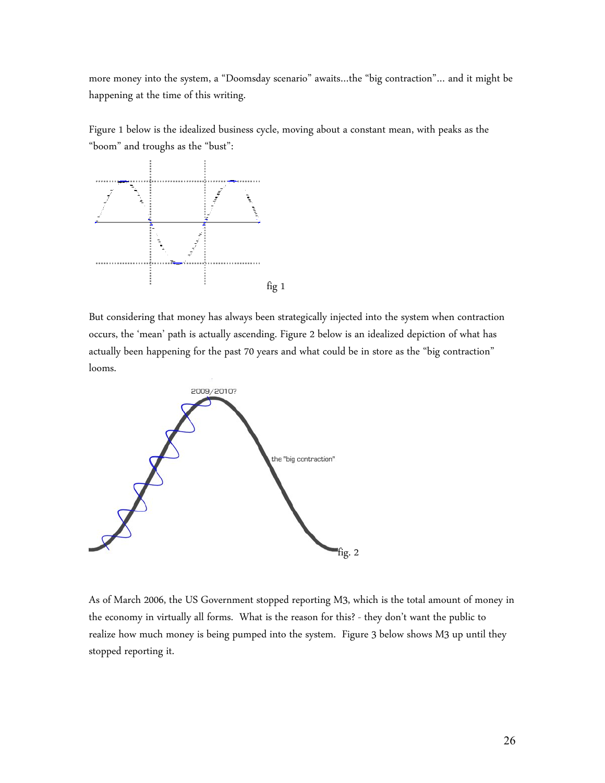more money into the system, a "Doomsday scenario" awaits…the "big contraction"… and it might be happening at the time of this writing.

Figure 1 below is the idealized business cycle, moving about a constant mean, with peaks as the "boom" and troughs as the "bust":



But considering that money has always been strategically injected into the system when contraction occurs, the 'mean' path is actually ascending. Figure 2 below is an idealized depiction of what has actually been happening for the past 70 years and what could be in store as the "big contraction" looms.



As of March 2006, the US Government stopped reporting M3, which is the total amount of money in the economy in virtually all forms. What is the reason for this? - they don't want the public to realize how much money is being pumped into the system. Figure 3 below shows M3 up until they stopped reporting it.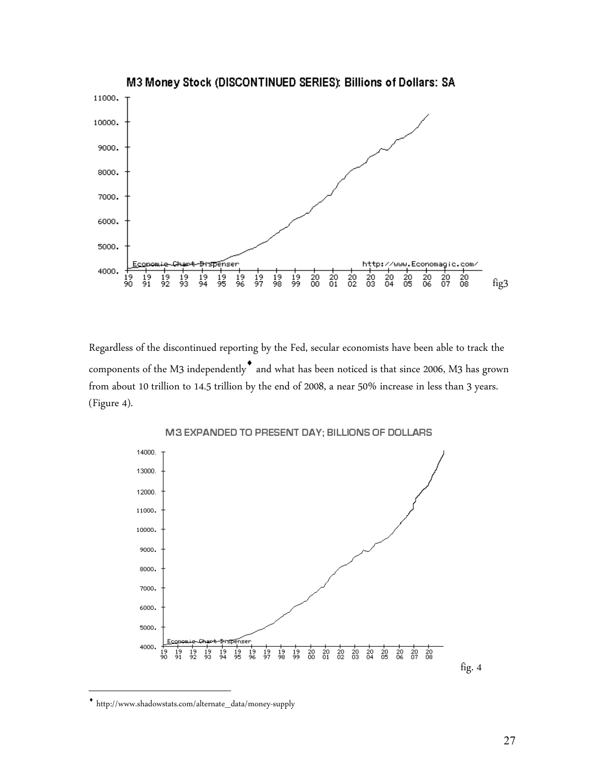

Regardless of the discontinued reporting by the Fed, secular economists have been able to track the components of the M3 independently and what has been noticed is that since 2006, M3 has grown from about 10 trillion to 14.5 trillion by the end of 2008, a near 50% increase in less than 3 years. (Figure 4).



M3 EXPANDED TO PRESENT DAY; BILLIONS OF DOLLARS

http://www.shadowstats.com/alternate\_data/money-supply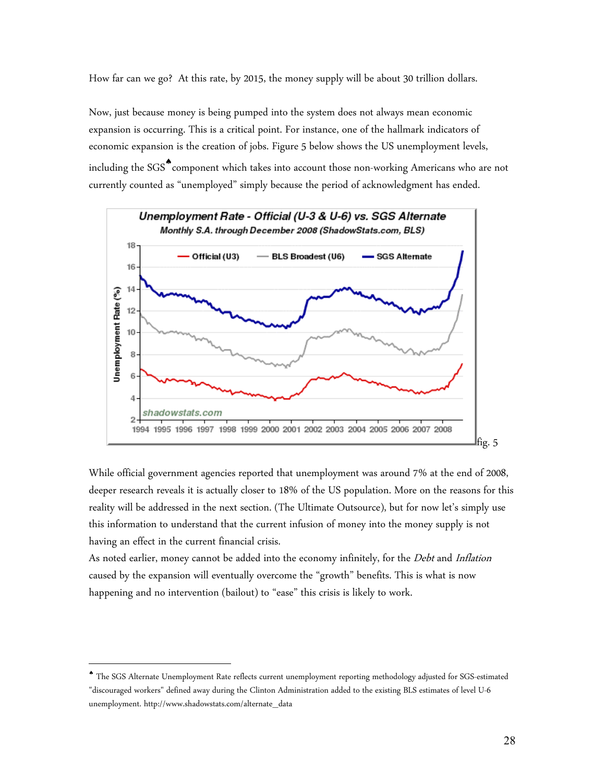How far can we go? At this rate, by 2015, the money supply will be about 30 trillion dollars.

Now, just because money is being pumped into the system does not always mean economic expansion is occurring. This is a critical point. For instance, one of the hallmark indicators of economic expansion is the creation of jobs. Figure 5 below shows the US unemployment levels, including the SGS $^\bullet$ component which takes into account those non-working Americans who are not currently counted as "unemployed" simply because the period of acknowledgment has ended.



While official government agencies reported that unemployment was around 7% at the end of 2008, deeper research reveals it is actually closer to 18% of the US population. More on the reasons for this reality will be addressed in the next section. (The Ultimate Outsource), but for now let's simply use this information to understand that the current infusion of money into the money supply is not having an effect in the current financial crisis.

As noted earlier, money cannot be added into the economy infinitely, for the *Debt* and *Inflation* caused by the expansion will eventually overcome the "growth" benefits. This is what is now happening and no intervention (bailout) to "ease" this crisis is likely to work.

The SGS Alternate Unemployment Rate reflects current unemployment reporting methodology adjusted for SGS-estimated "discouraged workers" defined away during the Clinton Administration added to the existing BLS estimates of level U-6 unemployment. http://www.shadowstats.com/alternate\_data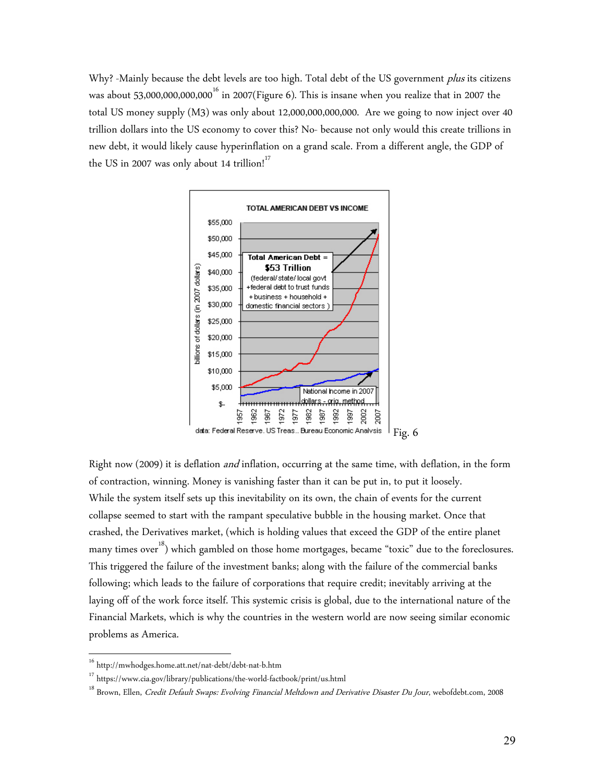Why? -Mainly because the debt levels are too high. Total debt of the US government plus its citizens was about 53,000,000,000,000<sup>16</sup> in 2007(Figure 6). This is insane when you realize that in 2007 the total US money supply (M3) was only about 12,000,000,000,000. Are we going to now inject over 40 trillion dollars into the US economy to cover this? No- because not only would this create trillions in new debt, it would likely cause hyperinflation on a grand scale. From a different angle, the GDP of the US in 2007 was only about 14 trillion! $17$ 



Right now (2009) it is deflation *and* inflation, occurring at the same time, with deflation, in the form of contraction, winning. Money is vanishing faster than it can be put in, to put it loosely. While the system itself sets up this inevitability on its own, the chain of events for the current collapse seemed to start with the rampant speculative bubble in the housing market. Once that crashed, the Derivatives market, (which is holding values that exceed the GDP of the entire planet many times over 18) which gambled on those home mortgages, became "toxic" due to the foreclosures. This triggered the failure of the investment banks; along with the failure of the commercial banks following; which leads to the failure of corporations that require credit; inevitably arriving at the laying off of the work force itself. This systemic crisis is global, due to the international nature of the Financial Markets, which is why the countries in the western world are now seeing similar economic problems as America.

<sup>16</sup> http://mwhodges.home.att.net/nat-debt/debt-nat-b.htm

 $^{17}$ https://www.cia.gov/library/publications/the-world-factbook/print/us.html

<sup>&</sup>lt;sup>18</sup> Brown, Ellen, *Credit Default Swaps: Evolving Financial Meltdown and Derivative Disaster Du Jour*, webofdebt.com, 2008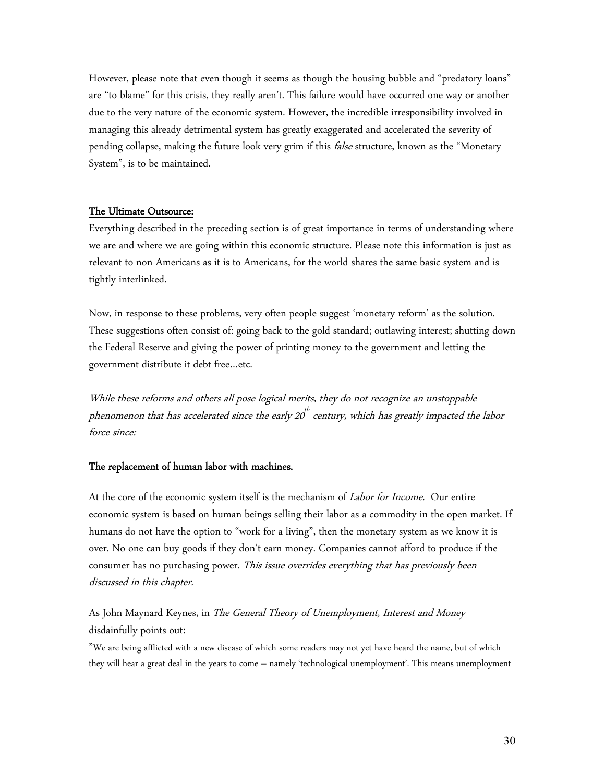However, please note that even though it seems as though the housing bubble and "predatory loans" are "to blame" for this crisis, they really aren't. This failure would have occurred one way or another due to the very nature of the economic system. However, the incredible irresponsibility involved in managing this already detrimental system has greatly exaggerated and accelerated the severity of pending collapse, making the future look very grim if this false structure, known as the "Monetary System", is to be maintained.

#### The Ultimate Outsource:

Everything described in the preceding section is of great importance in terms of understanding where we are and where we are going within this economic structure. Please note this information is just as relevant to non-Americans as it is to Americans, for the world shares the same basic system and is tightly interlinked.

Now, in response to these problems, very often people suggest 'monetary reform' as the solution. These suggestions often consist of: going back to the gold standard; outlawing interest; shutting down the Federal Reserve and giving the power of printing money to the government and letting the government distribute it debt free…etc.

While these reforms and others all pose logical merits, they do not recognize an unstoppable phenomenon that has accelerated since the early  $20^{th}$  century, which has greatly impacted the labor force since:

#### The replacement of human labor with machines.

At the core of the economic system itself is the mechanism of Labor for Income. Our entire economic system is based on human beings selling their labor as a commodity in the open market. If humans do not have the option to "work for a living", then the monetary system as we know it is over. No one can buy goods if they don't earn money. Companies cannot afford to produce if the consumer has no purchasing power. This issue overrides everything that has previously been discussed in this chapter.

As John Maynard Keynes, in The General Theory of Unemployment, Interest and Money disdainfully points out:

"We are being afflicted with a new disease of which some readers may not yet have heard the name, but of which they will hear a great deal in the years to come – namely 'technological unemployment'. This means unemployment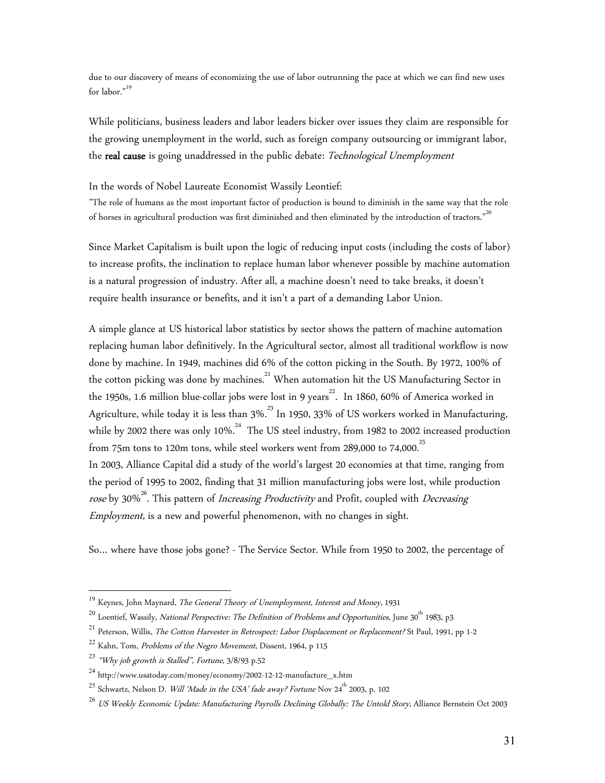due to our discovery of means of economizing the use of labor outrunning the pace at which we can find new uses for labor." $19$ 

While politicians, business leaders and labor leaders bicker over issues they claim are responsible for the growing unemployment in the world, such as foreign company outsourcing or immigrant labor, the real cause is going unaddressed in the public debate: Technological Unemployment

#### In the words of Nobel Laureate Economist Wassily Leontief:

"The role of humans as the most important factor of production is bound to diminish in the same way that the role of horses in agricultural production was first diminished and then eliminated by the introduction of tractors."<sup>20</sup>

Since Market Capitalism is built upon the logic of reducing input costs (including the costs of labor) to increase profits, the inclination to replace human labor whenever possible by machine automation is a natural progression of industry. After all, a machine doesn't need to take breaks, it doesn't require health insurance or benefits, and it isn't a part of a demanding Labor Union.

A simple glance at US historical labor statistics by sector shows the pattern of machine automation replacing human labor definitively. In the Agricultural sector, almost all traditional workflow is now done by machine. In 1949, machines did 6% of the cotton picking in the South. By 1972, 100% of the cotton picking was done by machines.<sup>21</sup> When automation hit the US Manufacturing Sector in the 1950s, 1.6 million blue-collar jobs were lost in 9 years<sup>22</sup>. In 1860, 60% of America worked in Agriculture, while today it is less than  $3\%$ .<sup>23</sup> In 1950, 33% of US workers worked in Manufacturing, while by 2002 there was only  $10\%$ .<sup>24</sup> The US steel industry, from 1982 to 2002 increased production from 75m tons to 120m tons, while steel workers went from 289,000 to 74,000. $^{25}$ In 2003, Alliance Capital did a study of the world's largest 20 economies at that time, ranging from the period of 1995 to 2002, finding that 31 million manufacturing jobs were lost, while production rose by 30%<sup>26</sup>. This pattern of *Increasing Productivity* and Profit, coupled with *Decreasing* Employment, is a new and powerful phenomenon, with no changes in sight.

So… where have those jobs gone? - The Service Sector. While from 1950 to 2002, the percentage of

 $^{19}$  Keynes, John Maynard, *The General Theory of Unemployment, Interest and Money,* 1931

 $^{20}$  Loentief, Wassily, National Perspective: The Definition of Problems and Opportunities, June 30<sup>th</sup> 1983, p3

<sup>&</sup>lt;sup>21</sup> Peterson, Willis, *The Cotton Harvester in Retrospect: Labor Displacement or Replacement?* St Paul, 1991, pp 1-2

<sup>&</sup>lt;sup>22</sup> Kahn, Tom, Problems of the Negro Movement, Dissent, 1964, p 115

<sup>23</sup> "Why job growth is Stalled", Fortune, 3/8/93 p.52

<sup>24</sup> http://www.usatoday.com/money/economy/2002-12-12-manufacture\_x.htm

<sup>&</sup>lt;sup>25</sup> Schwartz, Nelson D. *Will 'Made in the USA' fade away? Fortune* Nov 24<sup>th</sup> 2003, p. 102

<sup>&</sup>lt;sup>26</sup> US Weekly Economic Update: Manufacturing Payrolls Declining Globally: The Untold Story, Alliance Bernstein Oct 2003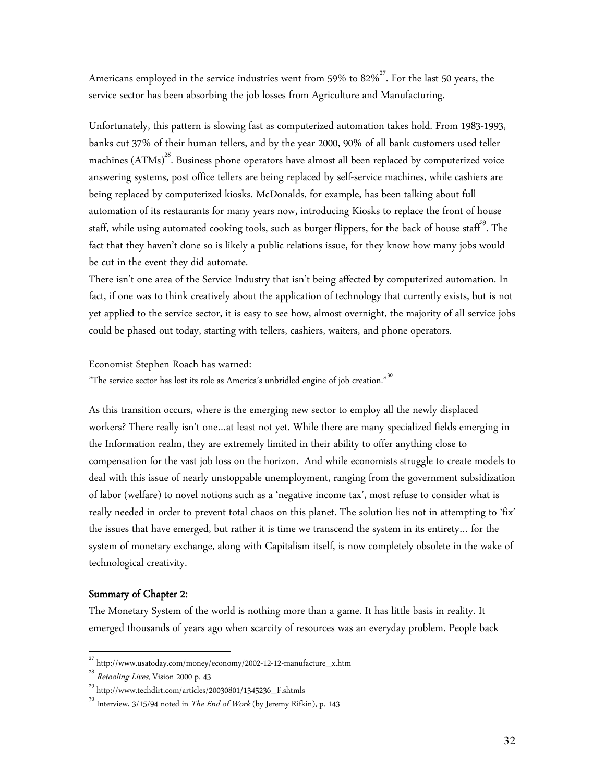Americans employed in the service industries went from 59% to  $82\%$ <sup>27</sup>. For the last 50 years, the service sector has been absorbing the job losses from Agriculture and Manufacturing.

Unfortunately, this pattern is slowing fast as computerized automation takes hold. From 1983-1993, banks cut 37% of their human tellers, and by the year 2000, 90% of all bank customers used teller machines (ATMs)<sup>28</sup>. Business phone operators have almost all been replaced by computerized voice answering systems, post office tellers are being replaced by self-service machines, while cashiers are being replaced by computerized kiosks. McDonalds, for example, has been talking about full automation of its restaurants for many years now, introducing Kiosks to replace the front of house staff, while using automated cooking tools, such as burger flippers, for the back of house staff<sup>29</sup>. The fact that they haven't done so is likely a public relations issue, for they know how many jobs would be cut in the event they did automate.

There isn't one area of the Service Industry that isn't being affected by computerized automation. In fact, if one was to think creatively about the application of technology that currently exists, but is not yet applied to the service sector, it is easy to see how, almost overnight, the majority of all service jobs could be phased out today, starting with tellers, cashiers, waiters, and phone operators.

Economist Stephen Roach has warned:

"The service sector has lost its role as America's unbridled engine of job creation."<sup>30</sup>

As this transition occurs, where is the emerging new sector to employ all the newly displaced workers? There really isn't one…at least not yet. While there are many specialized fields emerging in the Information realm, they are extremely limited in their ability to offer anything close to compensation for the vast job loss on the horizon. And while economists struggle to create models to deal with this issue of nearly unstoppable unemployment, ranging from the government subsidization of labor (welfare) to novel notions such as a 'negative income tax', most refuse to consider what is really needed in order to prevent total chaos on this planet. The solution lies not in attempting to 'fix' the issues that have emerged, but rather it is time we transcend the system in its entirety… for the system of monetary exchange, along with Capitalism itself, is now completely obsolete in the wake of technological creativity.

#### Summary of Chapter 2:

 $\overline{a}$ 

The Monetary System of the world is nothing more than a game. It has little basis in reality. It emerged thousands of years ago when scarcity of resources was an everyday problem. People back

<sup>&</sup>lt;sup>27</sup> http://www.usatoday.com/money/economy/2002-12-12-manufacture\_x.htm

<sup>&</sup>lt;sup>28</sup> Retooling Lives, Vision 2000 p. 43<br><sup>29</sup> http://www.techdirt.com/articles/20030801/1345236\_F.shtmls

 $^{30}$  Interview, 3/15/94 noted in *The End of Work* (by Jeremy Rifkin), p. 143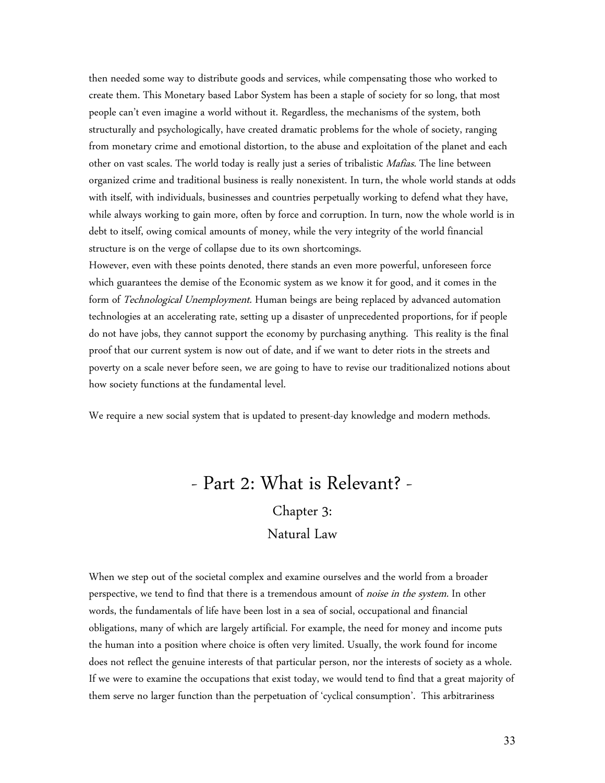then needed some way to distribute goods and services, while compensating those who worked to create them. This Monetary based Labor System has been a staple of society for so long, that most people can't even imagine a world without it. Regardless, the mechanisms of the system, both structurally and psychologically, have created dramatic problems for the whole of society, ranging from monetary crime and emotional distortion, to the abuse and exploitation of the planet and each other on vast scales. The world today is really just a series of tribalistic Mafias. The line between organized crime and traditional business is really nonexistent. In turn, the whole world stands at odds with itself, with individuals, businesses and countries perpetually working to defend what they have, while always working to gain more, often by force and corruption. In turn, now the whole world is in debt to itself, owing comical amounts of money, while the very integrity of the world financial structure is on the verge of collapse due to its own shortcomings.

However, even with these points denoted, there stands an even more powerful, unforeseen force which guarantees the demise of the Economic system as we know it for good, and it comes in the form of Technological Unemployment. Human beings are being replaced by advanced automation technologies at an accelerating rate, setting up a disaster of unprecedented proportions, for if people do not have jobs, they cannot support the economy by purchasing anything. This reality is the final proof that our current system is now out of date, and if we want to deter riots in the streets and poverty on a scale never before seen, we are going to have to revise our traditionalized notions about how society functions at the fundamental level.

We require a new social system that is updated to present-day knowledge and modern methods.

## - Part 2: What is Relevant? -

Chapter 3:

Natural Law

When we step out of the societal complex and examine ourselves and the world from a broader perspective, we tend to find that there is a tremendous amount of *noise in the system*. In other words, the fundamentals of life have been lost in a sea of social, occupational and financial obligations, many of which are largely artificial. For example, the need for money and income puts the human into a position where choice is often very limited. Usually, the work found for income does not reflect the genuine interests of that particular person, nor the interests of society as a whole. If we were to examine the occupations that exist today, we would tend to find that a great majority of them serve no larger function than the perpetuation of 'cyclical consumption'. This arbitrariness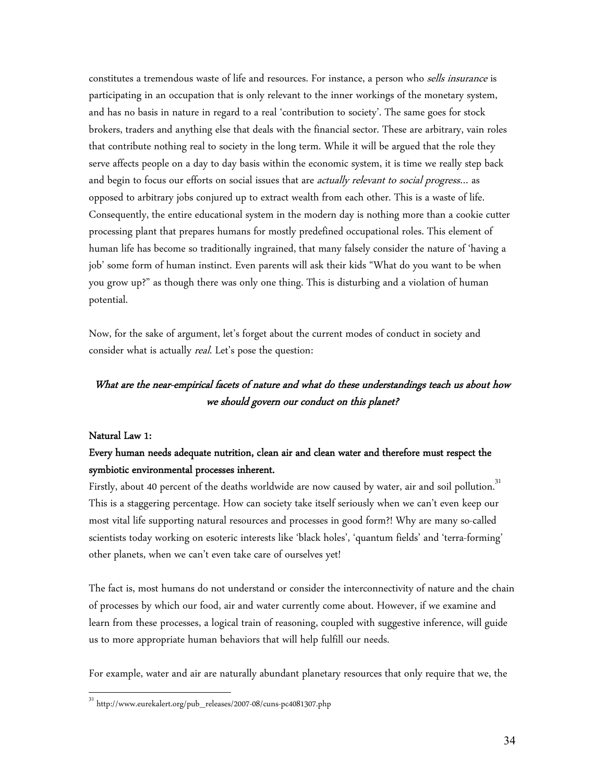constitutes a tremendous waste of life and resources. For instance, a person who *sells insurance* is participating in an occupation that is only relevant to the inner workings of the monetary system, and has no basis in nature in regard to a real 'contribution to society'. The same goes for stock brokers, traders and anything else that deals with the financial sector. These are arbitrary, vain roles that contribute nothing real to society in the long term. While it will be argued that the role they serve affects people on a day to day basis within the economic system, it is time we really step back and begin to focus our efforts on social issues that are *actually relevant to social progress...* as opposed to arbitrary jobs conjured up to extract wealth from each other. This is a waste of life. Consequently, the entire educational system in the modern day is nothing more than a cookie cutter processing plant that prepares humans for mostly predefined occupational roles. This element of human life has become so traditionally ingrained, that many falsely consider the nature of 'having a job' some form of human instinct. Even parents will ask their kids "What do you want to be when you grow up?" as though there was only one thing. This is disturbing and a violation of human potential.

Now, for the sake of argument, let's forget about the current modes of conduct in society and consider what is actually *real*. Let's pose the question:

## What are the near-empirical facets of nature and what do these understandings teach us about how we should govern our conduct on this planet?

#### Natural Law 1:

 $\overline{a}$ 

### Every human needs adequate nutrition, clean air and clean water and therefore must respect the symbiotic environmental processes inherent.

Firstly, about 40 percent of the deaths worldwide are now caused by water, air and soil pollution.<sup>31</sup> This is a staggering percentage. How can society take itself seriously when we can't even keep our most vital life supporting natural resources and processes in good form?! Why are many so-called scientists today working on esoteric interests like 'black holes', 'quantum fields' and 'terra-forming' other planets, when we can't even take care of ourselves yet!

The fact is, most humans do not understand or consider the interconnectivity of nature and the chain of processes by which our food, air and water currently come about. However, if we examine and learn from these processes, a logical train of reasoning, coupled with suggestive inference, will guide us to more appropriate human behaviors that will help fulfill our needs.

For example, water and air are naturally abundant planetary resources that only require that we, the

 $^{31}$  http://www.eurekalert.org/pub\_releases/2007-08/cuns-pc4081307.php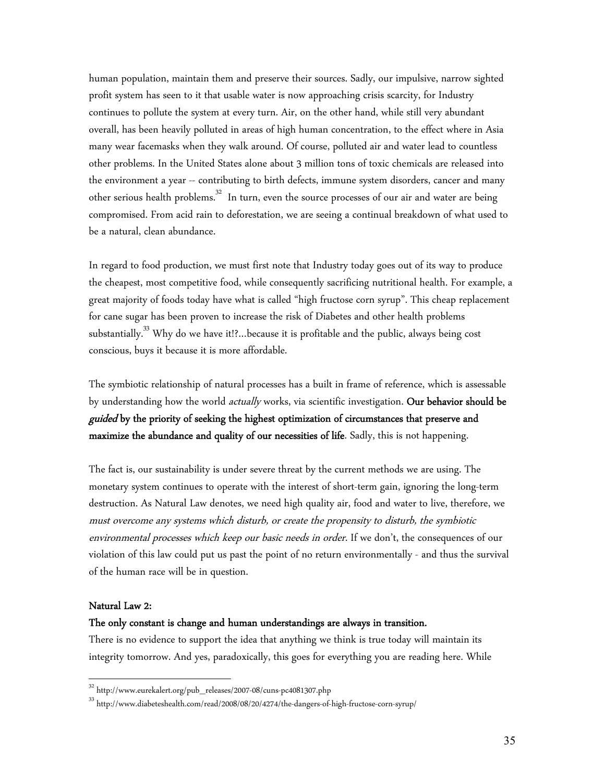human population, maintain them and preserve their sources. Sadly, our impulsive, narrow sighted profit system has seen to it that usable water is now approaching crisis scarcity, for Industry continues to pollute the system at every turn. Air, on the other hand, while still very abundant overall, has been heavily polluted in areas of high human concentration, to the effect where in Asia many wear facemasks when they walk around. Of course, polluted air and water lead to countless other problems. In the United States alone about 3 million tons of toxic chemicals are released into the environment a year -- contributing to birth defects, immune system disorders, cancer and many other serious health problems.<sup>32</sup> In turn, even the source processes of our air and water are being compromised. From acid rain to deforestation, we are seeing a continual breakdown of what used to be a natural, clean abundance.

In regard to food production, we must first note that Industry today goes out of its way to produce the cheapest, most competitive food, while consequently sacrificing nutritional health. For example, a great majority of foods today have what is called "high fructose corn syrup". This cheap replacement for cane sugar has been proven to increase the risk of Diabetes and other health problems substantially.<sup>33</sup> Why do we have it!?...because it is profitable and the public, always being cost conscious, buys it because it is more affordable.

The symbiotic relationship of natural processes has a built in frame of reference, which is assessable by understanding how the world *actually* works, via scientific investigation. Our behavior should be guided by the priority of seeking the highest optimization of circumstances that preserve and maximize the abundance and quality of our necessities of life. Sadly, this is not happening.

The fact is, our sustainability is under severe threat by the current methods we are using. The monetary system continues to operate with the interest of short-term gain, ignoring the long-term destruction. As Natural Law denotes, we need high quality air, food and water to live, therefore, we must overcome any systems which disturb, or create the propensity to disturb, the symbiotic environmental processes which keep our basic needs in order. If we don't, the consequences of our violation of this law could put us past the point of no return environmentally - and thus the survival of the human race will be in question.

#### Natural Law 2:

 $\overline{a}$ 

#### The only constant is change and human understandings are always in transition.

There is no evidence to support the idea that anything we think is true today will maintain its integrity tomorrow. And yes, paradoxically, this goes for everything you are reading here. While

<sup>32</sup> http://www.eurekalert.org/pub\_releases/2007-08/cuns-pc4081307.php

 $^{33}$ http://www.diabeteshealth.com/read/2008/08/20/4274/the-dangers-of-high-fructose-corn-syrup/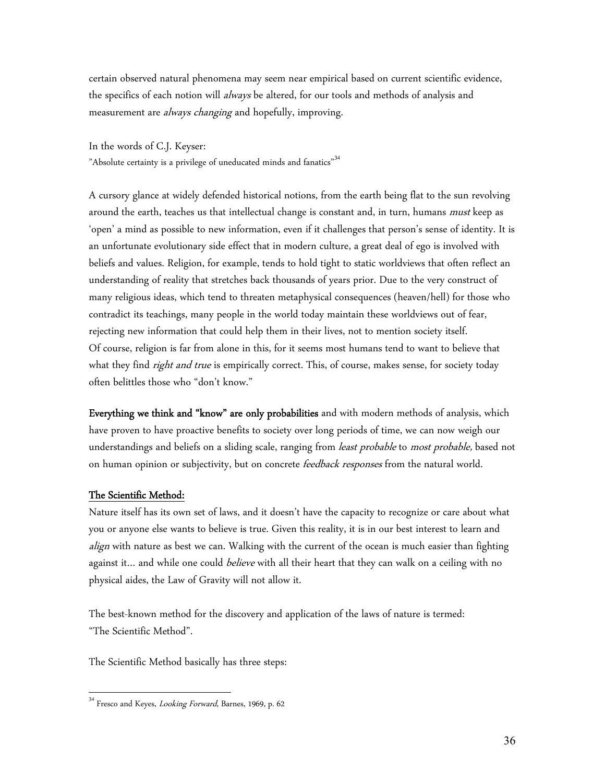certain observed natural phenomena may seem near empirical based on current scientific evidence, the specifics of each notion will *always* be altered, for our tools and methods of analysis and measurement are *always changing* and hopefully, improving.

In the words of C.J. Keyser:

"Absolute certainty is a privilege of uneducated minds and fanatics"<sup>34</sup>

A cursory glance at widely defended historical notions, from the earth being flat to the sun revolving around the earth, teaches us that intellectual change is constant and, in turn, humans *must* keep as 'open' a mind as possible to new information, even if it challenges that person's sense of identity. It is an unfortunate evolutionary side effect that in modern culture, a great deal of ego is involved with beliefs and values. Religion, for example, tends to hold tight to static worldviews that often reflect an understanding of reality that stretches back thousands of years prior. Due to the very construct of many religious ideas, which tend to threaten metaphysical consequences (heaven/hell) for those who contradict its teachings, many people in the world today maintain these worldviews out of fear, rejecting new information that could help them in their lives, not to mention society itself. Of course, religion is far from alone in this, for it seems most humans tend to want to believe that what they find right and true is empirically correct. This, of course, makes sense, for society today often belittles those who "don't know."

Everything we think and "know" are only probabilities and with modern methods of analysis, which have proven to have proactive benefits to society over long periods of time, we can now weigh our understandings and beliefs on a sliding scale, ranging from least probable to most probable, based not on human opinion or subjectivity, but on concrete *feedback responses* from the natural world.

#### The Scientific Method:

 $\overline{a}$ 

Nature itself has its own set of laws, and it doesn't have the capacity to recognize or care about what you or anyone else wants to believe is true. Given this reality, it is in our best interest to learn and align with nature as best we can. Walking with the current of the ocean is much easier than fighting against it... and while one could believe with all their heart that they can walk on a ceiling with no physical aides, the Law of Gravity will not allow it.

The best-known method for the discovery and application of the laws of nature is termed: "The Scientific Method".

The Scientific Method basically has three steps:

 $^{34}$  Fresco and Keyes, *Looking Forward*, Barnes, 1969, p. 62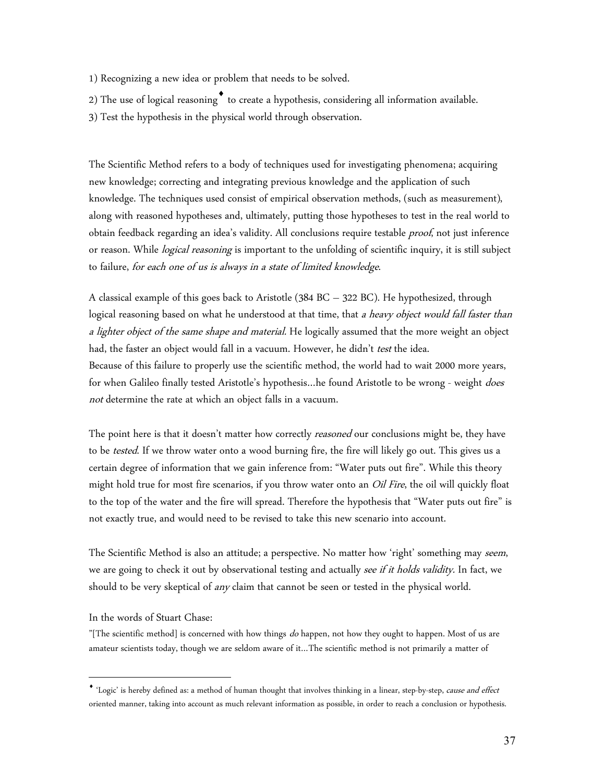1) Recognizing a new idea or problem that needs to be solved.

2) The use of logical reasoning to create a hypothesis, considering all information available.

3) Test the hypothesis in the physical world through observation.

The Scientific Method refers to a body of techniques used for investigating phenomena; acquiring new knowledge; correcting and integrating previous knowledge and the application of such knowledge. The techniques used consist of empirical observation methods, (such as measurement), along with reasoned hypotheses and, ultimately, putting those hypotheses to test in the real world to obtain feedback regarding an idea's validity. All conclusions require testable *proof*, not just inference or reason. While *logical reasoning* is important to the unfolding of scientific inquiry, it is still subject to failure, for each one of us is always in a state of limited knowledge.

A classical example of this goes back to Aristotle (384 BC – 322 BC). He hypothesized, through logical reasoning based on what he understood at that time, that a heavy object would fall faster than a lighter object of the same shape and material. He logically assumed that the more weight an object had, the faster an object would fall in a vacuum. However, he didn't test the idea. Because of this failure to properly use the scientific method, the world had to wait 2000 more years, for when Galileo finally tested Aristotle's hypothesis...he found Aristotle to be wrong - weight *does* not determine the rate at which an object falls in a vacuum.

The point here is that it doesn't matter how correctly *reasoned* our conclusions might be, they have to be tested. If we throw water onto a wood burning fire, the fire will likely go out. This gives us a certain degree of information that we gain inference from: "Water puts out fire". While this theory might hold true for most fire scenarios, if you throw water onto an Oil Fire, the oil will quickly float to the top of the water and the fire will spread. Therefore the hypothesis that "Water puts out fire" is not exactly true, and would need to be revised to take this new scenario into account.

The Scientific Method is also an attitude; a perspective. No matter how 'right' something may seem, we are going to check it out by observational testing and actually see if it holds validity. In fact, we should to be very skeptical of any claim that cannot be seen or tested in the physical world.

In the words of Stuart Chase:

 $\overline{a}$ 

"[The scientific method] is concerned with how things  $do$  happen, not how they ought to happen. Most of us are amateur scientists today, though we are seldom aware of it…The scientific method is not primarily a matter of

<sup>\* &#</sup>x27;Logic' is hereby defined as: a method of human thought that involves thinking in a linear, step-by-step, cause and effect oriented manner, taking into account as much relevant information as possible, in order to reach a conclusion or hypothesis.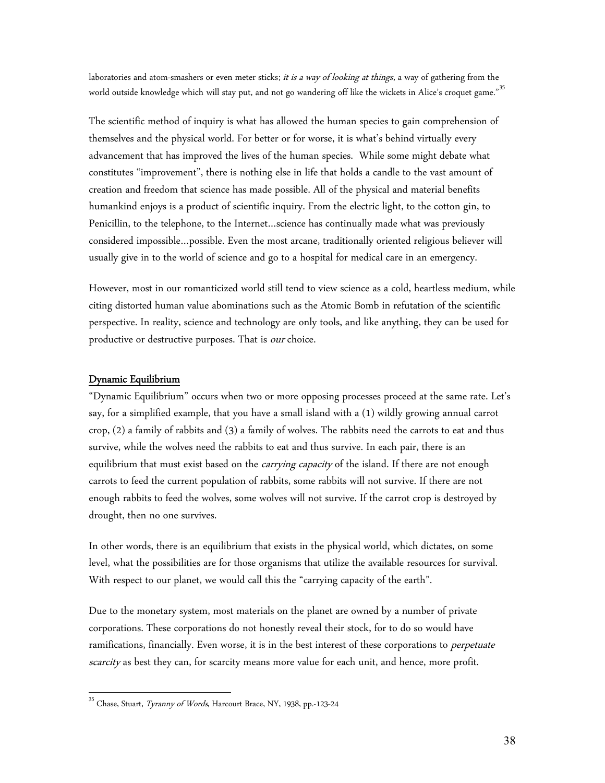laboratories and atom-smashers or even meter sticks; it is a way of looking at things, a way of gathering from the world outside knowledge which will stay put, and not go wandering off like the wickets in Alice's croquet game."<sup>35</sup>

The scientific method of inquiry is what has allowed the human species to gain comprehension of themselves and the physical world. For better or for worse, it is what's behind virtually every advancement that has improved the lives of the human species. While some might debate what constitutes "improvement", there is nothing else in life that holds a candle to the vast amount of creation and freedom that science has made possible. All of the physical and material benefits humankind enjoys is a product of scientific inquiry. From the electric light, to the cotton gin, to Penicillin, to the telephone, to the Internet…science has continually made what was previously considered impossible…possible. Even the most arcane, traditionally oriented religious believer will usually give in to the world of science and go to a hospital for medical care in an emergency.

However, most in our romanticized world still tend to view science as a cold, heartless medium, while citing distorted human value abominations such as the Atomic Bomb in refutation of the scientific perspective. In reality, science and technology are only tools, and like anything, they can be used for productive or destructive purposes. That is *our* choice.

#### Dynamic Equilibrium

 $\overline{a}$ 

"Dynamic Equilibrium" occurs when two or more opposing processes proceed at the same rate. Let's say, for a simplified example, that you have a small island with a (1) wildly growing annual carrot crop, (2) a family of rabbits and (3) a family of wolves. The rabbits need the carrots to eat and thus survive, while the wolves need the rabbits to eat and thus survive. In each pair, there is an equilibrium that must exist based on the *carrying capacity* of the island. If there are not enough carrots to feed the current population of rabbits, some rabbits will not survive. If there are not enough rabbits to feed the wolves, some wolves will not survive. If the carrot crop is destroyed by drought, then no one survives.

In other words, there is an equilibrium that exists in the physical world, which dictates, on some level, what the possibilities are for those organisms that utilize the available resources for survival. With respect to our planet, we would call this the "carrying capacity of the earth".

Due to the monetary system, most materials on the planet are owned by a number of private corporations. These corporations do not honestly reveal their stock, for to do so would have ramifications, financially. Even worse, it is in the best interest of these corporations to *perpetuate* scarcity as best they can, for scarcity means more value for each unit, and hence, more profit.

 $^{35}$  Chase, Stuart, *Tyranny of Words*, Harcourt Brace, NY, 1938, pp.-123-24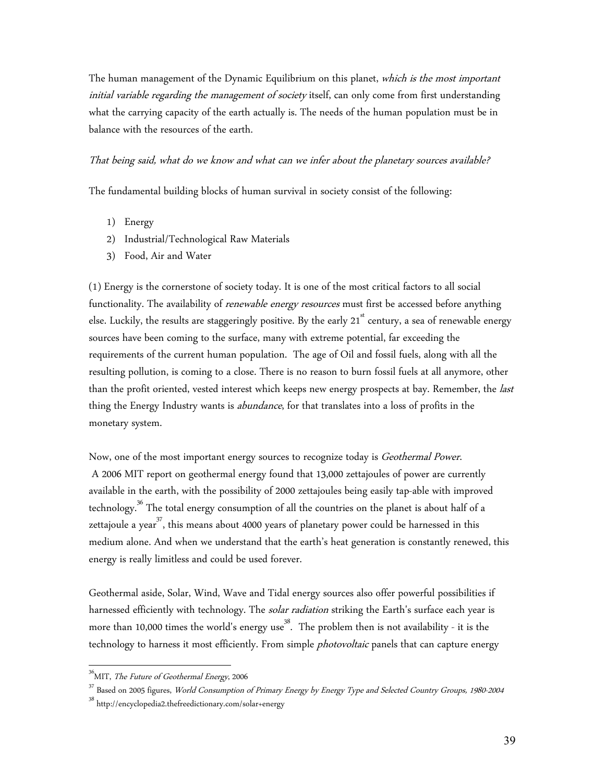The human management of the Dynamic Equilibrium on this planet, which is the most important initial variable regarding the management of society itself, can only come from first understanding what the carrying capacity of the earth actually is. The needs of the human population must be in balance with the resources of the earth.

#### That being said, what do we know and what can we infer about the planetary sources available?

The fundamental building blocks of human survival in society consist of the following:

- 1) Energy
- 2) Industrial/Technological Raw Materials
- 3) Food, Air and Water

(1) Energy is the cornerstone of society today. It is one of the most critical factors to all social functionality. The availability of *renewable energy resources* must first be accessed before anything else. Luckily, the results are staggeringly positive. By the early 21<sup>st</sup> century, a sea of renewable energy sources have been coming to the surface, many with extreme potential, far exceeding the requirements of the current human population. The age of Oil and fossil fuels, along with all the resulting pollution, is coming to a close. There is no reason to burn fossil fuels at all anymore, other than the profit oriented, vested interest which keeps new energy prospects at bay. Remember, the last thing the Energy Industry wants is *abundance*, for that translates into a loss of profits in the monetary system.

Now, one of the most important energy sources to recognize today is Geothermal Power. A 2006 MIT report on geothermal energy found that 13,000 zettajoules of power are currently available in the earth, with the possibility of 2000 zettajoules being easily tap-able with improved technology.<sup>36</sup> The total energy consumption of all the countries on the planet is about half of a zettajoule a year<sup>37</sup>, this means about 4000 years of planetary power could be harnessed in this medium alone. And when we understand that the earth's heat generation is constantly renewed, this energy is really limitless and could be used forever.

Geothermal aside, Solar, Wind, Wave and Tidal energy sources also offer powerful possibilities if harnessed efficiently with technology. The *solar radiation* striking the Earth's surface each year is more than 10,000 times the world's energy use<sup>38</sup>. The problem then is not availability - it is the technology to harness it most efficiently. From simple *photovoltaic* panels that can capture energy

<sup>&</sup>lt;sup>36</sup>MIT, *The Future of Geothermal Energy*, 2006

<sup>&</sup>lt;sup>37</sup> Based on 2005 figures, *World Consumption of Primary Energy by Energy Type and Selected Country Groups, 1980-2004*  $^{38}$  http://encyclopedia2.thefreedictionary.com/solar+energy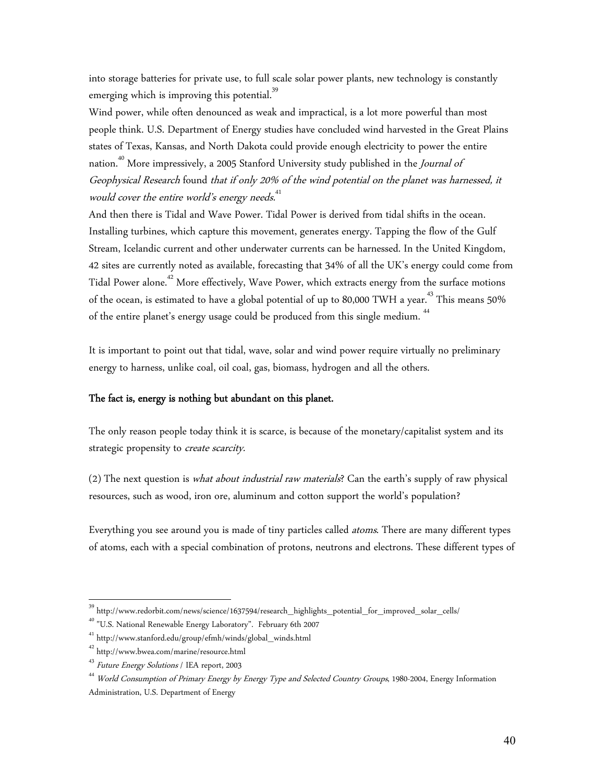into storage batteries for private use, to full scale solar power plants, new technology is constantly emerging which is improving this potential.<sup>39</sup>

Wind power, while often denounced as weak and impractical, is a lot more powerful than most people think. U.S. Department of Energy studies have concluded wind harvested in the Great Plains states of Texas, Kansas, and North Dakota could provide enough electricity to power the entire nation.<sup>40</sup> More impressively, a 2005 Stanford University study published in the *Journal of* Geophysical Research found that if only 20% of the wind potential on the planet was harnessed, it would cover the entire world's energy needs. $41$ 

And then there is Tidal and Wave Power. Tidal Power is derived from tidal shifts in the ocean. Installing turbines, which capture this movement, generates energy. Tapping the flow of the Gulf Stream, Icelandic current and other underwater currents can be harnessed. In the United Kingdom, 42 sites are currently noted as available, forecasting that 34% of all the UK's energy could come from Tidal Power alone.<sup>42</sup> More effectively, Wave Power, which extracts energy from the surface motions of the ocean, is estimated to have a global potential of up to 80,000 TWH a year.<sup>43</sup> This means 50% of the entire planet's energy usage could be produced from this single medium.<sup>44</sup>

It is important to point out that tidal, wave, solar and wind power require virtually no preliminary energy to harness, unlike coal, oil coal, gas, biomass, hydrogen and all the others.

#### The fact is, energy is nothing but abundant on this planet.

The only reason people today think it is scarce, is because of the monetary/capitalist system and its strategic propensity to create scarcity.

(2) The next question is *what about industrial raw materials*? Can the earth's supply of raw physical resources, such as wood, iron ore, aluminum and cotton support the world's population?

Everything you see around you is made of tiny particles called atoms. There are many different types of atoms, each with a special combination of protons, neutrons and electrons. These different types of

 $^{39}$  http://www.redorbit.com/news/science/1637594/research\_highlights\_potential\_for\_improved\_solar\_cells/

<sup>40</sup> "U.S. National Renewable Energy Laboratory". February 6th 2007

 $^{\rm 41}$ http://www.stanford.edu/group/efmh/winds/global\_winds.html

<sup>&</sup>lt;sup>42</sup> http://www.bwea.com/marine/resource.html<br><sup>43</sup> Future Energy Solutions / IEA report, 2003

<sup>&</sup>lt;sup>44</sup> World Consumption of Primary Energy by Energy Type and Selected Country Groups, 1980-2004, Energy Information Administration, U.S. Department of Energy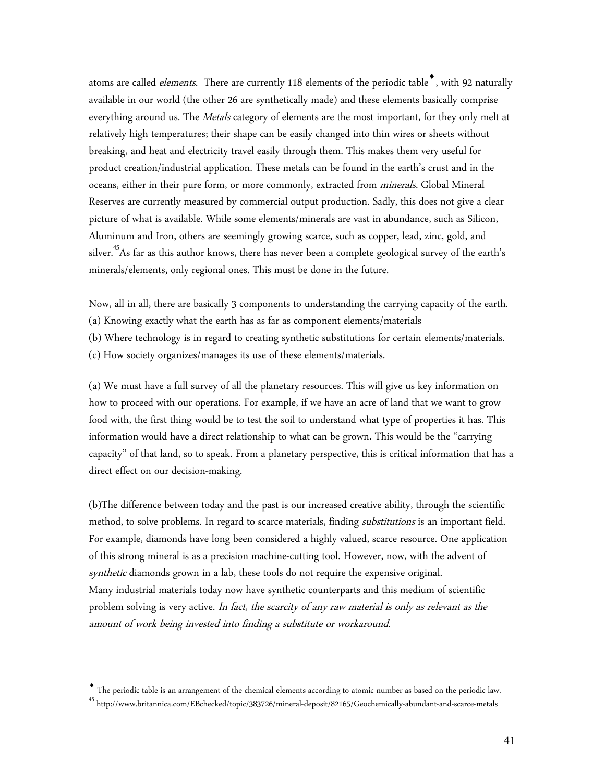atoms are called *elements*. There are currently 118 elements of the periodic table<sup>,</sup> with 92 naturally available in our world (the other 26 are synthetically made) and these elements basically comprise everything around us. The Metals category of elements are the most important, for they only melt at relatively high temperatures; their shape can be easily changed into thin wires or sheets without breaking, and heat and electricity travel easily through them. This makes them very useful for product creation/industrial application. These metals can be found in the earth's crust and in the oceans, either in their pure form, or more commonly, extracted from *minerals*. Global Mineral Reserves are currently measured by commercial output production. Sadly, this does not give a clear picture of what is available. While some elements/minerals are vast in abundance, such as Silicon, Aluminum and Iron, others are seemingly growing scarce, such as copper, lead, zinc, gold, and silver.<sup>45</sup>As far as this author knows, there has never been a complete geological survey of the earth's minerals/elements, only regional ones. This must be done in the future.

Now, all in all, there are basically 3 components to understanding the carrying capacity of the earth.

- (a) Knowing exactly what the earth has as far as component elements/materials
- (b) Where technology is in regard to creating synthetic substitutions for certain elements/materials.
- (c) How society organizes/manages its use of these elements/materials.

(a) We must have a full survey of all the planetary resources. This will give us key information on how to proceed with our operations. For example, if we have an acre of land that we want to grow food with, the first thing would be to test the soil to understand what type of properties it has. This information would have a direct relationship to what can be grown. This would be the "carrying capacity" of that land, so to speak. From a planetary perspective, this is critical information that has a direct effect on our decision-making.

(b)The difference between today and the past is our increased creative ability, through the scientific method, to solve problems. In regard to scarce materials, finding *substitutions* is an important field. For example, diamonds have long been considered a highly valued, scarce resource. One application of this strong mineral is as a precision machine-cutting tool. However, now, with the advent of synthetic diamonds grown in a lab, these tools do not require the expensive original. Many industrial materials today now have synthetic counterparts and this medium of scientific problem solving is very active. In fact, the scarcity of any raw material is only as relevant as the amount of work being invested into finding a substitute or workaround.

The periodic table is an arrangement of the chemical elements according to atomic number as based on the periodic law.

<sup>45</sup> http://www.britannica.com/EBchecked/topic/383726/mineral-deposit/82165/Geochemically-abundant-and-scarce-metals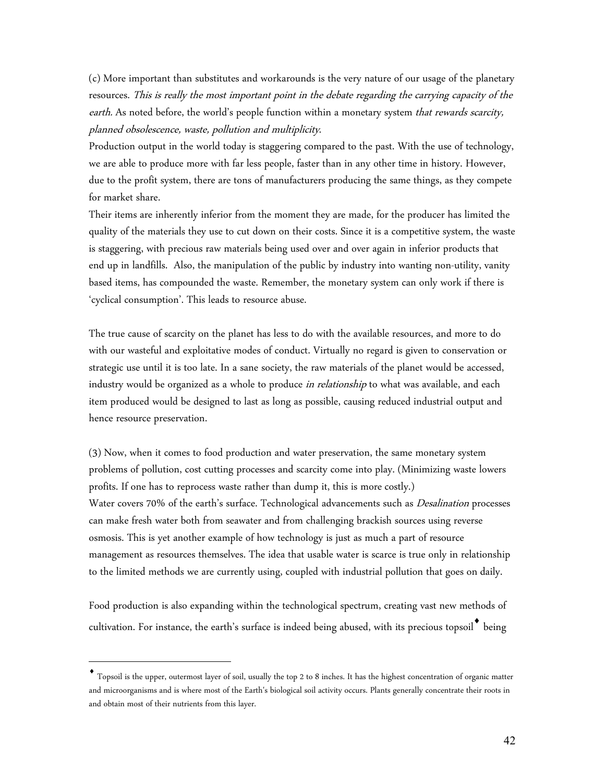(c) More important than substitutes and workarounds is the very nature of our usage of the planetary resources. This is really the most important point in the debate regarding the carrying capacity of the earth. As noted before, the world's people function within a monetary system that rewards scarcity, planned obsolescence, waste, pollution and multiplicity.

Production output in the world today is staggering compared to the past. With the use of technology, we are able to produce more with far less people, faster than in any other time in history. However, due to the profit system, there are tons of manufacturers producing the same things, as they compete for market share.

Their items are inherently inferior from the moment they are made, for the producer has limited the quality of the materials they use to cut down on their costs. Since it is a competitive system, the waste is staggering, with precious raw materials being used over and over again in inferior products that end up in landfills. Also, the manipulation of the public by industry into wanting non-utility, vanity based items, has compounded the waste. Remember, the monetary system can only work if there is 'cyclical consumption'. This leads to resource abuse.

The true cause of scarcity on the planet has less to do with the available resources, and more to do with our wasteful and exploitative modes of conduct. Virtually no regard is given to conservation or strategic use until it is too late. In a sane society, the raw materials of the planet would be accessed, industry would be organized as a whole to produce *in relationship* to what was available, and each item produced would be designed to last as long as possible, causing reduced industrial output and hence resource preservation.

(3) Now, when it comes to food production and water preservation, the same monetary system problems of pollution, cost cutting processes and scarcity come into play. (Minimizing waste lowers profits. If one has to reprocess waste rather than dump it, this is more costly.) Water covers 70% of the earth's surface. Technological advancements such as *Desalination* processes can make fresh water both from seawater and from challenging brackish sources using reverse osmosis. This is yet another example of how technology is just as much a part of resource management as resources themselves. The idea that usable water is scarce is true only in relationship to the limited methods we are currently using, coupled with industrial pollution that goes on daily.

Food production is also expanding within the technological spectrum, creating vast new methods of cultivation. For instance, the earth's surface is indeed being abused, with its precious topsoil<sup>®</sup> being

Topsoil is the upper, outermost layer of soil, usually the top 2 to 8 inches. It has the highest concentration of organic matter and microorganisms and is where most of the Earth's biological soil activity occurs. Plants generally concentrate their roots in and obtain most of their nutrients from this layer.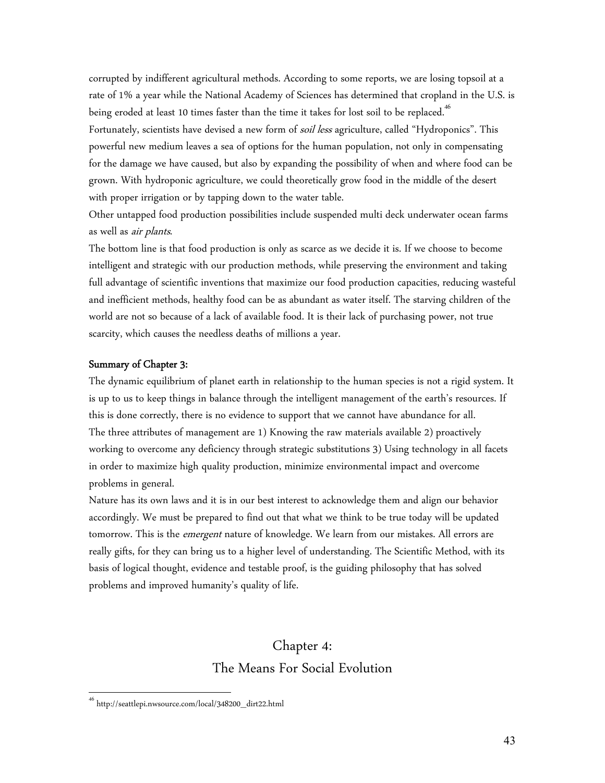corrupted by indifferent agricultural methods. According to some reports, we are losing topsoil at a rate of 1% a year while the National Academy of Sciences has determined that cropland in the U.S. is being eroded at least 10 times faster than the time it takes for lost soil to be replaced.<sup>40</sup> Fortunately, scientists have devised a new form of soil less agriculture, called "Hydroponics". This powerful new medium leaves a sea of options for the human population, not only in compensating for the damage we have caused, but also by expanding the possibility of when and where food can be grown. With hydroponic agriculture, we could theoretically grow food in the middle of the desert with proper irrigation or by tapping down to the water table.

Other untapped food production possibilities include suspended multi deck underwater ocean farms as well as air plants.

The bottom line is that food production is only as scarce as we decide it is. If we choose to become intelligent and strategic with our production methods, while preserving the environment and taking full advantage of scientific inventions that maximize our food production capacities, reducing wasteful and inefficient methods, healthy food can be as abundant as water itself. The starving children of the world are not so because of a lack of available food. It is their lack of purchasing power, not true scarcity, which causes the needless deaths of millions a year.

#### Summary of Chapter 3:

The dynamic equilibrium of planet earth in relationship to the human species is not a rigid system. It is up to us to keep things in balance through the intelligent management of the earth's resources. If this is done correctly, there is no evidence to support that we cannot have abundance for all. The three attributes of management are 1) Knowing the raw materials available 2) proactively working to overcome any deficiency through strategic substitutions 3) Using technology in all facets in order to maximize high quality production, minimize environmental impact and overcome problems in general.

Nature has its own laws and it is in our best interest to acknowledge them and align our behavior accordingly. We must be prepared to find out that what we think to be true today will be updated tomorrow. This is the *emergent* nature of knowledge. We learn from our mistakes. All errors are really gifts, for they can bring us to a higher level of understanding. The Scientific Method, with its basis of logical thought, evidence and testable proof, is the guiding philosophy that has solved problems and improved humanity's quality of life.

## Chapter 4: The Means For Social Evolution

<sup>46</sup> http://seattlepi.nwsource.com/local/348200\_dirt22.html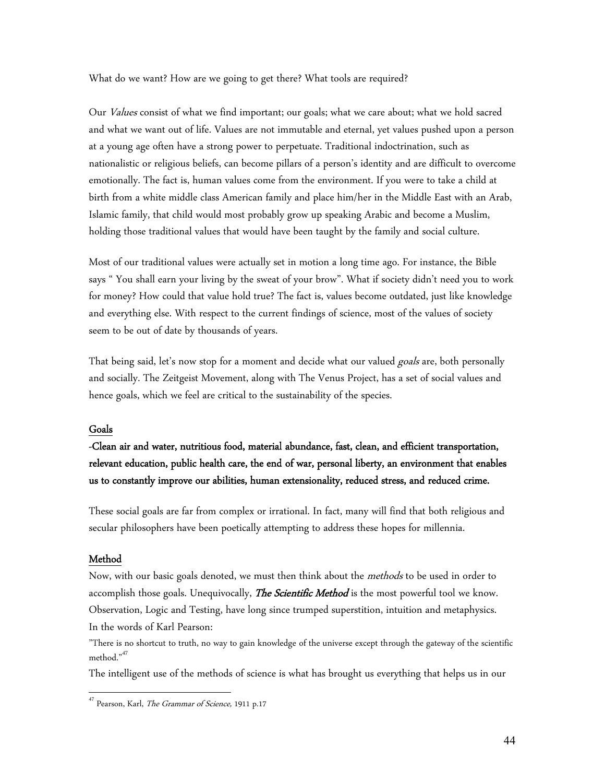What do we want? How are we going to get there? What tools are required?

Our *Values* consist of what we find important; our goals; what we care about; what we hold sacred and what we want out of life. Values are not immutable and eternal, yet values pushed upon a person at a young age often have a strong power to perpetuate. Traditional indoctrination, such as nationalistic or religious beliefs, can become pillars of a person's identity and are difficult to overcome emotionally. The fact is, human values come from the environment. If you were to take a child at birth from a white middle class American family and place him/her in the Middle East with an Arab, Islamic family, that child would most probably grow up speaking Arabic and become a Muslim, holding those traditional values that would have been taught by the family and social culture.

Most of our traditional values were actually set in motion a long time ago. For instance, the Bible says " You shall earn your living by the sweat of your brow". What if society didn't need you to work for money? How could that value hold true? The fact is, values become outdated, just like knowledge and everything else. With respect to the current findings of science, most of the values of society seem to be out of date by thousands of years.

That being said, let's now stop for a moment and decide what our valued goals are, both personally and socially. The Zeitgeist Movement, along with The Venus Project, has a set of social values and hence goals, which we feel are critical to the sustainability of the species.

### Goals

-Clean air and water, nutritious food, material abundance, fast, clean, and efficient transportation, relevant education, public health care, the end of war, personal liberty, an environment that enables us to constantly improve our abilities, human extensionality, reduced stress, and reduced crime.

These social goals are far from complex or irrational. In fact, many will find that both religious and secular philosophers have been poetically attempting to address these hopes for millennia.

#### Method

 $\overline{a}$ 

Now, with our basic goals denoted, we must then think about the *methods* to be used in order to accomplish those goals. Unequivocally, *The Scientific Method* is the most powerful tool we know. Observation, Logic and Testing, have long since trumped superstition, intuition and metaphysics. In the words of Karl Pearson:

"There is no shortcut to truth, no way to gain knowledge of the universe except through the gateway of the scientific method."<sup>47</sup>

The intelligent use of the methods of science is what has brought us everything that helps us in our

<sup>&</sup>lt;sup>47</sup> Pearson, Karl, *The Grammar of Science,* 1911 p.17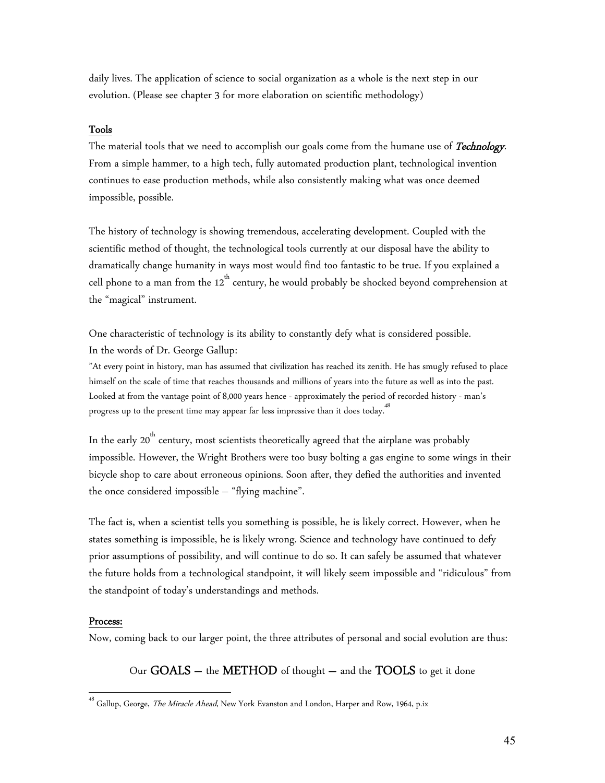daily lives. The application of science to social organization as a whole is the next step in our evolution. (Please see chapter 3 for more elaboration on scientific methodology)

### Tools

The material tools that we need to accomplish our goals come from the humane use of Technology. From a simple hammer, to a high tech, fully automated production plant, technological invention continues to ease production methods, while also consistently making what was once deemed impossible, possible.

The history of technology is showing tremendous, accelerating development. Coupled with the scientific method of thought, the technological tools currently at our disposal have the ability to dramatically change humanity in ways most would find too fantastic to be true. If you explained a cell phone to a man from the  $12<sup>th</sup>$  century, he would probably be shocked beyond comprehension at the "magical" instrument.

One characteristic of technology is its ability to constantly defy what is considered possible. In the words of Dr. George Gallup:

"At every point in history, man has assumed that civilization has reached its zenith. He has smugly refused to place himself on the scale of time that reaches thousands and millions of years into the future as well as into the past. Looked at from the vantage point of 8,000 years hence - approximately the period of recorded history - man's progress up to the present time may appear far less impressive than it does today.<sup>46</sup>

In the early  $20^{th}$  century, most scientists theoretically agreed that the airplane was probably impossible. However, the Wright Brothers were too busy bolting a gas engine to some wings in their bicycle shop to care about erroneous opinions. Soon after, they defied the authorities and invented the once considered impossible – "flying machine".

The fact is, when a scientist tells you something is possible, he is likely correct. However, when he states something is impossible, he is likely wrong. Science and technology have continued to defy prior assumptions of possibility, and will continue to do so. It can safely be assumed that whatever the future holds from a technological standpoint, it will likely seem impossible and "ridiculous" from the standpoint of today's understandings and methods.

#### Process:

 $\overline{a}$ 

Now, coming back to our larger point, the three attributes of personal and social evolution are thus:

Our  $GOALS -$  the METHOD of thought  $-$  and the TOOLS to get it done

 $^{48}$  Gallup, George, *The Miracle Ahead*, New York Evanston and London, Harper and Row, 1964, p.ix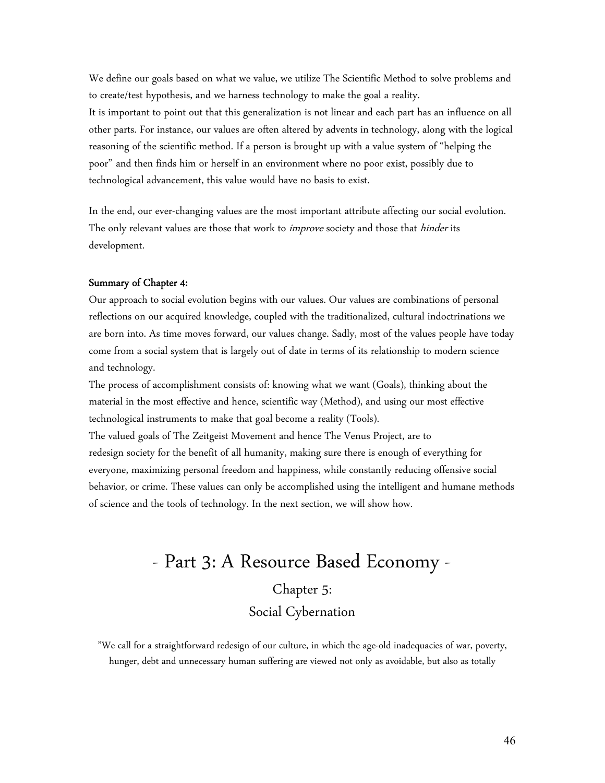We define our goals based on what we value, we utilize The Scientific Method to solve problems and to create/test hypothesis, and we harness technology to make the goal a reality. It is important to point out that this generalization is not linear and each part has an influence on all other parts. For instance, our values are often altered by advents in technology, along with the logical reasoning of the scientific method. If a person is brought up with a value system of "helping the poor" and then finds him or herself in an environment where no poor exist, possibly due to technological advancement, this value would have no basis to exist.

In the end, our ever-changing values are the most important attribute affecting our social evolution. The only relevant values are those that work to *improve* society and those that *hinder* its development.

#### Summary of Chapter 4:

Our approach to social evolution begins with our values. Our values are combinations of personal reflections on our acquired knowledge, coupled with the traditionalized, cultural indoctrinations we are born into. As time moves forward, our values change. Sadly, most of the values people have today come from a social system that is largely out of date in terms of its relationship to modern science and technology.

The process of accomplishment consists of: knowing what we want (Goals), thinking about the material in the most effective and hence, scientific way (Method), and using our most effective technological instruments to make that goal become a reality (Tools).

The valued goals of The Zeitgeist Movement and hence The Venus Project, are to redesign society for the benefit of all humanity, making sure there is enough of everything for everyone, maximizing personal freedom and happiness, while constantly reducing offensive social behavior, or crime. These values can only be accomplished using the intelligent and humane methods of science and the tools of technology. In the next section, we will show how.

# - Part 3: A Resource Based Economy -

## Chapter 5:

## Social Cybernation

"We call for a straightforward redesign of our culture, in which the age-old inadequacies of war, poverty, hunger, debt and unnecessary human suffering are viewed not only as avoidable, but also as totally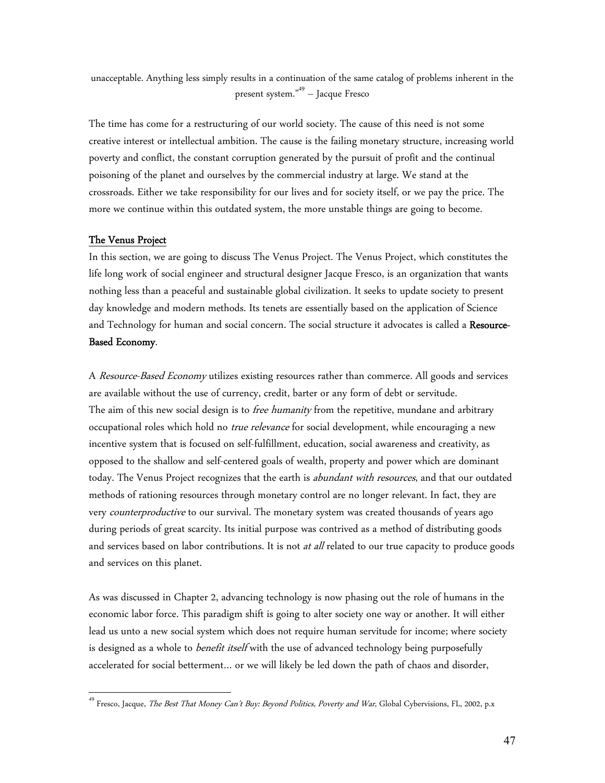unacceptable. Anything less simply results in a continuation of the same catalog of problems inherent in the present system."49 – Jacque Fresco

The time has come for a restructuring of our world society. The cause of this need is not some creative interest or intellectual ambition. The cause is the failing monetary structure, increasing world poverty and conflict, the constant corruption generated by the pursuit of profit and the continual poisoning of the planet and ourselves by the commercial industry at large. We stand at the crossroads. Either we take responsibility for our lives and for society itself, or we pay the price. The more we continue within this outdated system, the more unstable things are going to become.

### The Venus Project

 $\overline{a}$ 

In this section, we are going to discuss The Venus Project. The Venus Project, which constitutes the life long work of social engineer and structural designer Jacque Fresco, is an organization that wants nothing less than a peaceful and sustainable global civilization. It seeks to update society to present day knowledge and modern methods. Its tenets are essentially based on the application of Science and Technology for human and social concern. The social structure it advocates is called a Resource-Based Economy.

A Resource-Based Economy utilizes existing resources rather than commerce. All goods and services are available without the use of currency, credit, barter or any form of debt or servitude. The aim of this new social design is to *free humanity* from the repetitive, mundane and arbitrary occupational roles which hold no true relevance for social development, while encouraging a new incentive system that is focused on self-fulfillment, education, social awareness and creativity, as opposed to the shallow and self-centered goals of wealth, property and power which are dominant today. The Venus Project recognizes that the earth is *abundant with resources*, and that our outdated methods of rationing resources through monetary control are no longer relevant. In fact, they are very counterproductive to our survival. The monetary system was created thousands of years ago during periods of great scarcity. Its initial purpose was contrived as a method of distributing goods and services based on labor contributions. It is not *at all* related to our true capacity to produce goods and services on this planet.

As was discussed in Chapter 2, advancing technology is now phasing out the role of humans in the economic labor force. This paradigm shift is going to alter society one way or another. It will either lead us unto a new social system which does not require human servitude for income; where society is designed as a whole to *benefit itself* with the use of advanced technology being purposefully accelerated for social betterment… or we will likely be led down the path of chaos and disorder,

<sup>&</sup>lt;sup>49</sup> Fresco, Jacque, *The Best That Money Can't Buy: Beyond Politics, Poverty and War*, Global Cybervisions, FL, 2002, p.x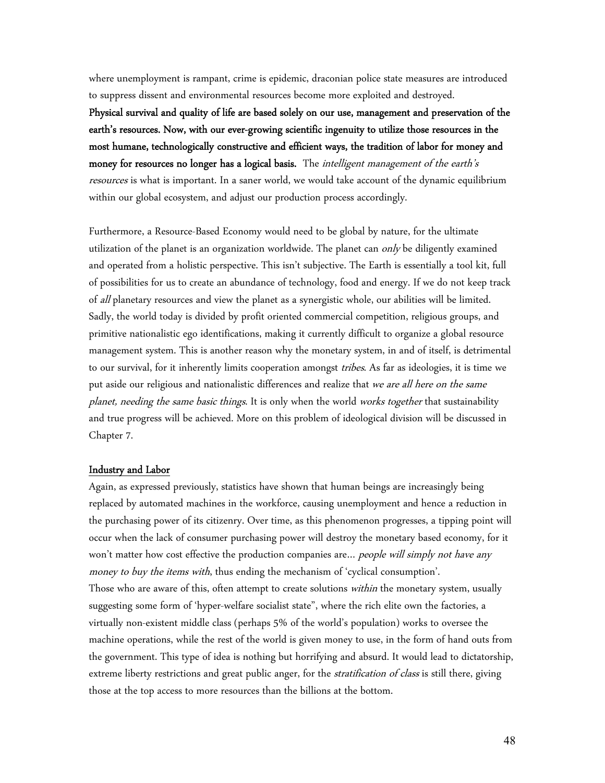where unemployment is rampant, crime is epidemic, draconian police state measures are introduced to suppress dissent and environmental resources become more exploited and destroyed. Physical survival and quality of life are based solely on our use, management and preservation of the earth's resources. Now, with our ever-growing scientific ingenuity to utilize those resources in the most humane, technologically constructive and efficient ways, the tradition of labor for money and money for resources no longer has a logical basis. The *intelligent management of the earth's* resources is what is important. In a saner world, we would take account of the dynamic equilibrium within our global ecosystem, and adjust our production process accordingly.

Furthermore, a Resource-Based Economy would need to be global by nature, for the ultimate utilization of the planet is an organization worldwide. The planet can *only* be diligently examined and operated from a holistic perspective. This isn't subjective. The Earth is essentially a tool kit, full of possibilities for us to create an abundance of technology, food and energy. If we do not keep track of all planetary resources and view the planet as a synergistic whole, our abilities will be limited. Sadly, the world today is divided by profit oriented commercial competition, religious groups, and primitive nationalistic ego identifications, making it currently difficult to organize a global resource management system. This is another reason why the monetary system, in and of itself, is detrimental to our survival, for it inherently limits cooperation amongst tribes. As far as ideologies, it is time we put aside our religious and nationalistic differences and realize that we are all here on the same planet, needing the same basic things. It is only when the world works together that sustainability and true progress will be achieved. More on this problem of ideological division will be discussed in Chapter 7.

#### Industry and Labor

Again, as expressed previously, statistics have shown that human beings are increasingly being replaced by automated machines in the workforce, causing unemployment and hence a reduction in the purchasing power of its citizenry. Over time, as this phenomenon progresses, a tipping point will occur when the lack of consumer purchasing power will destroy the monetary based economy, for it won't matter how cost effective the production companies are... people will simply not have any money to buy the items with, thus ending the mechanism of 'cyclical consumption'. Those who are aware of this, often attempt to create solutions *within* the monetary system, usually suggesting some form of 'hyper-welfare socialist state", where the rich elite own the factories, a virtually non-existent middle class (perhaps 5% of the world's population) works to oversee the machine operations, while the rest of the world is given money to use, in the form of hand outs from the government. This type of idea is nothing but horrifying and absurd. It would lead to dictatorship, extreme liberty restrictions and great public anger, for the *stratification of class* is still there, giving those at the top access to more resources than the billions at the bottom.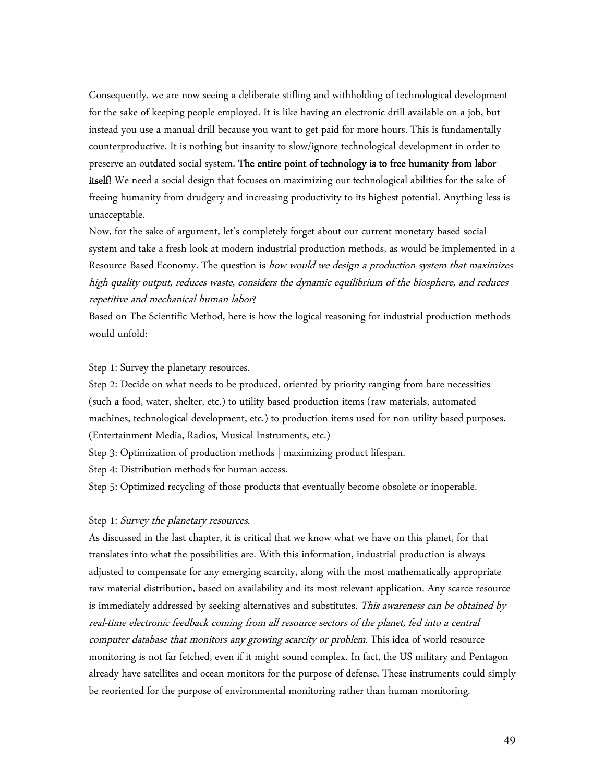Consequently, we are now seeing a deliberate stifling and withholding of technological development for the sake of keeping people employed. It is like having an electronic drill available on a job, but instead you use a manual drill because you want to get paid for more hours. This is fundamentally counterproductive. It is nothing but insanity to slow/ignore technological development in order to preserve an outdated social system. The entire point of technology is to free humanity from labor itself! We need a social design that focuses on maximizing our technological abilities for the sake of freeing humanity from drudgery and increasing productivity to its highest potential. Anything less is unacceptable.

Now, for the sake of argument, let's completely forget about our current monetary based social system and take a fresh look at modern industrial production methods, as would be implemented in a Resource-Based Economy. The question is how would we design a production system that maximizes high quality output, reduces waste, considers the dynamic equilibrium of the biosphere, and reduces repetitive and mechanical human labor?

Based on The Scientific Method, here is how the logical reasoning for industrial production methods would unfold:

Step 1: Survey the planetary resources.

Step 2: Decide on what needs to be produced, oriented by priority ranging from bare necessities (such a food, water, shelter, etc.) to utility based production items (raw materials, automated machines, technological development, etc.) to production items used for non-utility based purposes. (Entertainment Media, Radios, Musical Instruments, etc.)

Step 3: Optimization of production methods | maximizing product lifespan.

Step 4: Distribution methods for human access.

Step 5: Optimized recycling of those products that eventually become obsolete or inoperable.

#### Step 1: Survey the planetary resources.

As discussed in the last chapter, it is critical that we know what we have on this planet, for that translates into what the possibilities are. With this information, industrial production is always adjusted to compensate for any emerging scarcity, along with the most mathematically appropriate raw material distribution, based on availability and its most relevant application. Any scarce resource is immediately addressed by seeking alternatives and substitutes. This awareness can be obtained by real-time electronic feedback coming from all resource sectors of the planet, fed into a central computer database that monitors any growing scarcity or problem. This idea of world resource monitoring is not far fetched, even if it might sound complex. In fact, the US military and Pentagon already have satellites and ocean monitors for the purpose of defense. These instruments could simply be reoriented for the purpose of environmental monitoring rather than human monitoring.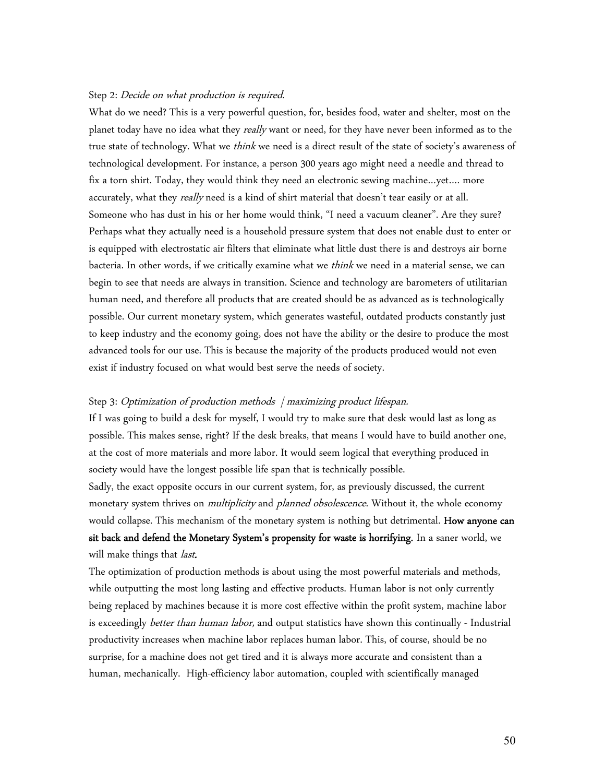#### Step 2: Decide on what production is required.

What do we need? This is a very powerful question, for, besides food, water and shelter, most on the planet today have no idea what they really want or need, for they have never been informed as to the true state of technology. What we think we need is a direct result of the state of society's awareness of technological development. For instance, a person 300 years ago might need a needle and thread to fix a torn shirt. Today, they would think they need an electronic sewing machine…yet…. more accurately, what they *really* need is a kind of shirt material that doesn't tear easily or at all. Someone who has dust in his or her home would think, "I need a vacuum cleaner". Are they sure? Perhaps what they actually need is a household pressure system that does not enable dust to enter or is equipped with electrostatic air filters that eliminate what little dust there is and destroys air borne bacteria. In other words, if we critically examine what we think we need in a material sense, we can begin to see that needs are always in transition. Science and technology are barometers of utilitarian human need, and therefore all products that are created should be as advanced as is technologically possible. Our current monetary system, which generates wasteful, outdated products constantly just to keep industry and the economy going, does not have the ability or the desire to produce the most advanced tools for our use. This is because the majority of the products produced would not even exist if industry focused on what would best serve the needs of society.

#### Step 3: Optimization of production methods / maximizing product lifespan.

If I was going to build a desk for myself, I would try to make sure that desk would last as long as possible. This makes sense, right? If the desk breaks, that means I would have to build another one, at the cost of more materials and more labor. It would seem logical that everything produced in society would have the longest possible life span that is technically possible.

Sadly, the exact opposite occurs in our current system, for, as previously discussed, the current monetary system thrives on *multiplicity* and *planned obsolescence*. Without it, the whole economy would collapse. This mechanism of the monetary system is nothing but detrimental. How anyone can sit back and defend the Monetary System's propensity for waste is horrifying. In a saner world, we will make things that last.

The optimization of production methods is about using the most powerful materials and methods, while outputting the most long lasting and effective products. Human labor is not only currently being replaced by machines because it is more cost effective within the profit system, machine labor is exceedingly better than human labor, and output statistics have shown this continually - Industrial productivity increases when machine labor replaces human labor. This, of course, should be no surprise, for a machine does not get tired and it is always more accurate and consistent than a human, mechanically. High-efficiency labor automation, coupled with scientifically managed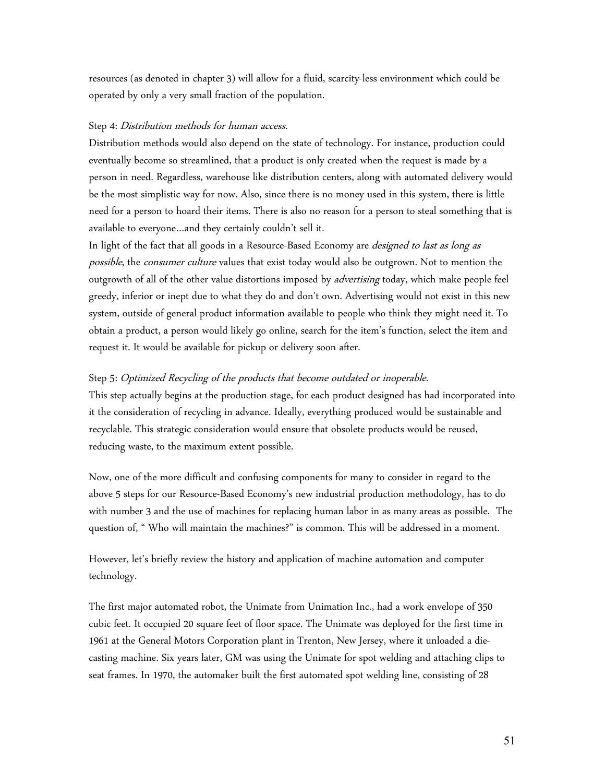resources (as denoted in chapter 3) will allow for a fluid, scarcity-less environment which could be operated by only a very small fraction of the population.

#### Step 4: Distribution methods for human access.

Distribution methods would also depend on the state of technology. For instance, production could eventually become so streamlined, that a product is only created when the request is made by a person in need. Regardless, warehouse like distribution centers, along with automated delivery would be the most simplistic way for now. Also, since there is no money used in this system, there is little need for a person to hoard their items. There is also no reason for a person to steal something that is available to everyone…and they certainly couldn't sell it.

In light of the fact that all goods in a Resource-Based Economy are *designed to last as long as* possible, the consumer culture values that exist today would also be outgrown. Not to mention the outgrowth of all of the other value distortions imposed by advertising today, which make people feel greedy, inferior or inept due to what they do and don't own. Advertising would not exist in this new system, outside of general product information available to people who think they might need it. To obtain a product, a person would likely go online, search for the item's function, select the item and request it. It would be available for pickup or delivery soon after.

#### Step 5: Optimized Recycling of the products that become outdated or inoperable.

This step actually begins at the production stage, for each product designed has had incorporated into it the consideration of recycling in advance. Ideally, everything produced would be sustainable and recyclable. This strategic consideration would ensure that obsolete products would be reused, reducing waste, to the maximum extent possible.

Now, one of the more difficult and confusing components for many to consider in regard to the above 5 steps for our Resource-Based Economy's new industrial production methodology, has to do with number 3 and the use of machines for replacing human labor in as many areas as possible. The question of, " Who will maintain the machines?" is common. This will be addressed in a moment.

However, let's briefly review the history and application of machine automation and computer technology.

The first major automated robot, the Unimate from Unimation Inc., had a work envelope of 350 cubic feet. It occupied 20 square feet of floor space. The Unimate was deployed for the first time in 1961 at the General Motors Corporation plant in Trenton, New Jersey, where it unloaded a diecasting machine. Six years later, GM was using the Unimate for spot welding and attaching clips to seat frames. In 1970, the automaker built the first automated spot welding line, consisting of 28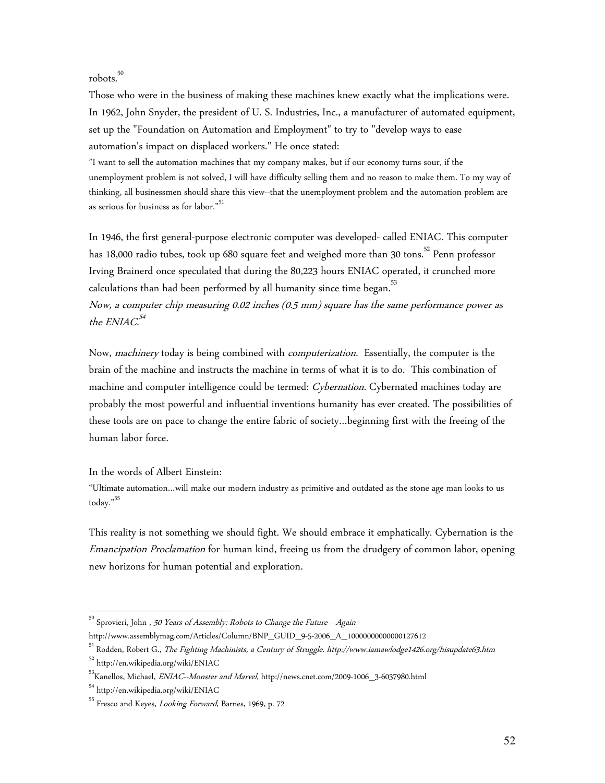robots.<sup>50</sup>

Those who were in the business of making these machines knew exactly what the implications were. In 1962, John Snyder, the president of U. S. Industries, Inc., a manufacturer of automated equipment, set up the "Foundation on Automation and Employment" to try to "develop ways to ease automation's impact on displaced workers." He once stated:

"I want to sell the automation machines that my company makes, but if our economy turns sour, if the unemployment problem is not solved, I will have difficulty selling them and no reason to make them. To my way of thinking, all businessmen should share this view--that the unemployment problem and the automation problem are as serious for business as for labor."<sup>51</sup>

In 1946, the first general-purpose electronic computer was developed- called ENIAC. This computer has 18,000 radio tubes, took up 680 square feet and weighed more than 30 tons.<sup>52</sup> Penn professor Irving Brainerd once speculated that during the 80,223 hours ENIAC operated, it crunched more calculations than had been performed by all humanity since time began.<sup>33</sup>

Now, a computer chip measuring 0.02 inches (0.5 mm) square has the same performance power as the  $ENIAC.<sup>54</sup>$ 

Now, machinery today is being combined with computerization. Essentially, the computer is the brain of the machine and instructs the machine in terms of what it is to do. This combination of machine and computer intelligence could be termed: Cybernation. Cybernated machines today are probably the most powerful and influential inventions humanity has ever created. The possibilities of these tools are on pace to change the entire fabric of society…beginning first with the freeing of the human labor force.

In the words of Albert Einstein:

"Ultimate automation…will make our modern industry as primitive and outdated as the stone age man looks to us today."<sup>55</sup>

This reality is not something we should fight. We should embrace it emphatically. Cybernation is the Emancipation Proclamation for human kind, freeing us from the drudgery of common labor, opening new horizons for human potential and exploration.

 $^{50}$  Sprovieri, John , 50 Years of Assembly: Robots to Change the Future—Again

http://www.assemblymag.com/Articles/Column/BNP\_GUID\_9-5-2006\_A\_10000000000000127612

<sup>&</sup>lt;sup>51</sup> Rodden, Robert G., *The Fighting Machinists, a Century of Struggle. http://www.iamawlodge1426.org/hisupdate63.htm*<br><sup>52</sup> http://en.wikipedia.org/wiki/ENIAC

 $^{53}$ Kanellos, Michael, *ENIAC--Monster and Marvel*, http://news.cnet.com/2009-1006\_3-6037980.html  $^{54}$  http://en.wikipedia.org/wiki/ENIAC

<sup>&</sup>lt;sup>55</sup> Fresco and Keyes, *Looking Forward*, Barnes, 1969, p. 72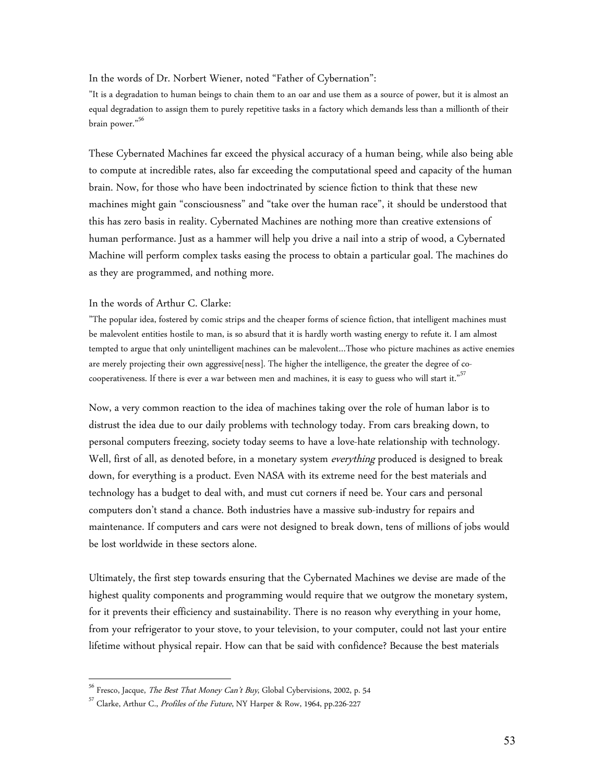In the words of Dr. Norbert Wiener, noted "Father of Cybernation":

"It is a degradation to human beings to chain them to an oar and use them as a source of power, but it is almost an equal degradation to assign them to purely repetitive tasks in a factory which demands less than a millionth of their brain power."<sup>56</sup>

These Cybernated Machines far exceed the physical accuracy of a human being, while also being able to compute at incredible rates, also far exceeding the computational speed and capacity of the human brain. Now, for those who have been indoctrinated by science fiction to think that these new machines might gain "consciousness" and "take over the human race", it should be understood that this has zero basis in reality. Cybernated Machines are nothing more than creative extensions of human performance. Just as a hammer will help you drive a nail into a strip of wood, a Cybernated Machine will perform complex tasks easing the process to obtain a particular goal. The machines do as they are programmed, and nothing more.

#### In the words of Arthur C. Clarke:

"The popular idea, fostered by comic strips and the cheaper forms of science fiction, that intelligent machines must be malevolent entities hostile to man, is so absurd that it is hardly worth wasting energy to refute it. I am almost tempted to argue that only unintelligent machines can be malevolent…Those who picture machines as active enemies are merely projecting their own aggressive[ness]. The higher the intelligence, the greater the degree of cocooperativeness. If there is ever a war between men and machines, it is easy to guess who will start it." $57$ 

Now, a very common reaction to the idea of machines taking over the role of human labor is to distrust the idea due to our daily problems with technology today. From cars breaking down, to personal computers freezing, society today seems to have a love-hate relationship with technology. Well, first of all, as denoted before, in a monetary system *everything* produced is designed to break down, for everything is a product. Even NASA with its extreme need for the best materials and technology has a budget to deal with, and must cut corners if need be. Your cars and personal computers don't stand a chance. Both industries have a massive sub-industry for repairs and maintenance. If computers and cars were not designed to break down, tens of millions of jobs would be lost worldwide in these sectors alone.

Ultimately, the first step towards ensuring that the Cybernated Machines we devise are made of the highest quality components and programming would require that we outgrow the monetary system, for it prevents their efficiency and sustainability. There is no reason why everything in your home, from your refrigerator to your stove, to your television, to your computer, could not last your entire lifetime without physical repair. How can that be said with confidence? Because the best materials

<sup>&</sup>lt;sup>56</sup> Fresco, Jacque, *The Best That Money Can't Buy*, Global Cybervisions, 2002, p. 54<br><sup>57</sup> Clarke, Arthur C., *Profiles of the Future*, NY Harper & Row, 1964, pp.226-227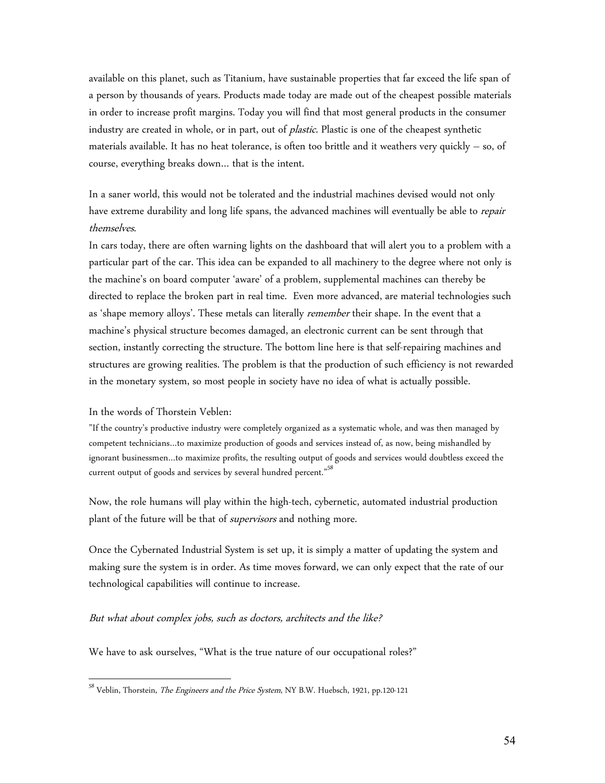available on this planet, such as Titanium, have sustainable properties that far exceed the life span of a person by thousands of years. Products made today are made out of the cheapest possible materials in order to increase profit margins. Today you will find that most general products in the consumer industry are created in whole, or in part, out of *plastic*. Plastic is one of the cheapest synthetic materials available. It has no heat tolerance, is often too brittle and it weathers very quickly – so, of course, everything breaks down… that is the intent.

In a saner world, this would not be tolerated and the industrial machines devised would not only have extreme durability and long life spans, the advanced machines will eventually be able to *repair* themselves.

In cars today, there are often warning lights on the dashboard that will alert you to a problem with a particular part of the car. This idea can be expanded to all machinery to the degree where not only is the machine's on board computer 'aware' of a problem, supplemental machines can thereby be directed to replace the broken part in real time. Even more advanced, are material technologies such as 'shape memory alloys'. These metals can literally *remember* their shape. In the event that a machine's physical structure becomes damaged, an electronic current can be sent through that section, instantly correcting the structure. The bottom line here is that self-repairing machines and structures are growing realities. The problem is that the production of such efficiency is not rewarded in the monetary system, so most people in society have no idea of what is actually possible.

In the words of Thorstein Veblen:

 $\overline{a}$ 

"If the country's productive industry were completely organized as a systematic whole, and was then managed by competent technicians…to maximize production of goods and services instead of, as now, being mishandled by ignorant businessmen…to maximize profits, the resulting output of goods and services would doubtless exceed the current output of goods and services by several hundred percent."<sup>58</sup>

Now, the role humans will play within the high-tech, cybernetic, automated industrial production plant of the future will be that of *supervisors* and nothing more.

Once the Cybernated Industrial System is set up, it is simply a matter of updating the system and making sure the system is in order. As time moves forward, we can only expect that the rate of our technological capabilities will continue to increase.

#### But what about complex jobs, such as doctors, architects and the like?

We have to ask ourselves, "What is the true nature of our occupational roles?"

 $^{58}$  Veblin, Thorstein, *The Engineers and the Price System*, NY B.W. Huebsch, 1921, pp.120-121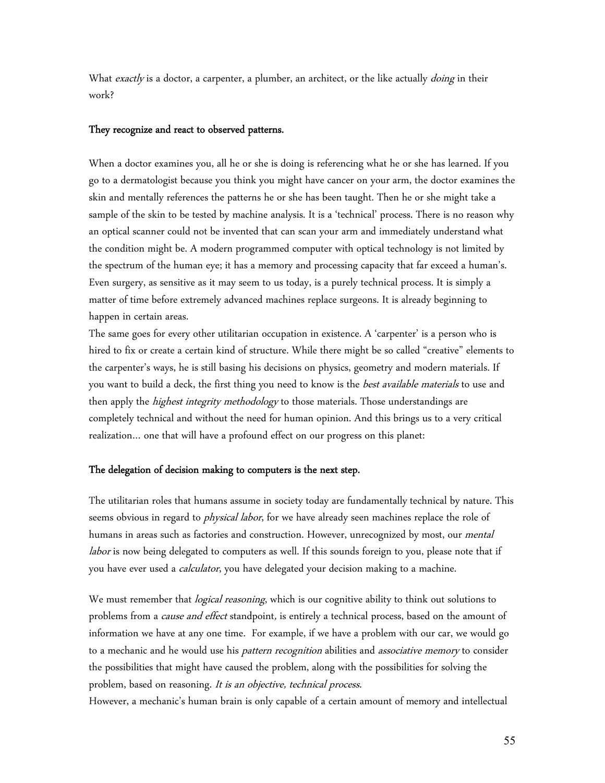What exactly is a doctor, a carpenter, a plumber, an architect, or the like actually *doing* in their work?

#### They recognize and react to observed patterns.

When a doctor examines you, all he or she is doing is referencing what he or she has learned. If you go to a dermatologist because you think you might have cancer on your arm, the doctor examines the skin and mentally references the patterns he or she has been taught. Then he or she might take a sample of the skin to be tested by machine analysis. It is a 'technical' process. There is no reason why an optical scanner could not be invented that can scan your arm and immediately understand what the condition might be. A modern programmed computer with optical technology is not limited by the spectrum of the human eye; it has a memory and processing capacity that far exceed a human's. Even surgery, as sensitive as it may seem to us today, is a purely technical process. It is simply a matter of time before extremely advanced machines replace surgeons. It is already beginning to happen in certain areas.

The same goes for every other utilitarian occupation in existence. A 'carpenter' is a person who is hired to fix or create a certain kind of structure. While there might be so called "creative" elements to the carpenter's ways, he is still basing his decisions on physics, geometry and modern materials. If you want to build a deck, the first thing you need to know is the *best available materials* to use and then apply the *highest integrity methodology* to those materials. Those understandings are completely technical and without the need for human opinion. And this brings us to a very critical realization… one that will have a profound effect on our progress on this planet:

#### The delegation of decision making to computers is the next step.

The utilitarian roles that humans assume in society today are fundamentally technical by nature. This seems obvious in regard to *physical labor*, for we have already seen machines replace the role of humans in areas such as factories and construction. However, unrecognized by most, our *mental* labor is now being delegated to computers as well. If this sounds foreign to you, please note that if you have ever used a *calculator*, you have delegated your decision making to a machine.

We must remember that *logical reasoning*, which is our cognitive ability to think out solutions to problems from a cause and effect standpoint, is entirely a technical process, based on the amount of information we have at any one time. For example, if we have a problem with our car, we would go to a mechanic and he would use his *pattern recognition* abilities and associative memory to consider the possibilities that might have caused the problem, along with the possibilities for solving the problem, based on reasoning. It is an objective, technical process.

However, a mechanic's human brain is only capable of a certain amount of memory and intellectual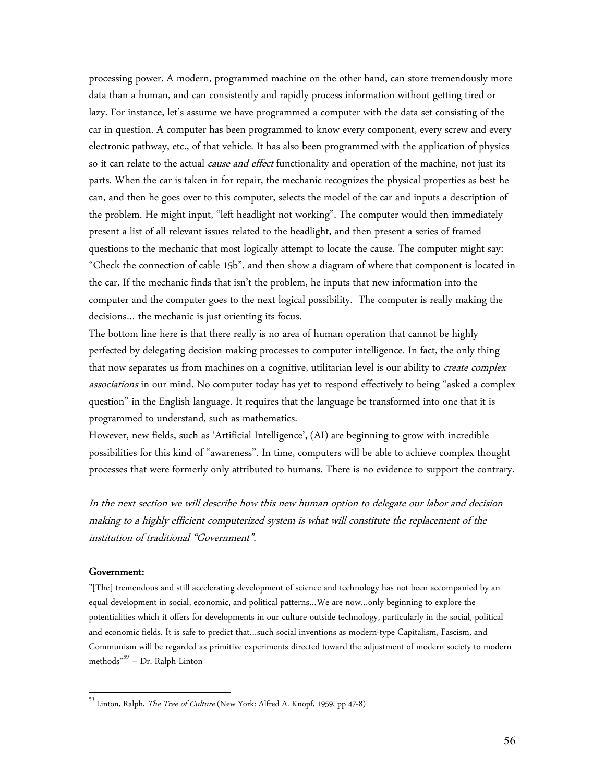processing power. A modern, programmed machine on the other hand, can store tremendously more data than a human, and can consistently and rapidly process information without getting tired or lazy. For instance, let's assume we have programmed a computer with the data set consisting of the car in question. A computer has been programmed to know every component, every screw and every electronic pathway, etc., of that vehicle. It has also been programmed with the application of physics so it can relate to the actual *cause and effect* functionality and operation of the machine, not just its parts. When the car is taken in for repair, the mechanic recognizes the physical properties as best he can, and then he goes over to this computer, selects the model of the car and inputs a description of the problem. He might input, "left headlight not working". The computer would then immediately present a list of all relevant issues related to the headlight, and then present a series of framed questions to the mechanic that most logically attempt to locate the cause. The computer might say: "Check the connection of cable 15b", and then show a diagram of where that component is located in the car. If the mechanic finds that isn't the problem, he inputs that new information into the computer and the computer goes to the next logical possibility. The computer is really making the decisions… the mechanic is just orienting its focus.

The bottom line here is that there really is no area of human operation that cannot be highly perfected by delegating decision-making processes to computer intelligence. In fact, the only thing that now separates us from machines on a cognitive, utilitarian level is our ability to *create complex* associations in our mind. No computer today has yet to respond effectively to being "asked a complex question" in the English language. It requires that the language be transformed into one that it is programmed to understand, such as mathematics.

However, new fields, such as 'Artificial Intelligence', (AI) are beginning to grow with incredible possibilities for this kind of "awareness". In time, computers will be able to achieve complex thought processes that were formerly only attributed to humans. There is no evidence to support the contrary.

In the next section we will describe how this new human option to delegate our labor and decision making to a highly efficient computerized system is what will constitute the replacement of the institution of traditional "Government".

#### Government:

 $\overline{a}$ 

"[The] tremendous and still accelerating development of science and technology has not been accompanied by an equal development in social, economic, and political patterns…We are now…only beginning to explore the potentialities which it offers for developments in our culture outside technology, particularly in the social, political and economic fields. It is safe to predict that…such social inventions as modern-type Capitalism, Fascism, and Communism will be regarded as primitive experiments directed toward the adjustment of modern society to modern methods"<sup>59</sup> – Dr. Ralph Linton

<sup>&</sup>lt;sup>59</sup> Linton, Ralph, *The Tree of Culture* (New York: Alfred A. Knopf, 1959, pp 47-8)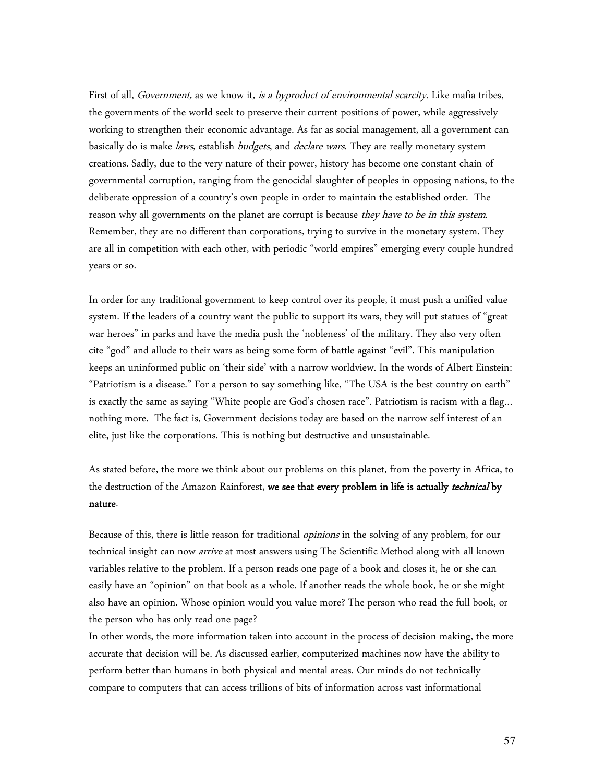First of all, Government, as we know it, is a byproduct of environmental scarcity. Like mafia tribes, the governments of the world seek to preserve their current positions of power, while aggressively working to strengthen their economic advantage. As far as social management, all a government can basically do is make laws, establish budgets, and declare wars. They are really monetary system creations. Sadly, due to the very nature of their power, history has become one constant chain of governmental corruption, ranging from the genocidal slaughter of peoples in opposing nations, to the deliberate oppression of a country's own people in order to maintain the established order. The reason why all governments on the planet are corrupt is because they have to be in this system. Remember, they are no different than corporations, trying to survive in the monetary system. They are all in competition with each other, with periodic "world empires" emerging every couple hundred years or so.

In order for any traditional government to keep control over its people, it must push a unified value system. If the leaders of a country want the public to support its wars, they will put statues of "great war heroes" in parks and have the media push the 'nobleness' of the military. They also very often cite "god" and allude to their wars as being some form of battle against "evil". This manipulation keeps an uninformed public on 'their side' with a narrow worldview. In the words of Albert Einstein: "Patriotism is a disease." For a person to say something like, "The USA is the best country on earth" is exactly the same as saying "White people are God's chosen race". Patriotism is racism with a flag… nothing more. The fact is, Government decisions today are based on the narrow self-interest of an elite, just like the corporations. This is nothing but destructive and unsustainable.

As stated before, the more we think about our problems on this planet, from the poverty in Africa, to the destruction of the Amazon Rainforest, we see that every problem in life is actually technical by nature.

Because of this, there is little reason for traditional *opinions* in the solving of any problem, for our technical insight can now *arrive* at most answers using The Scientific Method along with all known variables relative to the problem. If a person reads one page of a book and closes it, he or she can easily have an "opinion" on that book as a whole. If another reads the whole book, he or she might also have an opinion. Whose opinion would you value more? The person who read the full book, or the person who has only read one page?

In other words, the more information taken into account in the process of decision-making, the more accurate that decision will be. As discussed earlier, computerized machines now have the ability to perform better than humans in both physical and mental areas. Our minds do not technically compare to computers that can access trillions of bits of information across vast informational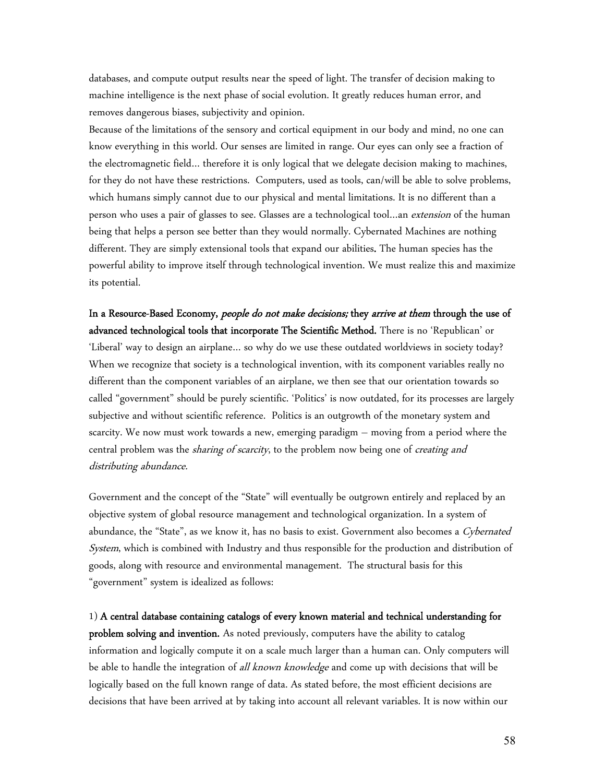databases, and compute output results near the speed of light. The transfer of decision making to machine intelligence is the next phase of social evolution. It greatly reduces human error, and removes dangerous biases, subjectivity and opinion.

Because of the limitations of the sensory and cortical equipment in our body and mind, no one can know everything in this world. Our senses are limited in range. Our eyes can only see a fraction of the electromagnetic field… therefore it is only logical that we delegate decision making to machines, for they do not have these restrictions. Computers, used as tools, can/will be able to solve problems, which humans simply cannot due to our physical and mental limitations. It is no different than a person who uses a pair of glasses to see. Glasses are a technological tool...an extension of the human being that helps a person see better than they would normally. Cybernated Machines are nothing different. They are simply extensional tools that expand our abilities. The human species has the powerful ability to improve itself through technological invention. We must realize this and maximize its potential.

In a Resource-Based Economy, *people do not make decisions;* they *arrive at them* through the use of advanced technological tools that incorporate The Scientific Method. There is no 'Republican' or 'Liberal' way to design an airplane… so why do we use these outdated worldviews in society today? When we recognize that society is a technological invention, with its component variables really no different than the component variables of an airplane, we then see that our orientation towards so called "government" should be purely scientific. 'Politics' is now outdated, for its processes are largely subjective and without scientific reference. Politics is an outgrowth of the monetary system and scarcity. We now must work towards a new, emerging paradigm – moving from a period where the central problem was the *sharing of scarcity*, to the problem now being one of *creating and* distributing abundance.

Government and the concept of the "State" will eventually be outgrown entirely and replaced by an objective system of global resource management and technological organization. In a system of abundance, the "State", as we know it, has no basis to exist. Government also becomes a Cybernated System, which is combined with Industry and thus responsible for the production and distribution of goods, along with resource and environmental management. The structural basis for this "government" system is idealized as follows:

1) A central database containing catalogs of every known material and technical understanding for **problem solving and invention.** As noted previously, computers have the ability to catalog information and logically compute it on a scale much larger than a human can. Only computers will be able to handle the integration of all known knowledge and come up with decisions that will be logically based on the full known range of data. As stated before, the most efficient decisions are decisions that have been arrived at by taking into account all relevant variables. It is now within our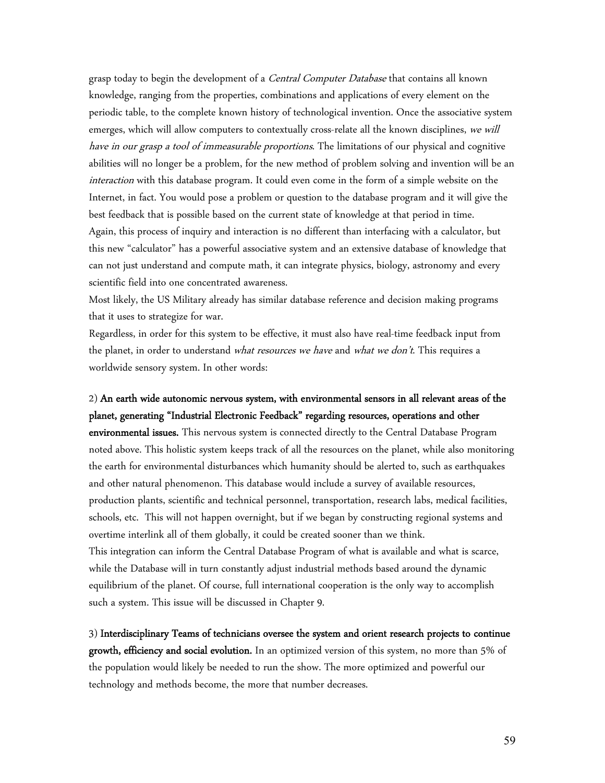grasp today to begin the development of a Central Computer Database that contains all known knowledge, ranging from the properties, combinations and applications of every element on the periodic table, to the complete known history of technological invention. Once the associative system emerges, which will allow computers to contextually cross-relate all the known disciplines, we will have in our grasp a tool of immeasurable proportions. The limitations of our physical and cognitive abilities will no longer be a problem, for the new method of problem solving and invention will be an interaction with this database program. It could even come in the form of a simple website on the Internet, in fact. You would pose a problem or question to the database program and it will give the best feedback that is possible based on the current state of knowledge at that period in time. Again, this process of inquiry and interaction is no different than interfacing with a calculator, but this new "calculator" has a powerful associative system and an extensive database of knowledge that can not just understand and compute math, it can integrate physics, biology, astronomy and every scientific field into one concentrated awareness.

Most likely, the US Military already has similar database reference and decision making programs that it uses to strategize for war.

Regardless, in order for this system to be effective, it must also have real-time feedback input from the planet, in order to understand what resources we have and what we don't. This requires a worldwide sensory system. In other words:

## 2) An earth wide autonomic nervous system, with environmental sensors in all relevant areas of the planet, generating "Industrial Electronic Feedback" regarding resources, operations and other environmental issues. This nervous system is connected directly to the Central Database Program

noted above. This holistic system keeps track of all the resources on the planet, while also monitoring the earth for environmental disturbances which humanity should be alerted to, such as earthquakes and other natural phenomenon. This database would include a survey of available resources, production plants, scientific and technical personnel, transportation, research labs, medical facilities, schools, etc. This will not happen overnight, but if we began by constructing regional systems and overtime interlink all of them globally, it could be created sooner than we think. This integration can inform the Central Database Program of what is available and what is scarce, while the Database will in turn constantly adjust industrial methods based around the dynamic equilibrium of the planet. Of course, full international cooperation is the only way to accomplish such a system. This issue will be discussed in Chapter 9.

3) Interdisciplinary Teams of technicians oversee the system and orient research projects to continue growth, efficiency and social evolution. In an optimized version of this system, no more than 5% of the population would likely be needed to run the show. The more optimized and powerful our technology and methods become, the more that number decreases.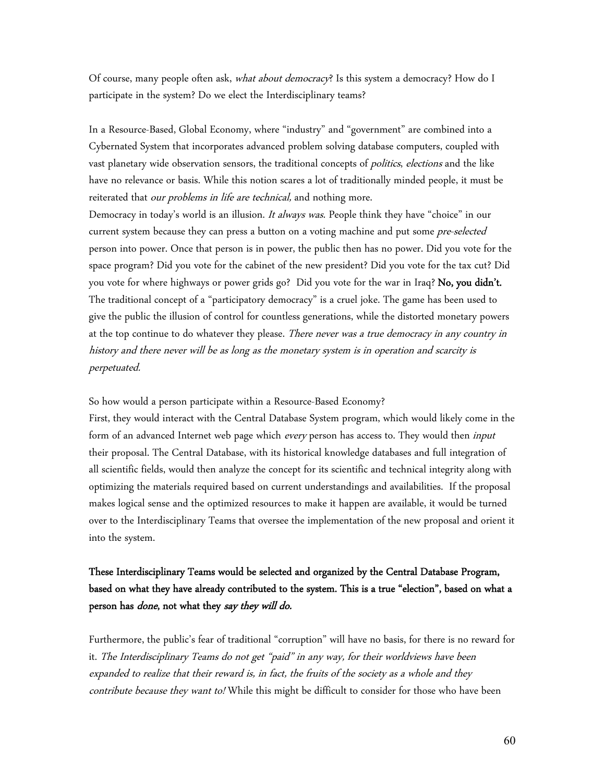Of course, many people often ask, what about democracy? Is this system a democracy? How do I participate in the system? Do we elect the Interdisciplinary teams?

In a Resource-Based, Global Economy, where "industry" and "government" are combined into a Cybernated System that incorporates advanced problem solving database computers, coupled with vast planetary wide observation sensors, the traditional concepts of *politics, elections* and the like have no relevance or basis. While this notion scares a lot of traditionally minded people, it must be reiterated that our problems in life are technical, and nothing more.

Democracy in today's world is an illusion. It always was. People think they have "choice" in our current system because they can press a button on a voting machine and put some pre-selected person into power. Once that person is in power, the public then has no power. Did you vote for the space program? Did you vote for the cabinet of the new president? Did you vote for the tax cut? Did you vote for where highways or power grids go? Did you vote for the war in Iraq? No, you didn't. The traditional concept of a "participatory democracy" is a cruel joke. The game has been used to give the public the illusion of control for countless generations, while the distorted monetary powers at the top continue to do whatever they please. There never was a true democracy in any country in history and there never will be as long as the monetary system is in operation and scarcity is perpetuated.

So how would a person participate within a Resource-Based Economy?

First, they would interact with the Central Database System program, which would likely come in the form of an advanced Internet web page which every person has access to. They would then *input* their proposal. The Central Database, with its historical knowledge databases and full integration of all scientific fields, would then analyze the concept for its scientific and technical integrity along with optimizing the materials required based on current understandings and availabilities. If the proposal makes logical sense and the optimized resources to make it happen are available, it would be turned over to the Interdisciplinary Teams that oversee the implementation of the new proposal and orient it into the system.

## These Interdisciplinary Teams would be selected and organized by the Central Database Program, based on what they have already contributed to the system. This is a true "election", based on what a person has *done*, not what they say they will do.

Furthermore, the public's fear of traditional "corruption" will have no basis, for there is no reward for it. The Interdisciplinary Teams do not get "paid" in any way, for their worldviews have been expanded to realize that their reward is, in fact, the fruits of the society as a whole and they contribute because they want to! While this might be difficult to consider for those who have been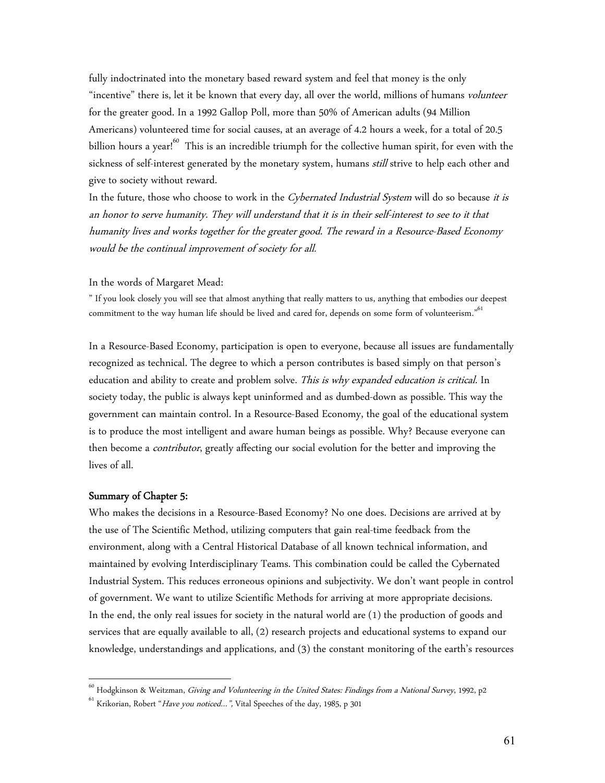fully indoctrinated into the monetary based reward system and feel that money is the only "incentive" there is, let it be known that every day, all over the world, millions of humans volunteer for the greater good. In a 1992 Gallop Poll, more than 50% of American adults (94 Million Americans) volunteered time for social causes, at an average of 4.2 hours a week, for a total of 20.5 billion hours a year!<sup>60</sup> This is an incredible triumph for the collective human spirit, for even with the sickness of self-interest generated by the monetary system, humans *still* strive to help each other and give to society without reward.

In the future, those who choose to work in the Cybernated Industrial System will do so because it is an honor to serve humanity. They will understand that it is in their self-interest to see to it that humanity lives and works together for the greater good. The reward in a Resource-Based Economy would be the continual improvement of society for all.

In the words of Margaret Mead:

" If you look closely you will see that almost anything that really matters to us, anything that embodies our deepest commitment to the way human life should be lived and cared for, depends on some form of volunteerism."<sup>61</sup>

In a Resource-Based Economy, participation is open to everyone, because all issues are fundamentally recognized as technical. The degree to which a person contributes is based simply on that person's education and ability to create and problem solve. This is why expanded education is critical. In society today, the public is always kept uninformed and as dumbed-down as possible. This way the government can maintain control. In a Resource-Based Economy, the goal of the educational system is to produce the most intelligent and aware human beings as possible. Why? Because everyone can then become a *contributor*, greatly affecting our social evolution for the better and improving the lives of all.

#### Summary of Chapter 5:

 $\overline{\phantom{a}}$ 

Who makes the decisions in a Resource-Based Economy? No one does. Decisions are arrived at by the use of The Scientific Method, utilizing computers that gain real-time feedback from the environment, along with a Central Historical Database of all known technical information, and maintained by evolving Interdisciplinary Teams. This combination could be called the Cybernated Industrial System. This reduces erroneous opinions and subjectivity. We don't want people in control of government. We want to utilize Scientific Methods for arriving at more appropriate decisions. In the end, the only real issues for society in the natural world are (1) the production of goods and services that are equally available to all, (2) research projects and educational systems to expand our knowledge, understandings and applications, and (3) the constant monitoring of the earth's resources

<sup>&</sup>lt;sup>60</sup> Hodgkinson & Weitzman, *Giving and Volunteering in the United States: Findings from a National Survey*, 1992, p2<br><sup>61</sup> Krikorian, Robert "*Have you noticed…",* Vital Speeches of the day, 1985, p 301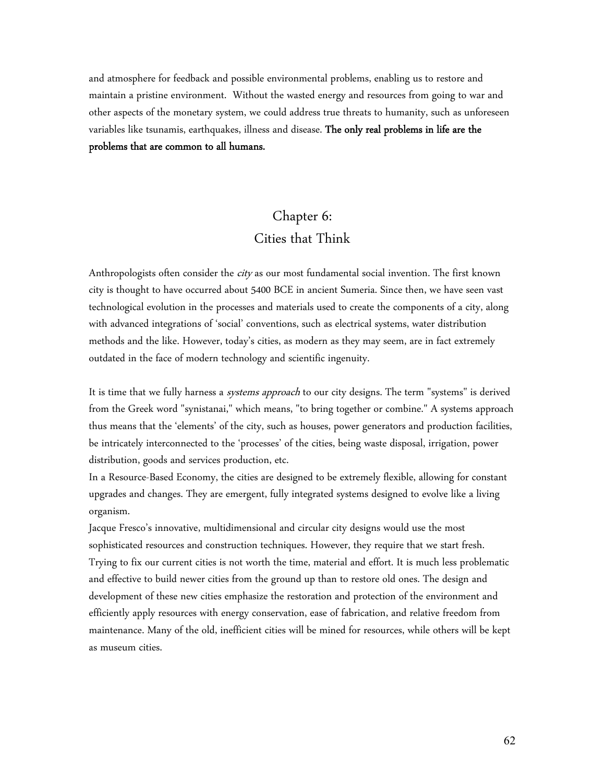and atmosphere for feedback and possible environmental problems, enabling us to restore and maintain a pristine environment. Without the wasted energy and resources from going to war and other aspects of the monetary system, we could address true threats to humanity, such as unforeseen variables like tsunamis, earthquakes, illness and disease. The only real problems in life are the problems that are common to all humans.

## Chapter 6: Cities that Think

Anthropologists often consider the city as our most fundamental social invention. The first known city is thought to have occurred about 5400 BCE in ancient Sumeria. Since then, we have seen vast technological evolution in the processes and materials used to create the components of a city, along with advanced integrations of 'social' conventions, such as electrical systems, water distribution methods and the like. However, today's cities, as modern as they may seem, are in fact extremely outdated in the face of modern technology and scientific ingenuity.

It is time that we fully harness a systems approach to our city designs. The term "systems" is derived from the Greek word "synistanai," which means, "to bring together or combine." A systems approach thus means that the 'elements' of the city, such as houses, power generators and production facilities, be intricately interconnected to the 'processes' of the cities, being waste disposal, irrigation, power distribution, goods and services production, etc.

In a Resource-Based Economy, the cities are designed to be extremely flexible, allowing for constant upgrades and changes. They are emergent, fully integrated systems designed to evolve like a living organism.

Jacque Fresco's innovative, multidimensional and circular city designs would use the most sophisticated resources and construction techniques. However, they require that we start fresh. Trying to fix our current cities is not worth the time, material and effort. It is much less problematic and effective to build newer cities from the ground up than to restore old ones. The design and development of these new cities emphasize the restoration and protection of the environment and efficiently apply resources with energy conservation, ease of fabrication, and relative freedom from maintenance. Many of the old, inefficient cities will be mined for resources, while others will be kept as museum cities.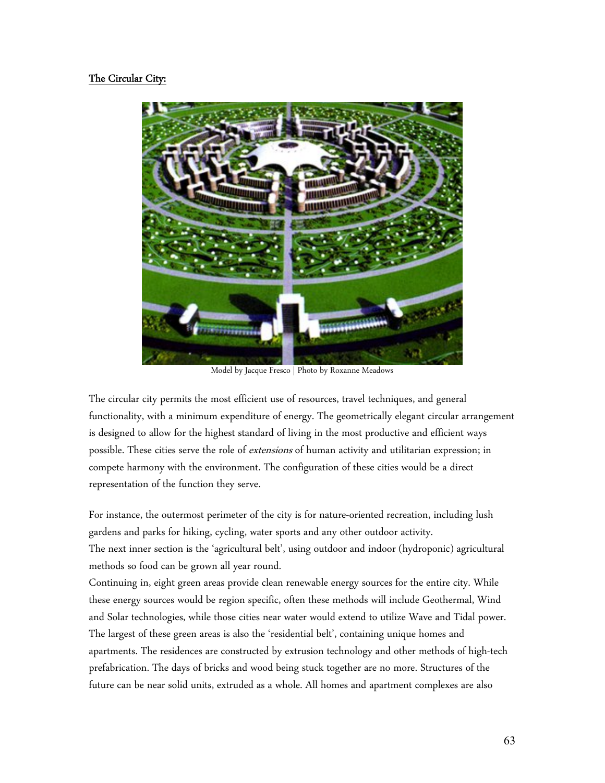### The Circular City:



Model by Jacque Fresco | Photo by Roxanne Meadows

The circular city permits the most efficient use of resources, travel techniques, and general functionality, with a minimum expenditure of energy. The geometrically elegant circular arrangement is designed to allow for the highest standard of living in the most productive and efficient ways possible. These cities serve the role of *extensions* of human activity and utilitarian expression; in compete harmony with the environment. The configuration of these cities would be a direct representation of the function they serve.

For instance, the outermost perimeter of the city is for nature-oriented recreation, including lush gardens and parks for hiking, cycling, water sports and any other outdoor activity. The next inner section is the 'agricultural belt', using outdoor and indoor (hydroponic) agricultural methods so food can be grown all year round.

Continuing in, eight green areas provide clean renewable energy sources for the entire city. While these energy sources would be region specific, often these methods will include Geothermal, Wind and Solar technologies, while those cities near water would extend to utilize Wave and Tidal power. The largest of these green areas is also the 'residential belt', containing unique homes and apartments. The residences are constructed by extrusion technology and other methods of high-tech prefabrication. The days of bricks and wood being stuck together are no more. Structures of the future can be near solid units, extruded as a whole. All homes and apartment complexes are also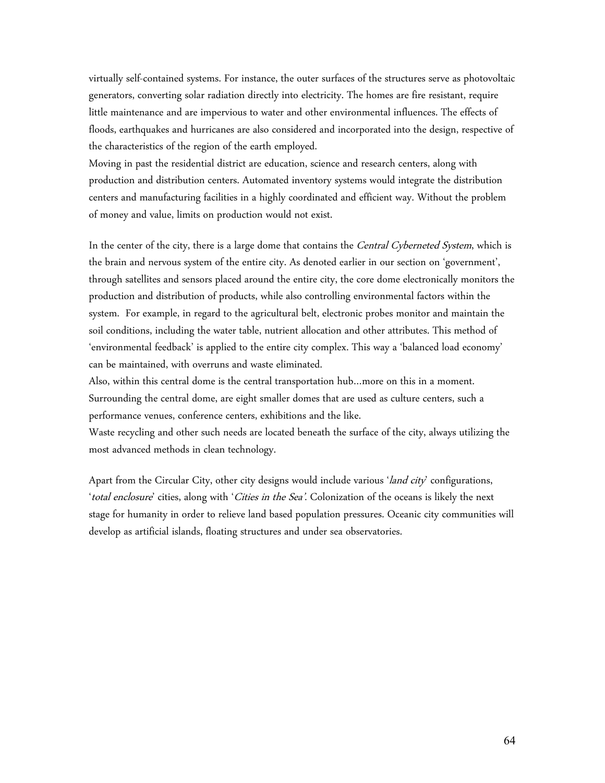virtually self-contained systems. For instance, the outer surfaces of the structures serve as photovoltaic generators, converting solar radiation directly into electricity. The homes are fire resistant, require little maintenance and are impervious to water and other environmental influences. The effects of floods, earthquakes and hurricanes are also considered and incorporated into the design, respective of the characteristics of the region of the earth employed.

Moving in past the residential district are education, science and research centers, along with production and distribution centers. Automated inventory systems would integrate the distribution centers and manufacturing facilities in a highly coordinated and efficient way. Without the problem of money and value, limits on production would not exist.

In the center of the city, there is a large dome that contains the Central Cyberneted System, which is the brain and nervous system of the entire city. As denoted earlier in our section on 'government', through satellites and sensors placed around the entire city, the core dome electronically monitors the production and distribution of products, while also controlling environmental factors within the system. For example, in regard to the agricultural belt, electronic probes monitor and maintain the soil conditions, including the water table, nutrient allocation and other attributes. This method of 'environmental feedback' is applied to the entire city complex. This way a 'balanced load economy' can be maintained, with overruns and waste eliminated.

Also, within this central dome is the central transportation hub…more on this in a moment. Surrounding the central dome, are eight smaller domes that are used as culture centers, such a performance venues, conference centers, exhibitions and the like.

Waste recycling and other such needs are located beneath the surface of the city, always utilizing the most advanced methods in clean technology.

Apart from the Circular City, other city designs would include various 'land city' configurations, 'total enclosure' cities, along with 'Cities in the Sea'. Colonization of the oceans is likely the next stage for humanity in order to relieve land based population pressures. Oceanic city communities will develop as artificial islands, floating structures and under sea observatories.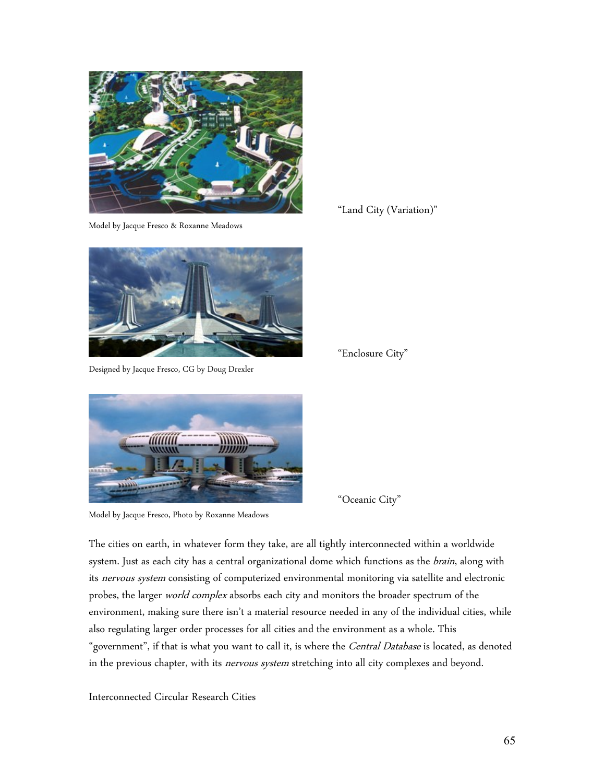

Model by Jacque Fresco & Roxanne Meadows



Designed by Jacque Fresco, CG by Doug Drexler



Model by Jacque Fresco, Photo by Roxanne Meadows

"Land City (Variation)"

"Enclosure City"

"Oceanic City"

The cities on earth, in whatever form they take, are all tightly interconnected within a worldwide system. Just as each city has a central organizational dome which functions as the brain, along with its nervous system consisting of computerized environmental monitoring via satellite and electronic probes, the larger world complex absorbs each city and monitors the broader spectrum of the environment, making sure there isn't a material resource needed in any of the individual cities, while also regulating larger order processes for all cities and the environment as a whole. This "government", if that is what you want to call it, is where the Central Database is located, as denoted in the previous chapter, with its *nervous system* stretching into all city complexes and beyond.

Interconnected Circular Research Cities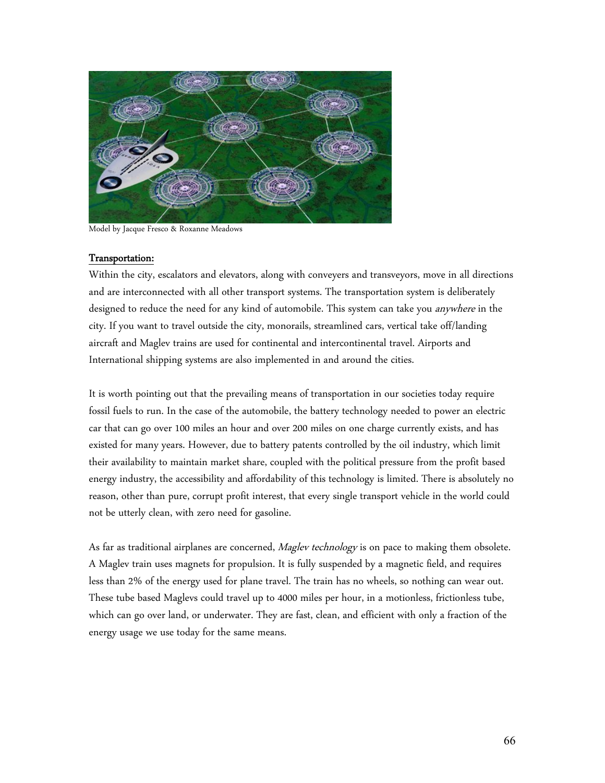

Model by Jacque Fresco & Roxanne Meadows

### Transportation:

Within the city, escalators and elevators, along with conveyers and transveyors, move in all directions and are interconnected with all other transport systems. The transportation system is deliberately designed to reduce the need for any kind of automobile. This system can take you anywhere in the city. If you want to travel outside the city, monorails, streamlined cars, vertical take off/landing aircraft and Maglev trains are used for continental and intercontinental travel. Airports and International shipping systems are also implemented in and around the cities.

It is worth pointing out that the prevailing means of transportation in our societies today require fossil fuels to run. In the case of the automobile, the battery technology needed to power an electric car that can go over 100 miles an hour and over 200 miles on one charge currently exists, and has existed for many years. However, due to battery patents controlled by the oil industry, which limit their availability to maintain market share, coupled with the political pressure from the profit based energy industry, the accessibility and affordability of this technology is limited. There is absolutely no reason, other than pure, corrupt profit interest, that every single transport vehicle in the world could not be utterly clean, with zero need for gasoline.

As far as traditional airplanes are concerned, *Maglev technology* is on pace to making them obsolete. A Maglev train uses magnets for propulsion. It is fully suspended by a magnetic field, and requires less than 2% of the energy used for plane travel. The train has no wheels, so nothing can wear out. These tube based Maglevs could travel up to 4000 miles per hour, in a motionless, frictionless tube, which can go over land, or underwater. They are fast, clean, and efficient with only a fraction of the energy usage we use today for the same means.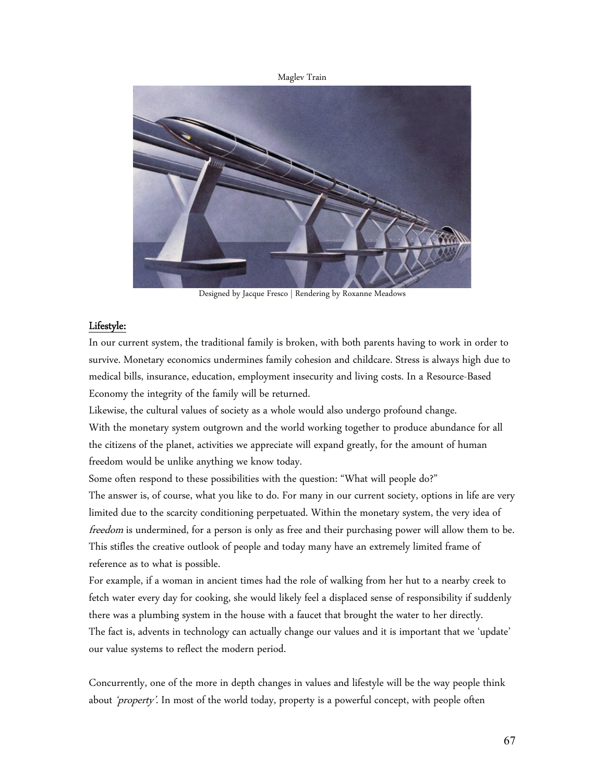



Designed by Jacque Fresco | Rendering by Roxanne Meadows

### Lifestyle:

In our current system, the traditional family is broken, with both parents having to work in order to survive. Monetary economics undermines family cohesion and childcare. Stress is always high due to medical bills, insurance, education, employment insecurity and living costs. In a Resource-Based Economy the integrity of the family will be returned.

Likewise, the cultural values of society as a whole would also undergo profound change. With the monetary system outgrown and the world working together to produce abundance for all the citizens of the planet, activities we appreciate will expand greatly, for the amount of human freedom would be unlike anything we know today.

Some often respond to these possibilities with the question: "What will people do?"

The answer is, of course, what you like to do. For many in our current society, options in life are very limited due to the scarcity conditioning perpetuated. Within the monetary system, the very idea of freedom is undermined, for a person is only as free and their purchasing power will allow them to be. This stifles the creative outlook of people and today many have an extremely limited frame of reference as to what is possible.

For example, if a woman in ancient times had the role of walking from her hut to a nearby creek to fetch water every day for cooking, she would likely feel a displaced sense of responsibility if suddenly there was a plumbing system in the house with a faucet that brought the water to her directly. The fact is, advents in technology can actually change our values and it is important that we 'update' our value systems to reflect the modern period.

Concurrently, one of the more in depth changes in values and lifestyle will be the way people think about 'property'. In most of the world today, property is a powerful concept, with people often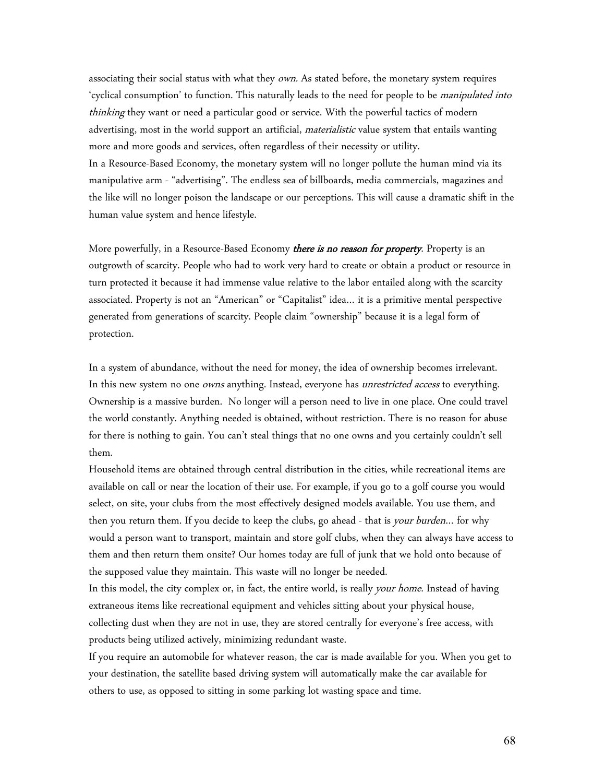associating their social status with what they *own*. As stated before, the monetary system requires 'cyclical consumption' to function. This naturally leads to the need for people to be manipulated into thinking they want or need a particular good or service. With the powerful tactics of modern advertising, most in the world support an artificial, *materialistic* value system that entails wanting more and more goods and services, often regardless of their necessity or utility. In a Resource-Based Economy, the monetary system will no longer pollute the human mind via its manipulative arm - "advertising". The endless sea of billboards, media commercials, magazines and the like will no longer poison the landscape or our perceptions. This will cause a dramatic shift in the human value system and hence lifestyle.

More powerfully, in a Resource-Based Economy *there is no reason for property*. Property is an outgrowth of scarcity. People who had to work very hard to create or obtain a product or resource in turn protected it because it had immense value relative to the labor entailed along with the scarcity associated. Property is not an "American" or "Capitalist" idea… it is a primitive mental perspective generated from generations of scarcity. People claim "ownership" because it is a legal form of protection.

In a system of abundance, without the need for money, the idea of ownership becomes irrelevant. In this new system no one *owns* anything. Instead, everyone has *unrestricted access* to everything. Ownership is a massive burden. No longer will a person need to live in one place. One could travel the world constantly. Anything needed is obtained, without restriction. There is no reason for abuse for there is nothing to gain. You can't steal things that no one owns and you certainly couldn't sell them.

Household items are obtained through central distribution in the cities, while recreational items are available on call or near the location of their use. For example, if you go to a golf course you would select, on site, your clubs from the most effectively designed models available. You use them, and then you return them. If you decide to keep the clubs, go ahead - that is *your burden...* for why would a person want to transport, maintain and store golf clubs, when they can always have access to them and then return them onsite? Our homes today are full of junk that we hold onto because of the supposed value they maintain. This waste will no longer be needed.

In this model, the city complex or, in fact, the entire world, is really your home. Instead of having extraneous items like recreational equipment and vehicles sitting about your physical house, collecting dust when they are not in use, they are stored centrally for everyone's free access, with products being utilized actively, minimizing redundant waste.

If you require an automobile for whatever reason, the car is made available for you. When you get to your destination, the satellite based driving system will automatically make the car available for others to use, as opposed to sitting in some parking lot wasting space and time.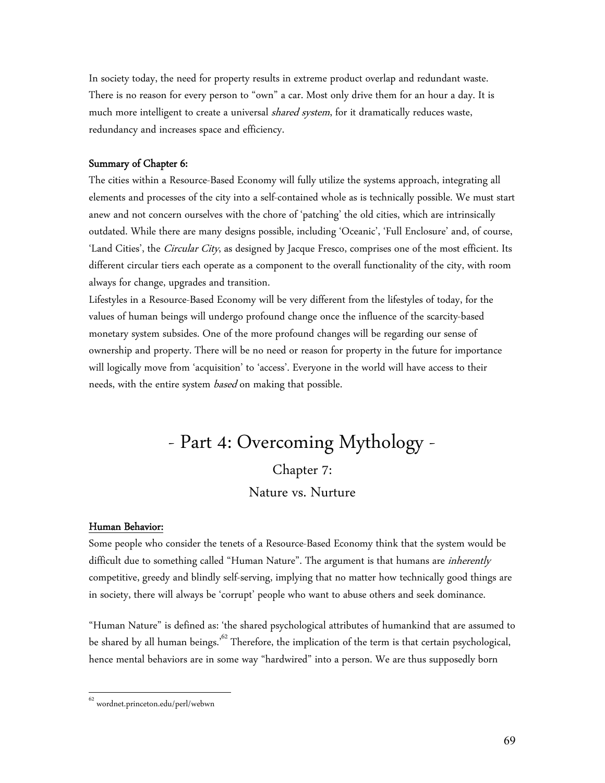In society today, the need for property results in extreme product overlap and redundant waste. There is no reason for every person to "own" a car. Most only drive them for an hour a day. It is much more intelligent to create a universal *shared system*, for it dramatically reduces waste, redundancy and increases space and efficiency.

#### Summary of Chapter 6:

The cities within a Resource-Based Economy will fully utilize the systems approach, integrating all elements and processes of the city into a self-contained whole as is technically possible. We must start anew and not concern ourselves with the chore of 'patching' the old cities, which are intrinsically outdated. While there are many designs possible, including 'Oceanic', 'Full Enclosure' and, of course, 'Land Cities', the Circular City, as designed by Jacque Fresco, comprises one of the most efficient. Its different circular tiers each operate as a component to the overall functionality of the city, with room always for change, upgrades and transition.

Lifestyles in a Resource-Based Economy will be very different from the lifestyles of today, for the values of human beings will undergo profound change once the influence of the scarcity-based monetary system subsides. One of the more profound changes will be regarding our sense of ownership and property. There will be no need or reason for property in the future for importance will logically move from 'acquisition' to 'access'. Everyone in the world will have access to their needs, with the entire system *based* on making that possible.

# - Part 4: Overcoming Mythology -

## Chapter 7: Nature vs. Nurture

#### Human Behavior:

Some people who consider the tenets of a Resource-Based Economy think that the system would be difficult due to something called "Human Nature". The argument is that humans are *inherently* competitive, greedy and blindly self-serving, implying that no matter how technically good things are in society, there will always be 'corrupt' people who want to abuse others and seek dominance.

"Human Nature" is defined as: 'the shared psychological attributes of humankind that are assumed to be shared by all human beings.<sup>52</sup> Therefore, the implication of the term is that certain psychological, hence mental behaviors are in some way "hardwired" into a person. We are thus supposedly born

 $\overline{\phantom{a}}$ 

 $^{62}$  wordnet.princeton.edu/perl/webwn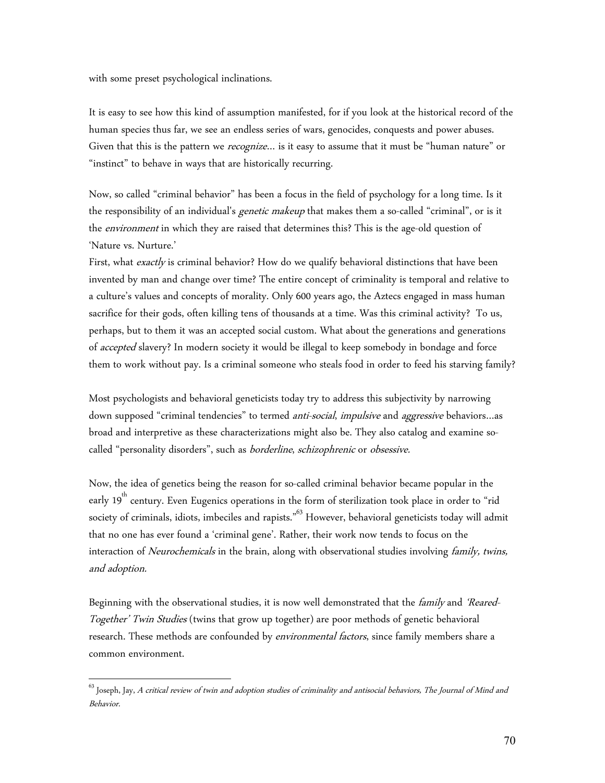with some preset psychological inclinations.

 $\overline{\phantom{a}}$ 

It is easy to see how this kind of assumption manifested, for if you look at the historical record of the human species thus far, we see an endless series of wars, genocides, conquests and power abuses. Given that this is the pattern we *recognize*... is it easy to assume that it must be "human nature" or "instinct" to behave in ways that are historically recurring.

Now, so called "criminal behavior" has been a focus in the field of psychology for a long time. Is it the responsibility of an individual's *genetic makeup* that makes them a so-called "criminal", or is it the *environment* in which they are raised that determines this? This is the age-old question of 'Nature vs. Nurture.'

First, what *exactly* is criminal behavior? How do we qualify behavioral distinctions that have been invented by man and change over time? The entire concept of criminality is temporal and relative to a culture's values and concepts of morality. Only 600 years ago, the Aztecs engaged in mass human sacrifice for their gods, often killing tens of thousands at a time. Was this criminal activity? To us, perhaps, but to them it was an accepted social custom. What about the generations and generations of accepted slavery? In modern society it would be illegal to keep somebody in bondage and force them to work without pay. Is a criminal someone who steals food in order to feed his starving family?

Most psychologists and behavioral geneticists today try to address this subjectivity by narrowing down supposed "criminal tendencies" to termed *anti-social, impulsive* and *aggressive* behaviors...as broad and interpretive as these characterizations might also be. They also catalog and examine socalled "personality disorders", such as borderline, schizophrenic or obsessive.

Now, the idea of genetics being the reason for so-called criminal behavior became popular in the early  $19<sup>th</sup>$  century. Even Eugenics operations in the form of sterilization took place in order to "rid society of criminals, idiots, imbeciles and rapists."<sup>63</sup> However, behavioral geneticists today will admit that no one has ever found a 'criminal gene'. Rather, their work now tends to focus on the interaction of Neurochemicals in the brain, along with observational studies involving family, twins, and adoption.

Beginning with the observational studies, it is now well demonstrated that the family and 'Reared-Together' Twin Studies (twins that grow up together) are poor methods of genetic behavioral research. These methods are confounded by *environmental factors*, since family members share a common environment.

 $^{63}$  Joseph, Jay, A critical review of twin and adoption studies of criminality and antisocial behaviors, The Journal of Mind and Behavior.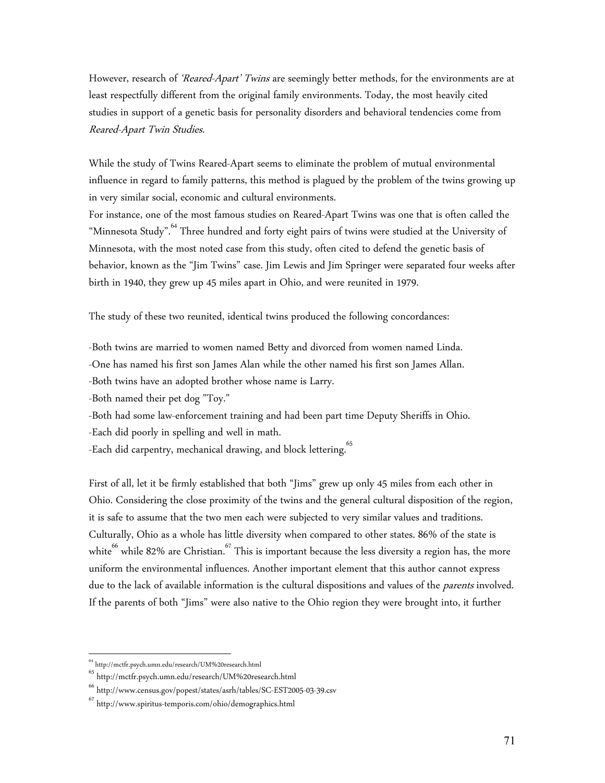However, research of 'Reared-Apart' Twins are seemingly better methods, for the environments are at least respectfully different from the original family environments. Today, the most heavily cited studies in support of a genetic basis for personality disorders and behavioral tendencies come from Reared-Apart Twin Studies.

While the study of Twins Reared-Apart seems to eliminate the problem of mutual environmental influence in regard to family patterns, this method is plagued by the problem of the twins growing up in very similar social, economic and cultural environments.

For instance, one of the most famous studies on Reared-Apart Twins was one that is often called the "Minnesota Study".<sup>64</sup> Three hundred and forty eight pairs of twins were studied at the University of Minnesota, with the most noted case from this study, often cited to defend the genetic basis of behavior, known as the "Jim Twins" case. Jim Lewis and Jim Springer were separated four weeks after birth in 1940, they grew up 45 miles apart in Ohio, and were reunited in 1979.

The study of these two reunited, identical twins produced the following concordances:

-Both twins are married to women named Betty and divorced from women named Linda.

-One has named his first son James Alan while the other named his first son James Allan.

-Both twins have an adopted brother whose name is Larry.

-Both named their pet dog "Toy."

-Both had some law-enforcement training and had been part time Deputy Sheriffs in Ohio.

-Each did poorly in spelling and well in math.

-Each did carpentry, mechanical drawing, and block lettering.<sup>65</sup>

First of all, let it be firmly established that both "Jims" grew up only 45 miles from each other in Ohio. Considering the close proximity of the twins and the general cultural disposition of the region, it is safe to assume that the two men each were subjected to very similar values and traditions. Culturally, Ohio as a whole has little diversity when compared to other states. 86% of the state is white<sup>66</sup> while 82% are Christian.<sup>67</sup> This is important because the less diversity a region has, the more uniform the environmental influences. Another important element that this author cannot express due to the lack of available information is the cultural dispositions and values of the *parents* involved. If the parents of both "Jims" were also native to the Ohio region they were brought into, it further

<sup>64</sup> http://mctfr.psych.umn.edu/research/UM%20research.html

 $^{65}$ http://mctfr.psych.umn.edu/research/UM%20research.html

<sup>66</sup> http://www.census.gov/popest/states/asrh/tables/SC-EST2005-03-39.csv

 $\rm ^{67}$ http://www.spiritus-temporis.com/ohio/demographics.html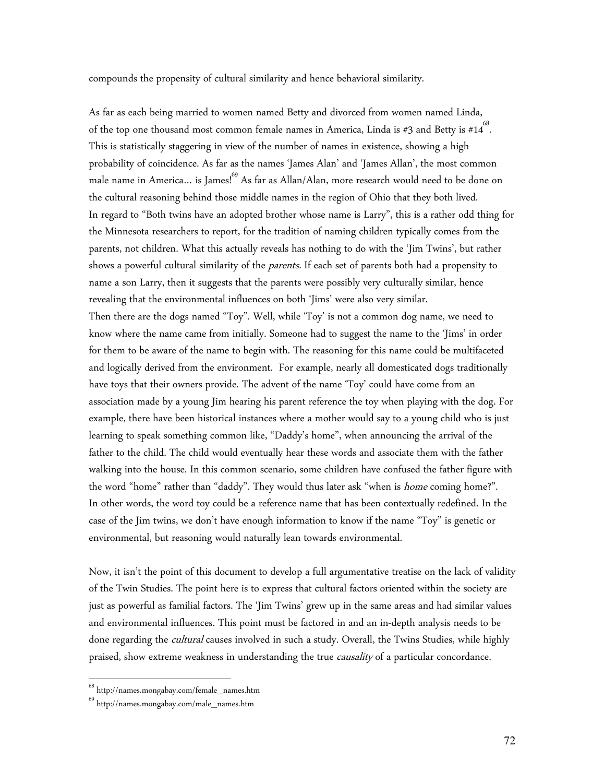compounds the propensity of cultural similarity and hence behavioral similarity.

As far as each being married to women named Betty and divorced from women named Linda, of the top one thousand most common female names in America, Linda is #3 and Betty is #14 $^{\circ\circ}$ . . This is statistically staggering in view of the number of names in existence, showing a high probability of coincidence. As far as the names 'James Alan' and 'James Allan', the most common male name in America... is James!<sup>69</sup> As far as Allan/Alan, more research would need to be done on the cultural reasoning behind those middle names in the region of Ohio that they both lived. In regard to "Both twins have an adopted brother whose name is Larry", this is a rather odd thing for the Minnesota researchers to report, for the tradition of naming children typically comes from the parents, not children. What this actually reveals has nothing to do with the 'Jim Twins', but rather shows a powerful cultural similarity of the *parents.* If each set of parents both had a propensity to name a son Larry, then it suggests that the parents were possibly very culturally similar, hence revealing that the environmental influences on both 'Jims' were also very similar. Then there are the dogs named "Toy". Well, while 'Toy' is not a common dog name, we need to know where the name came from initially. Someone had to suggest the name to the 'Jims' in order for them to be aware of the name to begin with. The reasoning for this name could be multifaceted and logically derived from the environment. For example, nearly all domesticated dogs traditionally have toys that their owners provide. The advent of the name 'Toy' could have come from an association made by a young Jim hearing his parent reference the toy when playing with the dog. For example, there have been historical instances where a mother would say to a young child who is just learning to speak something common like, "Daddy's home", when announcing the arrival of the father to the child. The child would eventually hear these words and associate them with the father walking into the house. In this common scenario, some children have confused the father figure with the word "home" rather than "daddy". They would thus later ask "when is *home* coming home?". In other words, the word toy could be a reference name that has been contextually redefined. In the case of the Jim twins, we don't have enough information to know if the name "Toy" is genetic or environmental, but reasoning would naturally lean towards environmental.

Now, it isn't the point of this document to develop a full argumentative treatise on the lack of validity of the Twin Studies. The point here is to express that cultural factors oriented within the society are just as powerful as familial factors. The 'Jim Twins' grew up in the same areas and had similar values and environmental influences. This point must be factored in and an in-depth analysis needs to be done regarding the *cultural* causes involved in such a study. Overall, the Twins Studies, while highly praised, show extreme weakness in understanding the true causality of a particular concordance.

 $\overline{\phantom{a}}$ 

 $^{68}$  http://names.mongabay.com/female\_names.htm

 $^{69}$ http://names.mongabay.com/male\_names.htm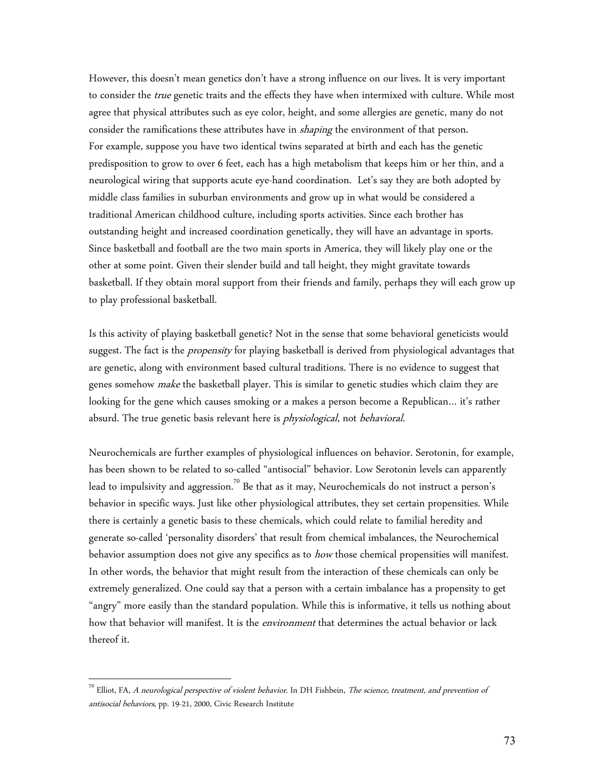However, this doesn't mean genetics don't have a strong influence on our lives. It is very important to consider the *true* genetic traits and the effects they have when intermixed with culture. While most agree that physical attributes such as eye color, height, and some allergies are genetic, many do not consider the ramifications these attributes have in *shaping* the environment of that person. For example, suppose you have two identical twins separated at birth and each has the genetic predisposition to grow to over 6 feet, each has a high metabolism that keeps him or her thin, and a neurological wiring that supports acute eye-hand coordination. Let's say they are both adopted by middle class families in suburban environments and grow up in what would be considered a traditional American childhood culture, including sports activities. Since each brother has outstanding height and increased coordination genetically, they will have an advantage in sports. Since basketball and football are the two main sports in America, they will likely play one or the other at some point. Given their slender build and tall height, they might gravitate towards basketball. If they obtain moral support from their friends and family, perhaps they will each grow up to play professional basketball.

Is this activity of playing basketball genetic? Not in the sense that some behavioral geneticists would suggest. The fact is the *propensity* for playing basketball is derived from physiological advantages that are genetic, along with environment based cultural traditions. There is no evidence to suggest that genes somehow *make* the basketball player. This is similar to genetic studies which claim they are looking for the gene which causes smoking or a makes a person become a Republican… it's rather absurd. The true genetic basis relevant here is *physiological*, not behavioral.

Neurochemicals are further examples of physiological influences on behavior. Serotonin, for example, has been shown to be related to so-called "antisocial" behavior. Low Serotonin levels can apparently lead to impulsivity and aggression.<sup>70</sup> Be that as it may, Neurochemicals do not instruct a person's behavior in specific ways. Just like other physiological attributes, they set certain propensities. While there is certainly a genetic basis to these chemicals, which could relate to familial heredity and generate so-called 'personality disorders' that result from chemical imbalances, the Neurochemical behavior assumption does not give any specifics as to how those chemical propensities will manifest. In other words, the behavior that might result from the interaction of these chemicals can only be extremely generalized. One could say that a person with a certain imbalance has a propensity to get "angry" more easily than the standard population. While this is informative, it tells us nothing about how that behavior will manifest. It is the *environment* that determines the actual behavior or lack thereof it.

 $\overline{a}$ 

 $^{70}$  Elliot, FA, *A neurological perspective of violent behavior*. In DH Fishbein, *The science, treatment, and prevention of* antisocial behaviors, pp. 19-21, 2000, Civic Research Institute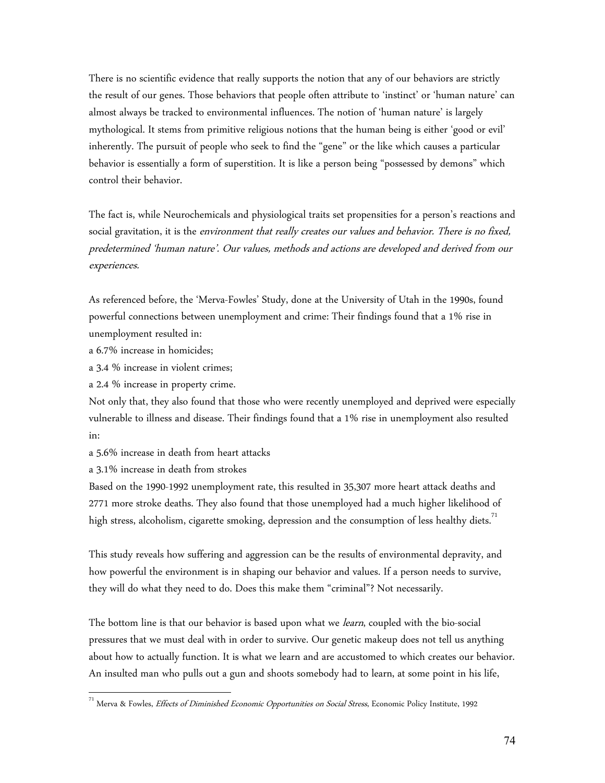There is no scientific evidence that really supports the notion that any of our behaviors are strictly the result of our genes. Those behaviors that people often attribute to 'instinct' or 'human nature' can almost always be tracked to environmental influences. The notion of 'human nature' is largely mythological. It stems from primitive religious notions that the human being is either 'good or evil' inherently. The pursuit of people who seek to find the "gene" or the like which causes a particular behavior is essentially a form of superstition. It is like a person being "possessed by demons" which control their behavior.

The fact is, while Neurochemicals and physiological traits set propensities for a person's reactions and social gravitation, it is the *environment that really creates our values and behavior. There is no fixed*, predetermined 'human nature'. Our values, methods and actions are developed and derived from our experiences.

As referenced before, the 'Merva-Fowles' Study, done at the University of Utah in the 1990s, found powerful connections between unemployment and crime: Their findings found that a 1% rise in unemployment resulted in:

a 6.7% increase in homicides;

a 3.4 % increase in violent crimes;

a 2.4 % increase in property crime.

Not only that, they also found that those who were recently unemployed and deprived were especially vulnerable to illness and disease. Their findings found that a 1% rise in unemployment also resulted in:

a 5.6% increase in death from heart attacks

a 3.1% increase in death from strokes

 $\overline{a}$ 

Based on the 1990-1992 unemployment rate, this resulted in 35,307 more heart attack deaths and 2771 more stroke deaths. They also found that those unemployed had a much higher likelihood of high stress, alcoholism, cigarette smoking, depression and the consumption of less healthy diets.<sup>'</sup>

This study reveals how suffering and aggression can be the results of environmental depravity, and how powerful the environment is in shaping our behavior and values. If a person needs to survive, they will do what they need to do. Does this make them "criminal"? Not necessarily.

The bottom line is that our behavior is based upon what we *learn*, coupled with the bio-social pressures that we must deal with in order to survive. Our genetic makeup does not tell us anything about how to actually function. It is what we learn and are accustomed to which creates our behavior. An insulted man who pulls out a gun and shoots somebody had to learn, at some point in his life,

 $^{71}$  Merva & Fowles, *Effects of Diminished Economic Opportunities on Social Stress*, Economic Policy Institute, 1992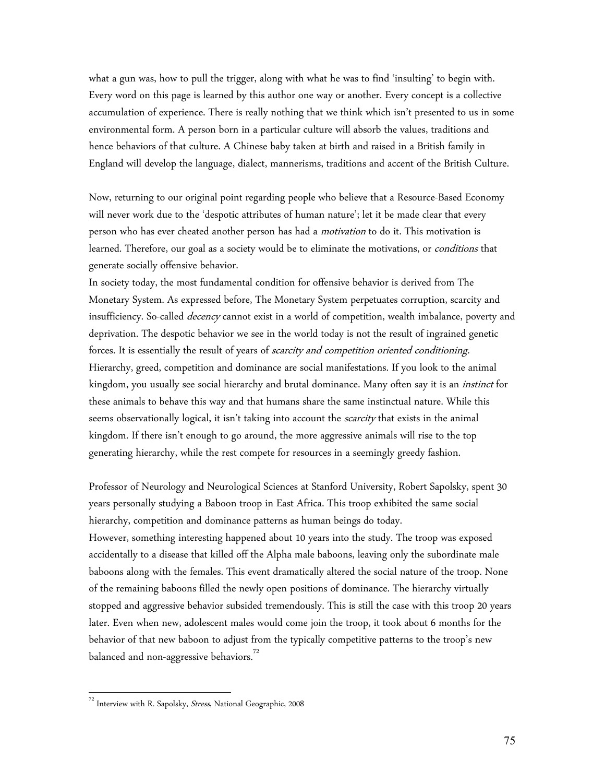what a gun was, how to pull the trigger, along with what he was to find 'insulting' to begin with. Every word on this page is learned by this author one way or another. Every concept is a collective accumulation of experience. There is really nothing that we think which isn't presented to us in some environmental form. A person born in a particular culture will absorb the values, traditions and hence behaviors of that culture. A Chinese baby taken at birth and raised in a British family in England will develop the language, dialect, mannerisms, traditions and accent of the British Culture.

Now, returning to our original point regarding people who believe that a Resource-Based Economy will never work due to the 'despotic attributes of human nature'; let it be made clear that every person who has ever cheated another person has had a motivation to do it. This motivation is learned. Therefore, our goal as a society would be to eliminate the motivations, or *conditions* that generate socially offensive behavior.

In society today, the most fundamental condition for offensive behavior is derived from The Monetary System. As expressed before, The Monetary System perpetuates corruption, scarcity and insufficiency. So-called *decency* cannot exist in a world of competition, wealth imbalance, poverty and deprivation. The despotic behavior we see in the world today is not the result of ingrained genetic forces. It is essentially the result of years of scarcity and competition oriented conditioning. Hierarchy, greed, competition and dominance are social manifestations. If you look to the animal kingdom, you usually see social hierarchy and brutal dominance. Many often say it is an *instinct* for these animals to behave this way and that humans share the same instinctual nature. While this seems observationally logical, it isn't taking into account the *scarcity* that exists in the animal kingdom. If there isn't enough to go around, the more aggressive animals will rise to the top generating hierarchy, while the rest compete for resources in a seemingly greedy fashion.

Professor of Neurology and Neurological Sciences at Stanford University, Robert Sapolsky, spent 30 years personally studying a Baboon troop in East Africa. This troop exhibited the same social hierarchy, competition and dominance patterns as human beings do today.

However, something interesting happened about 10 years into the study. The troop was exposed accidentally to a disease that killed off the Alpha male baboons, leaving only the subordinate male baboons along with the females. This event dramatically altered the social nature of the troop. None of the remaining baboons filled the newly open positions of dominance. The hierarchy virtually stopped and aggressive behavior subsided tremendously. This is still the case with this troop 20 years later. Even when new, adolescent males would come join the troop, it took about 6 months for the behavior of that new baboon to adjust from the typically competitive patterns to the troop's new balanced and non-aggressive behaviors.<sup>72</sup>

 $\overline{a}$ 

 $^{72}$  Interview with R. Sapolsky, *Stress*, National Geographic, 2008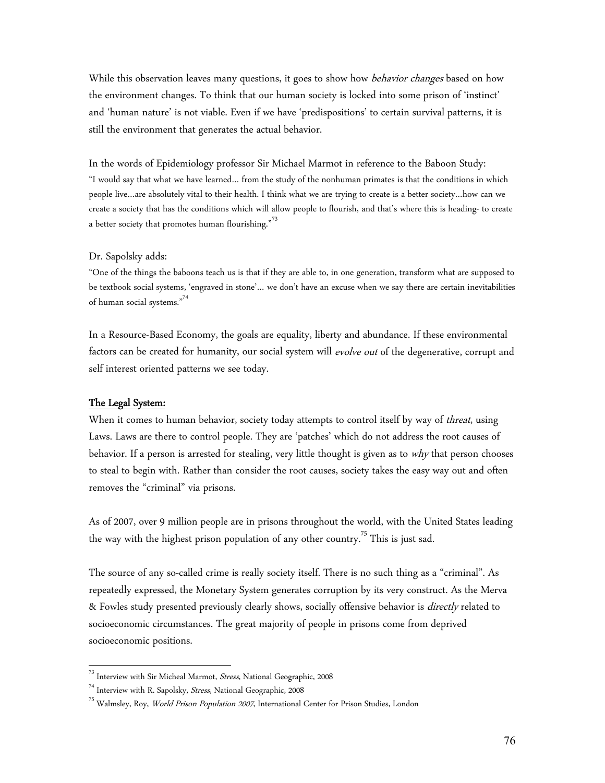While this observation leaves many questions, it goes to show how *behavior changes* based on how the environment changes. To think that our human society is locked into some prison of 'instinct' and 'human nature' is not viable. Even if we have 'predispositions' to certain survival patterns, it is still the environment that generates the actual behavior.

In the words of Epidemiology professor Sir Michael Marmot in reference to the Baboon Study: "I would say that what we have learned… from the study of the nonhuman primates is that the conditions in which people live…are absolutely vital to their health. I think what we are trying to create is a better society…how can we create a society that has the conditions which will allow people to flourish, and that's where this is heading- to create a better society that promotes human flourishing."<sup>73</sup>

#### Dr. Sapolsky adds:

"One of the things the baboons teach us is that if they are able to, in one generation, transform what are supposed to be textbook social systems, 'engraved in stone'… we don't have an excuse when we say there are certain inevitabilities of human social systems."<sup>74</sup>

In a Resource-Based Economy, the goals are equality, liberty and abundance. If these environmental factors can be created for humanity, our social system will *evolve out* of the degenerative, corrupt and self interest oriented patterns we see today.

### The Legal System:

When it comes to human behavior, society today attempts to control itself by way of *threat*, using Laws. Laws are there to control people. They are 'patches' which do not address the root causes of behavior. If a person is arrested for stealing, very little thought is given as to why that person chooses to steal to begin with. Rather than consider the root causes, society takes the easy way out and often removes the "criminal" via prisons.

As of 2007, over 9 million people are in prisons throughout the world, with the United States leading the way with the highest prison population of any other country.<sup>75</sup> This is just sad.

The source of any so-called crime is really society itself. There is no such thing as a "criminal". As repeatedly expressed, the Monetary System generates corruption by its very construct. As the Merva & Fowles study presented previously clearly shows, socially offensive behavior is *directly* related to socioeconomic circumstances. The great majority of people in prisons come from deprived socioeconomic positions.

<sup>&</sup>lt;sup>73</sup> Interview with Sir Micheal Marmot, *Stress*, National Geographic, 2008

 $^{74}$  Interview with R. Sapolsky, *Stress*, National Geographic, 2008<br> $^{75}$  Walmsley, Roy, *World Prison Population 2007*, International Center for Prison Studies, London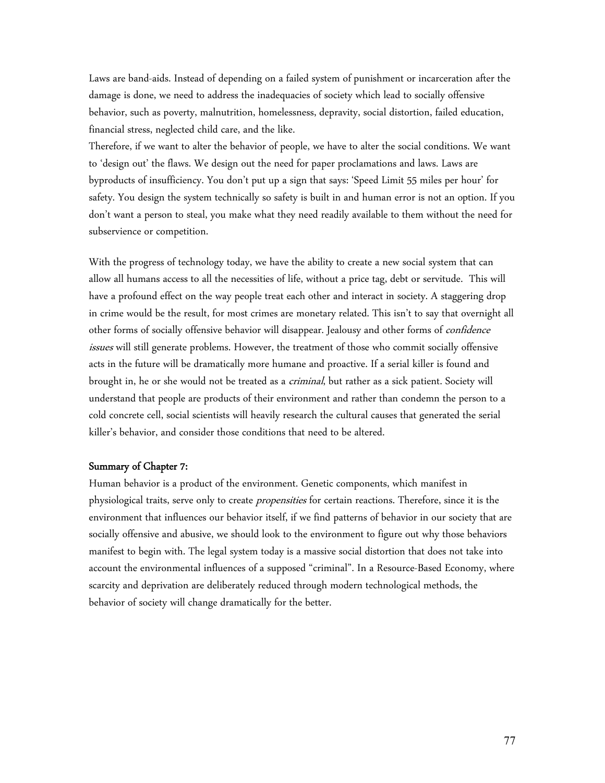Laws are band-aids. Instead of depending on a failed system of punishment or incarceration after the damage is done, we need to address the inadequacies of society which lead to socially offensive behavior, such as poverty, malnutrition, homelessness, depravity, social distortion, failed education, financial stress, neglected child care, and the like.

Therefore, if we want to alter the behavior of people, we have to alter the social conditions. We want to 'design out' the flaws. We design out the need for paper proclamations and laws. Laws are byproducts of insufficiency. You don't put up a sign that says: 'Speed Limit 55 miles per hour' for safety. You design the system technically so safety is built in and human error is not an option. If you don't want a person to steal, you make what they need readily available to them without the need for subservience or competition.

With the progress of technology today, we have the ability to create a new social system that can allow all humans access to all the necessities of life, without a price tag, debt or servitude. This will have a profound effect on the way people treat each other and interact in society. A staggering drop in crime would be the result, for most crimes are monetary related. This isn't to say that overnight all other forms of socially offensive behavior will disappear. Jealousy and other forms of *confidence* issues will still generate problems. However, the treatment of those who commit socially offensive acts in the future will be dramatically more humane and proactive. If a serial killer is found and brought in, he or she would not be treated as a *criminal*, but rather as a sick patient. Society will understand that people are products of their environment and rather than condemn the person to a cold concrete cell, social scientists will heavily research the cultural causes that generated the serial killer's behavior, and consider those conditions that need to be altered.

#### Summary of Chapter 7:

Human behavior is a product of the environment. Genetic components, which manifest in physiological traits, serve only to create *propensities* for certain reactions. Therefore, since it is the environment that influences our behavior itself, if we find patterns of behavior in our society that are socially offensive and abusive, we should look to the environment to figure out why those behaviors manifest to begin with. The legal system today is a massive social distortion that does not take into account the environmental influences of a supposed "criminal". In a Resource-Based Economy, where scarcity and deprivation are deliberately reduced through modern technological methods, the behavior of society will change dramatically for the better.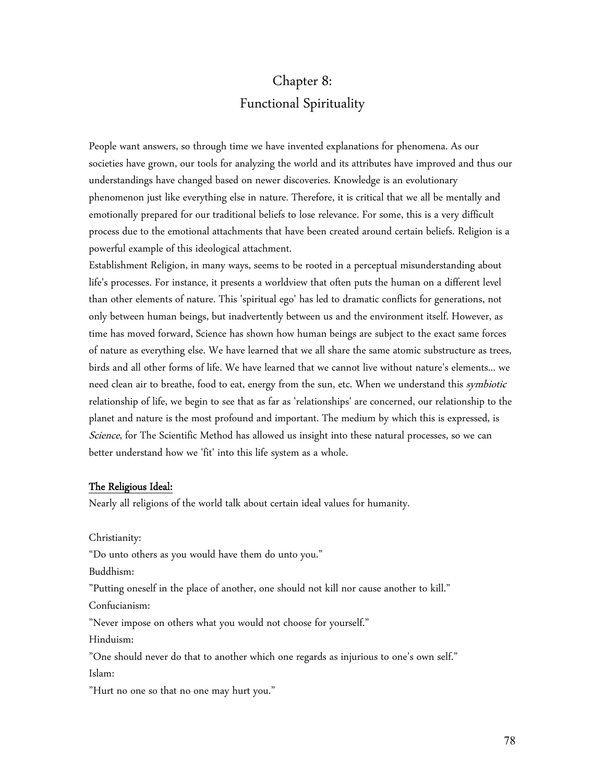# Chapter 8: Functional Spirituality

People want answers, so through time we have invented explanations for phenomena. As our societies have grown, our tools for analyzing the world and its attributes have improved and thus our understandings have changed based on newer discoveries. Knowledge is an evolutionary phenomenon just like everything else in nature. Therefore, it is critical that we all be mentally and emotionally prepared for our traditional beliefs to lose relevance. For some, this is a very difficult process due to the emotional attachments that have been created around certain beliefs. Religion is a powerful example of this ideological attachment.

Establishment Religion, in many ways, seems to be rooted in a perceptual misunderstanding about life's processes. For instance, it presents a worldview that often puts the human on a different level than other elements of nature. This 'spiritual ego' has led to dramatic conflicts for generations, not only between human beings, but inadvertently between us and the environment itself. However, as time has moved forward, Science has shown how human beings are subject to the exact same forces of nature as everything else. We have learned that we all share the same atomic substructure as trees, birds and all other forms of life. We have learned that we cannot live without nature's elements... we need clean air to breathe, food to eat, energy from the sun, etc. When we understand this symbiotic relationship of life, we begin to see that as far as 'relationships' are concerned, our relationship to the planet and nature is the most profound and important. The medium by which this is expressed, is Science, for The Scientific Method has allowed us insight into these natural processes, so we can better understand how we 'fit' into this life system as a whole.

### The Religious Ideal:

Nearly all religions of the world talk about certain ideal values for humanity.

Christianity:

"Do unto others as you would have them do unto you."

Buddhism:

"Putting oneself in the place of another, one should not kill nor cause another to kill."

Confucianism:

"Never impose on others what you would not choose for yourself."

Hinduism:

"One should never do that to another which one regards as injurious to one's own self." Islam:

"Hurt no one so that no one may hurt you."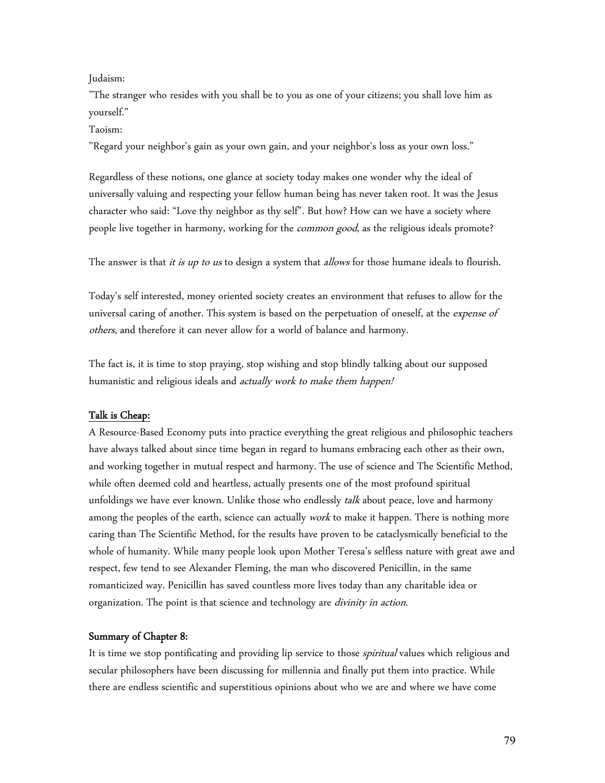#### Judaism:

"The stranger who resides with you shall be to you as one of your citizens; you shall love him as yourself."

### Taoism:

"Regard your neighbor's gain as your own gain, and your neighbor's loss as your own loss."

Regardless of these notions, one glance at society today makes one wonder why the ideal of universally valuing and respecting your fellow human being has never taken root. It was the Jesus character who said: "Love thy neighbor as thy self". But how? How can we have a society where people live together in harmony, working for the *common good*, as the religious ideals promote?

The answer is that *it is up to us* to design a system that *allows* for those humane ideals to flourish.

Today's self interested, money oriented society creates an environment that refuses to allow for the universal caring of another. This system is based on the perpetuation of oneself, at the expense of others, and therefore it can never allow for a world of balance and harmony.

The fact is, it is time to stop praying, stop wishing and stop blindly talking about our supposed humanistic and religious ideals and actually work to make them happen!

### Talk is Cheap:

A Resource-Based Economy puts into practice everything the great religious and philosophic teachers have always talked about since time began in regard to humans embracing each other as their own, and working together in mutual respect and harmony. The use of science and The Scientific Method, while often deemed cold and heartless, actually presents one of the most profound spiritual unfoldings we have ever known. Unlike those who endlessly *talk* about peace, love and harmony among the peoples of the earth, science can actually work to make it happen. There is nothing more caring than The Scientific Method, for the results have proven to be cataclysmically beneficial to the whole of humanity. While many people look upon Mother Teresa's selfless nature with great awe and respect, few tend to see Alexander Fleming, the man who discovered Penicillin, in the same romanticized way. Penicillin has saved countless more lives today than any charitable idea or organization. The point is that science and technology are *divinity in action*.

### Summary of Chapter 8:

It is time we stop pontificating and providing lip service to those *spiritual* values which religious and secular philosophers have been discussing for millennia and finally put them into practice. While there are endless scientific and superstitious opinions about who we are and where we have come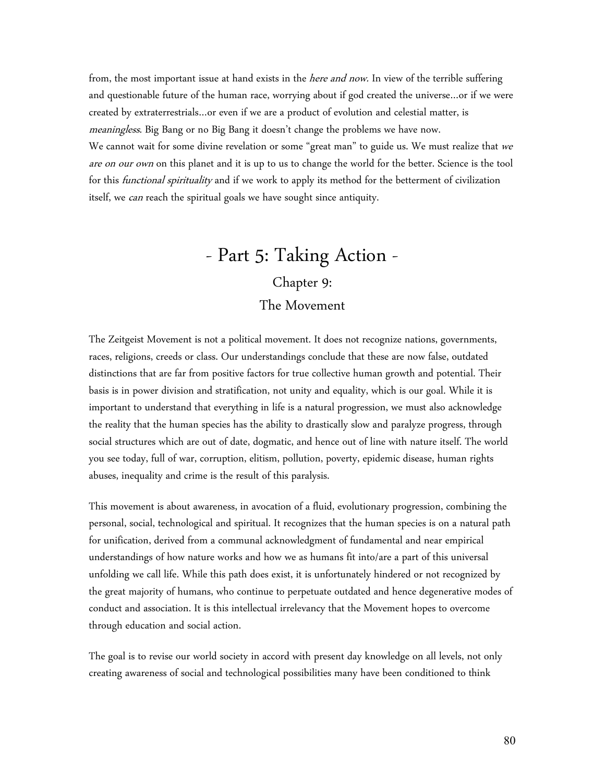from, the most important issue at hand exists in the *here and now*. In view of the terrible suffering and questionable future of the human race, worrying about if god created the universe…or if we were created by extraterrestrials…or even if we are a product of evolution and celestial matter, is meaningless. Big Bang or no Big Bang it doesn't change the problems we have now.

We cannot wait for some divine revelation or some "great man" to guide us. We must realize that we are on our own on this planet and it is up to us to change the world for the better. Science is the tool for this *functional spirituality* and if we work to apply its method for the betterment of civilization itself, we can reach the spiritual goals we have sought since antiquity.

# - Part 5: Taking Action -

Chapter 9:

The Movement

The Zeitgeist Movement is not a political movement. It does not recognize nations, governments, races, religions, creeds or class. Our understandings conclude that these are now false, outdated distinctions that are far from positive factors for true collective human growth and potential. Their basis is in power division and stratification, not unity and equality, which is our goal. While it is important to understand that everything in life is a natural progression, we must also acknowledge the reality that the human species has the ability to drastically slow and paralyze progress, through social structures which are out of date, dogmatic, and hence out of line with nature itself. The world you see today, full of war, corruption, elitism, pollution, poverty, epidemic disease, human rights abuses, inequality and crime is the result of this paralysis.

This movement is about awareness, in avocation of a fluid, evolutionary progression, combining the personal, social, technological and spiritual. It recognizes that the human species is on a natural path for unification, derived from a communal acknowledgment of fundamental and near empirical understandings of how nature works and how we as humans fit into/are a part of this universal unfolding we call life. While this path does exist, it is unfortunately hindered or not recognized by the great majority of humans, who continue to perpetuate outdated and hence degenerative modes of conduct and association. It is this intellectual irrelevancy that the Movement hopes to overcome through education and social action.

The goal is to revise our world society in accord with present day knowledge on all levels, not only creating awareness of social and technological possibilities many have been conditioned to think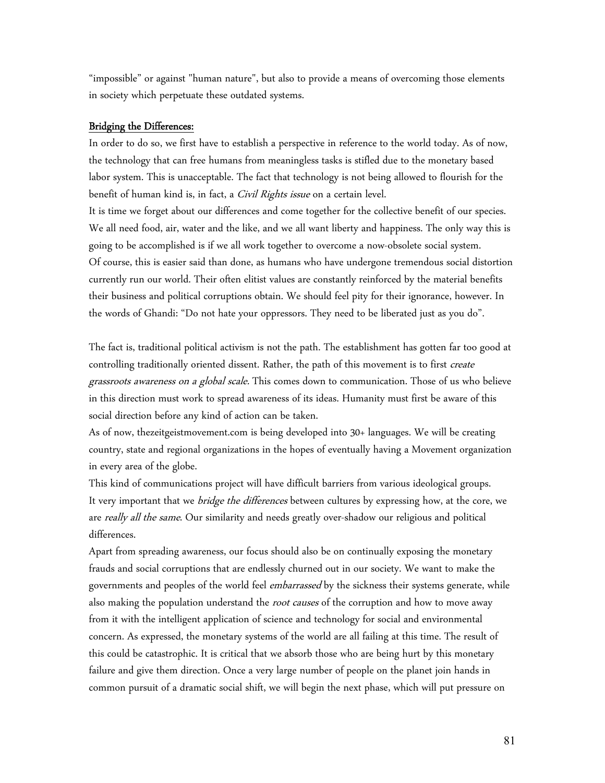"impossible" or against "human nature", but also to provide a means of overcoming those elements in society which perpetuate these outdated systems.

# Bridging the Differences:

In order to do so, we first have to establish a perspective in reference to the world today. As of now, the technology that can free humans from meaningless tasks is stifled due to the monetary based labor system. This is unacceptable. The fact that technology is not being allowed to flourish for the benefit of human kind is, in fact, a *Civil Rights issue* on a certain level.

It is time we forget about our differences and come together for the collective benefit of our species. We all need food, air, water and the like, and we all want liberty and happiness. The only way this is going to be accomplished is if we all work together to overcome a now-obsolete social system. Of course, this is easier said than done, as humans who have undergone tremendous social distortion currently run our world. Their often elitist values are constantly reinforced by the material benefits their business and political corruptions obtain. We should feel pity for their ignorance, however. In the words of Ghandi: "Do not hate your oppressors. They need to be liberated just as you do".

The fact is, traditional political activism is not the path. The establishment has gotten far too good at controlling traditionally oriented dissent. Rather, the path of this movement is to first create grassroots awareness on a global scale. This comes down to communication. Those of us who believe in this direction must work to spread awareness of its ideas. Humanity must first be aware of this social direction before any kind of action can be taken.

As of now, thezeitgeistmovement.com is being developed into 30+ languages. We will be creating country, state and regional organizations in the hopes of eventually having a Movement organization in every area of the globe.

This kind of communications project will have difficult barriers from various ideological groups. It very important that we bridge the differences between cultures by expressing how, at the core, we are really all the same. Our similarity and needs greatly over-shadow our religious and political differences.

Apart from spreading awareness, our focus should also be on continually exposing the monetary frauds and social corruptions that are endlessly churned out in our society. We want to make the governments and peoples of the world feel *embarrassed* by the sickness their systems generate, while also making the population understand the root causes of the corruption and how to move away from it with the intelligent application of science and technology for social and environmental concern. As expressed, the monetary systems of the world are all failing at this time. The result of this could be catastrophic. It is critical that we absorb those who are being hurt by this monetary failure and give them direction. Once a very large number of people on the planet join hands in common pursuit of a dramatic social shift, we will begin the next phase, which will put pressure on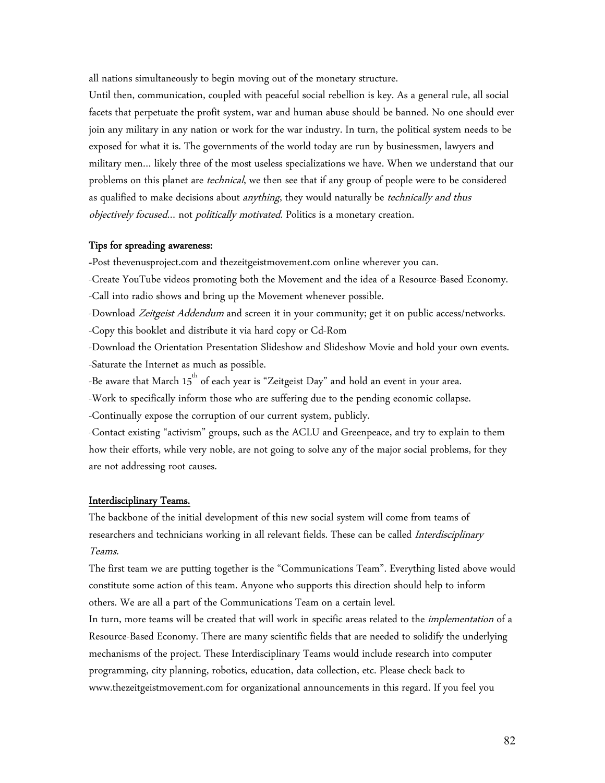all nations simultaneously to begin moving out of the monetary structure.

Until then, communication, coupled with peaceful social rebellion is key. As a general rule, all social facets that perpetuate the profit system, war and human abuse should be banned. No one should ever join any military in any nation or work for the war industry. In turn, the political system needs to be exposed for what it is. The governments of the world today are run by businessmen, lawyers and military men… likely three of the most useless specializations we have. When we understand that our problems on this planet are *technical*, we then see that if any group of people were to be considered as qualified to make decisions about *anything*, they would naturally be *technically and thus* objectively focused... not politically motivated. Politics is a monetary creation.

#### Tips for spreading awareness:

-Post thevenusproject.com and thezeitgeistmovement.com online wherever you can.

-Create YouTube videos promoting both the Movement and the idea of a Resource-Based Economy. -Call into radio shows and bring up the Movement whenever possible.

-Download Zeitgeist Addendum and screen it in your community; get it on public access/networks. -Copy this booklet and distribute it via hard copy or Cd-Rom

-Download the Orientation Presentation Slideshow and Slideshow Movie and hold your own events. -Saturate the Internet as much as possible.

-Be aware that March  $15<sup>th</sup>$  of each year is "Zeitgeist Day" and hold an event in your area.

-Work to specifically inform those who are suffering due to the pending economic collapse.

-Continually expose the corruption of our current system, publicly.

-Contact existing "activism" groups, such as the ACLU and Greenpeace, and try to explain to them how their efforts, while very noble, are not going to solve any of the major social problems, for they are not addressing root causes.

### Interdisciplinary Teams.

The backbone of the initial development of this new social system will come from teams of researchers and technicians working in all relevant fields. These can be called Interdisciplinary Teams.

The first team we are putting together is the "Communications Team". Everything listed above would constitute some action of this team. Anyone who supports this direction should help to inform others. We are all a part of the Communications Team on a certain level.

In turn, more teams will be created that will work in specific areas related to the *implementation* of a Resource-Based Economy. There are many scientific fields that are needed to solidify the underlying mechanisms of the project. These Interdisciplinary Teams would include research into computer programming, city planning, robotics, education, data collection, etc. Please check back to www.thezeitgeistmovement.com for organizational announcements in this regard. If you feel you